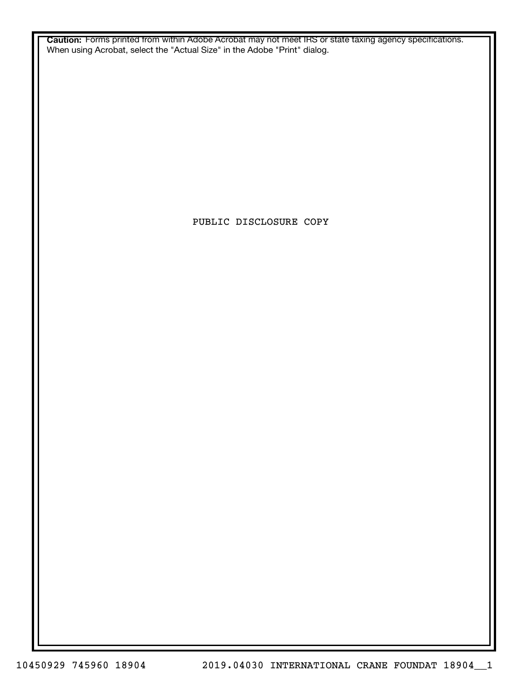**Caution:** Forms printed from within Adobe Acrobat may not meet IRS or state taxing agency specifications. When using Acrobat, select the "Actual Size" in the Adobe "Print" dialog.

PUBLIC DISCLOSURE COPY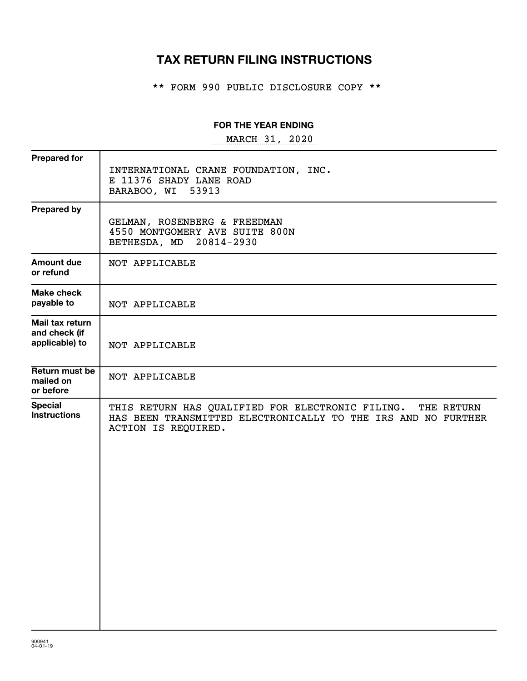# **TAX RETURN FILING INSTRUCTIONS**

\*\* FORM 990 PUBLIC DISCLOSURE COPY \*\*

#### **FOR THE YEAR ENDING**

~~~~~~~~~~~~~~~~~ MARCH 31, 2020

| <b>Prepared for</b>                                | INTERNATIONAL CRANE FOUNDATION, INC.                                                                                                                   |
|----------------------------------------------------|--------------------------------------------------------------------------------------------------------------------------------------------------------|
|                                                    | E 11376 SHADY LANE ROAD<br>BARABOO, WI 53913                                                                                                           |
| <b>Prepared by</b>                                 | GELMAN, ROSENBERG & FREEDMAN<br>4550 MONTGOMERY AVE SUITE 800N<br>BETHESDA, MD 20814-2930                                                              |
| <b>Amount due</b><br>or refund                     | NOT APPLICABLE                                                                                                                                         |
| Make check<br>payable to                           | NOT APPLICABLE                                                                                                                                         |
| Mail tax return<br>and check (if<br>applicable) to | NOT APPLICABLE                                                                                                                                         |
| Return must be<br>mailed on<br>or before           | NOT APPLICABLE                                                                                                                                         |
| <b>Special</b><br><b>Instructions</b>              | THIS RETURN HAS QUALIFIED FOR ELECTRONIC FILING.<br>THE RETURN<br>HAS BEEN TRANSMITTED ELECTRONICALLY TO THE IRS AND NO FURTHER<br>ACTION IS REQUIRED. |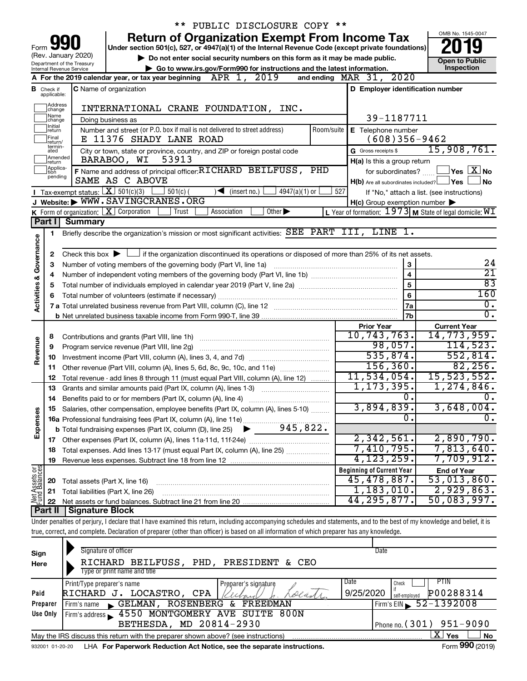|                         |                               |                                                        | PUBLIC DISCLOSURE COPY **                                                                                                                                                  |                                                     |                                                             |
|-------------------------|-------------------------------|--------------------------------------------------------|----------------------------------------------------------------------------------------------------------------------------------------------------------------------------|-----------------------------------------------------|-------------------------------------------------------------|
|                         |                               |                                                        | <b>Return of Organization Exempt From Income Tax</b>                                                                                                                       |                                                     | OMB No. 1545-0047                                           |
| Form                    |                               |                                                        | Under section 501(c), 527, or 4947(a)(1) of the Internal Revenue Code (except private foundations)                                                                         |                                                     |                                                             |
|                         |                               | (Rev. January 2020)                                    | Do not enter social security numbers on this form as it may be made public.                                                                                                |                                                     | <b>Open to Public</b>                                       |
|                         |                               | Department of the Treasury<br>Internal Revenue Service | Go to www.irs.gov/Form990 for instructions and the latest information.                                                                                                     |                                                     | Inspection                                                  |
|                         |                               |                                                        | APR 1, 2019<br>A For the 2019 calendar year, or tax year beginning<br>and ending                                                                                           | MAR 31, 2020                                        |                                                             |
|                         | <b>B</b> Check if             |                                                        | <b>C</b> Name of organization                                                                                                                                              | D Employer identification number                    |                                                             |
|                         | applicable:                   |                                                        |                                                                                                                                                                            |                                                     |                                                             |
|                         | Address<br>change             |                                                        | INTERNATIONAL CRANE FOUNDATION, INC.                                                                                                                                       |                                                     |                                                             |
|                         | Name<br>change                |                                                        | Doing business as                                                                                                                                                          | 39-1187711                                          |                                                             |
|                         | Initial<br>return             |                                                        | Number and street (or P.O. box if mail is not delivered to street address)<br>Room/suite                                                                                   | E Telephone number                                  |                                                             |
|                         | Final<br>return/<br>termin-   |                                                        | E 11376 SHADY LANE ROAD                                                                                                                                                    | $(608)356 - 9462$                                   |                                                             |
|                         | ated                          |                                                        | City or town, state or province, country, and ZIP or foreign postal code                                                                                                   | G Gross receipts \$                                 | 15,908,761.                                                 |
|                         | Amended<br>return<br>Applica- |                                                        | BARABOO, WI<br>53913                                                                                                                                                       | H(a) Is this a group return                         |                                                             |
|                         | tion<br>pending               |                                                        | F Name and address of principal officer: RICHARD BEILFUSS, PHD                                                                                                             | for subordinates?                                   | $Yes \quad \boxed{X}$ No                                    |
|                         |                               |                                                        | SAME AS C ABOVE                                                                                                                                                            | $H(b)$ Are all subordinates included? $\Box$ Yes    | No                                                          |
|                         |                               | <b>I</b> Tax-exempt status: $X \overline{3}$ 501(c)(3) | $\frac{1}{2}$ 501(c) (<br>$\sqrt{\frac{1}{1}}$ (insert no.)<br>4947(a)(1) or<br>J Website: WWW.SAVINGCRANES.ORG                                                            | 527                                                 | If "No," attach a list. (see instructions)                  |
|                         |                               | K Form of organization: $X$ Corporation                | Trust<br>Other $\blacktriangleright$<br>Association                                                                                                                        | $H(c)$ Group exemption number $\blacktriangleright$ |                                                             |
|                         | Part I                        | <b>Summary</b>                                         |                                                                                                                                                                            |                                                     | L Year of formation: $1973$ M State of legal domicile: $WI$ |
|                         |                               |                                                        | Briefly describe the organization's mission or most significant activities: SEE PART III, LINE 1.                                                                          |                                                     |                                                             |
|                         | 1.                            |                                                        |                                                                                                                                                                            |                                                     |                                                             |
| Governance              | 2                             |                                                        | Check this box $\blacktriangleright$ $\Box$ if the organization discontinued its operations or disposed of more than 25% of its net assets.                                |                                                     |                                                             |
|                         | з                             |                                                        | Number of voting members of the governing body (Part VI, line 1a)                                                                                                          | 3                                                   | 24                                                          |
|                         | 4                             |                                                        |                                                                                                                                                                            | $\overline{4}$                                      | $\overline{21}$                                             |
|                         | 5                             |                                                        |                                                                                                                                                                            | 5                                                   | $\overline{83}$                                             |
| <b>Activities &amp;</b> | 6                             |                                                        |                                                                                                                                                                            | 6                                                   | 160                                                         |
|                         |                               |                                                        |                                                                                                                                                                            | 7a                                                  | $\overline{0}$ .                                            |
|                         |                               |                                                        |                                                                                                                                                                            | 7 <sub>b</sub>                                      | $\overline{0}$ .                                            |
|                         |                               |                                                        |                                                                                                                                                                            | <b>Prior Year</b>                                   | <b>Current Year</b>                                         |
|                         | 8                             |                                                        | Contributions and grants (Part VIII, line 1h)                                                                                                                              | 10, 743, 763.                                       | 14,773,959.                                                 |
| Revenue                 | 9                             |                                                        | Program service revenue (Part VIII, line 2g)                                                                                                                               | 98,057.                                             | 114,523.                                                    |
|                         | 10                            |                                                        |                                                                                                                                                                            | 535,874.                                            | 552,814.                                                    |
|                         | 11                            |                                                        |                                                                                                                                                                            | 156, 360.                                           | 82, 256.                                                    |
|                         | 12                            |                                                        | Total revenue - add lines 8 through 11 (must equal Part VIII, column (A), line 12)                                                                                         | 11,534,054.                                         | 15,523,552.                                                 |
|                         | 13                            |                                                        | Grants and similar amounts paid (Part IX, column (A), lines 1-3)                                                                                                           | 1, 173, 395.                                        | 1,274,846.                                                  |
|                         | 14                            |                                                        | Benefits paid to or for members (Part IX, column (A), line 4)                                                                                                              | $\overline{0}$ .<br>3,894,839.                      | 0.                                                          |
|                         |                               |                                                        | 15 Salaries, other compensation, employee benefits (Part IX, column (A), lines 5-10)                                                                                       | 0.                                                  | 3,648,004.<br>$\overline{0}$ .                              |
| Expenses                |                               |                                                        |                                                                                                                                                                            |                                                     |                                                             |
|                         |                               |                                                        |                                                                                                                                                                            | 2,342,561.                                          | 2,890,790.                                                  |
|                         | 18                            |                                                        | Total expenses. Add lines 13-17 (must equal Part IX, column (A), line 25)                                                                                                  | 7,410,795.                                          | 7,813,640.                                                  |
|                         | 19                            |                                                        |                                                                                                                                                                            | 4, 123, 259.                                        | 7,709,912.                                                  |
|                         |                               |                                                        |                                                                                                                                                                            | <b>Beginning of Current Year</b>                    | <b>End of Year</b>                                          |
|                         | 20                            | Total assets (Part X, line 16)                         |                                                                                                                                                                            | 45,478,887.                                         | 53,013,860.                                                 |
|                         | 21                            |                                                        | Total liabilities (Part X, line 26)                                                                                                                                        | 1,183,010.                                          | 2,929,863.                                                  |
| Net Assets or           | 22                            |                                                        |                                                                                                                                                                            | 44, 295, 877.                                       | 50,083,997.                                                 |
|                         | Part II                       | <b>Signature Block</b>                                 |                                                                                                                                                                            |                                                     |                                                             |
|                         |                               |                                                        | Under penalties of perjury, I declare that I have examined this return, including accompanying schedules and statements, and to the best of my knowledge and belief, it is |                                                     |                                                             |
|                         |                               |                                                        | true, correct, and complete. Declaration of preparer (other than officer) is based on all information of which preparer has any knowledge.                                 |                                                     |                                                             |
|                         |                               |                                                        |                                                                                                                                                                            |                                                     |                                                             |
| Sign                    |                               |                                                        | Signature of officer<br>$\overline{1111}$<br>DETT EHOO<br>DID                                                                                                              | Date                                                |                                                             |

| Here     | RICHARD BEILFUSS, PHD, PRESIDENT & CEO                                            |                      |                            |                                              |
|----------|-----------------------------------------------------------------------------------|----------------------|----------------------------|----------------------------------------------|
|          | Type or print name and title                                                      |                      |                            |                                              |
|          | Print/Type preparer's name                                                        | Preparer's signature | Date<br>Check              | <b>PTIN</b>                                  |
| Paid     | RICHARD J. LOCASTRO,<br>CPA                                                       | cecasts.             | 9/25/2020<br>self-emploved | P00288314                                    |
| Preparer | GELMAN, ROSENBERG & FREEDMAN<br>Firm's name                                       |                      |                            | Firm's EIN $\, 52 - 1392008$                 |
| Use Only | Firm's address 3 4550 MONTGOMERY AVE SUITE 800N                                   |                      |                            |                                              |
|          | BETHESDA, MD 20814-2930                                                           |                      |                            | Phone no. $(301)$ 951-9090                   |
|          | May the IRS discuss this return with the preparer shown above? (see instructions) |                      |                            | x.<br><b>No</b><br>Yes                       |
|          |                                                                                   |                      |                            | $0.00 \div 0.00$<br>$\overline{\phantom{0}}$ |

932001 01-20-20 **For Paperwork Reduction Act Notice, see the separate instructions.** LHA Form (2019)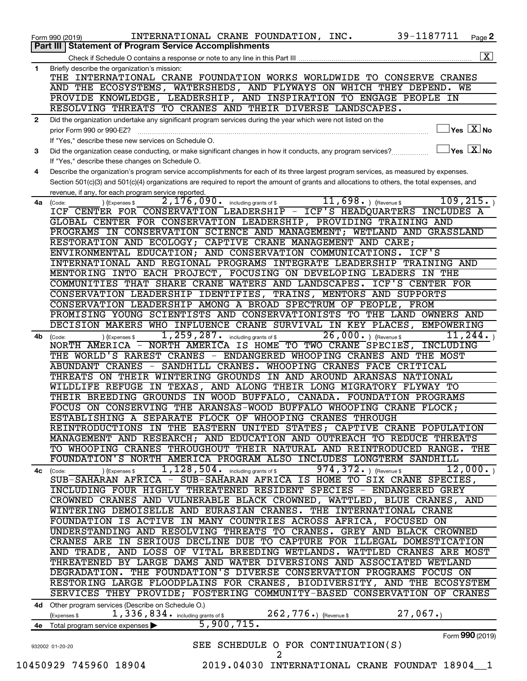|    | 39-1187711<br>INTERNATIONAL CRANE FOUNDATION, INC.<br>Page 2<br>Form 990 (2019)                                                                           |
|----|-----------------------------------------------------------------------------------------------------------------------------------------------------------|
|    | <b>Part III   Statement of Program Service Accomplishments</b>                                                                                            |
|    | $\boxed{\text{X}}$                                                                                                                                        |
| 1  | Briefly describe the organization's mission:<br>THE INTERNATIONAL CRANE FOUNDATION WORKS WORLDWIDE TO CONSERVE CRANES                                     |
|    | AND THE ECOSYSTEMS, WATERSHEDS, AND FLYWAYS ON WHICH THEY DEPEND. WE                                                                                      |
|    | PROVIDE KNOWLEDGE, LEADERSHIP, AND INSPIRATION TO ENGAGE PEOPLE IN                                                                                        |
|    | RESOLVING THREATS TO CRANES AND THEIR DIVERSE LANDSCAPES.                                                                                                 |
| 2  | Did the organization undertake any significant program services during the year which were not listed on the                                              |
|    | $\sqrt{\mathsf{Yes}\ \mathbb{X}}$ No<br>prior Form 990 or 990-EZ?                                                                                         |
|    | If "Yes," describe these new services on Schedule O.                                                                                                      |
| 3  | $\overline{\ }$ Yes $\overline{\rm X}$ No<br>Did the organization cease conducting, or make significant changes in how it conducts, any program services? |
|    | If "Yes," describe these changes on Schedule O.                                                                                                           |
| 4  | Describe the organization's program service accomplishments for each of its three largest program services, as measured by expenses.                      |
|    | Section 501(c)(3) and 501(c)(4) organizations are required to report the amount of grants and allocations to others, the total expenses, and              |
|    | revenue, if any, for each program service reported.                                                                                                       |
| 4a | 109, 215.<br>$11,698.$ (Revenue \$<br>2,176,090. including grants of \$<br>(Code:<br>(Expenses \$                                                         |
|    | ICF CENTER FOR CONSERVATION LEADERSHIP - ICF'S HEADQUARTERS INCLUDES A                                                                                    |
|    | GLOBAL CENTER FOR CONSERVATION LEADERSHIP, PROVIDING TRAINING AND                                                                                         |
|    | PROGRAMS IN CONSERVATION SCIENCE AND MANAGEMENT; WETLAND AND GRASSLAND                                                                                    |
|    | RESTORATION AND ECOLOGY; CAPTIVE CRANE MANAGEMENT AND CARE;                                                                                               |
|    | ENVIRONMENTAL EDUCATION; AND CONSERVATION COMMUNICATIONS. ICF'S                                                                                           |
|    | INTERNATIONAL AND REGIONAL PROGRAMS INTEGRATE LEADERSHIP TRAINING AND                                                                                     |
|    | MENTORING INTO EACH PROJECT, FOCUSING ON DEVELOPING LEADERS IN THE                                                                                        |
|    | COMMUNITIES THAT SHARE CRANE WATERS AND LANDSCAPES.<br>ICF'S CENTER FOR                                                                                   |
|    | CONSERVATION LEADERSHIP IDENTIFIES, TRAINS, MENTORS AND SUPPORTS                                                                                          |
|    | CONSERVATION LEADERSHIP AMONG A BROAD SPECTRUM OF PEOPLE, FROM                                                                                            |
|    | PROMISING YOUNG SCIENTISTS AND CONSERVATIONISTS TO THE LAND OWNERS AND                                                                                    |
|    | DECISION MAKERS WHO INFLUENCE CRANE SURVIVAL IN KEY PLACES,<br>EMPOWERING                                                                                 |
| 4b | 1, 259, 287. including grants of \$<br>$26,000.$ ) (Revenue \$<br>11, 244.<br>(Code:<br>(Expenses \$                                                      |
|    | NORTH AMERICA IS HOME TO TWO CRANE SPECIES, INCLUDING<br>NORTH AMERICA -<br>THE WORLD'S RAREST CRANES - ENDANGERED WHOOPING CRANES AND THE MOST           |
|    | ABUNDANT CRANES - SANDHILL CRANES. WHOOPING CRANES FACE CRITICAL                                                                                          |
|    | THREATS ON THEIR WINTERING GROUNDS IN AND AROUND ARANSAS NATIONAL                                                                                         |
|    | WILDLIFE REFUGE IN TEXAS, AND ALONG THEIR LONG MIGRATORY FLYWAY TO                                                                                        |
|    | THEIR BREEDING GROUNDS IN WOOD BUFFALO, CANADA. FOUNDATION PROGRAMS                                                                                       |
|    | FOCUS ON CONSERVING THE ARANSAS-WOOD BUFFALO WHOOPING CRANE FLOCK;                                                                                        |
|    | ESTABLISHING A SEPARATE FLOCK OF WHOOPING CRANES THROUGH                                                                                                  |
|    | REINTRODUCTIONS IN THE EASTERN UNITED STATES; CAPTIVE CRANE POPULATION                                                                                    |
|    | MANAGEMENT AND RESEARCH; AND EDUCATION AND OUTREACH TO REDUCE THREATS                                                                                     |
|    | TO WHOOPING CRANES THROUGHOUT THEIR NATURAL AND REINTRODUCED RANGE. THE                                                                                   |
|    | FOUNDATION'S NORTH AMERICA PROGRAM ALSO INCLUDES LONGTERM SANDHILL                                                                                        |
|    | 1, 128, 504. including grants of \$974, 372. ) (Revenue \$<br>12,000.<br>) (Expenses \$<br>4c (Code:                                                      |
|    | SUB-SAHARAN AFRICA - SUB-SAHARAN AFRICA IS HOME TO SIX CRANE SPECIES,                                                                                     |
|    | INCLUDING FOUR HIGHLY THREATENED RESIDENT SPECIES - ENDANGERED GREY                                                                                       |
|    | CROWNED CRANES AND VULNERABLE BLACK CROWNED, WATTLED, BLUE CRANES, AND                                                                                    |
|    | WINTERING DEMOISELLE AND EURASIAN CRANES. THE INTERNATIONAL CRANE                                                                                         |
|    | FOUNDATION IS ACTIVE IN MANY COUNTRIES ACROSS AFRICA, FOCUSED ON                                                                                          |
|    | UNDERSTANDING AND RESOLVING THREATS TO CRANES. GREY AND BLACK CROWNED                                                                                     |
|    | CRANES ARE IN SERIOUS DECLINE DUE TO CAPTURE FOR ILLEGAL DOMESTICATION                                                                                    |
|    | AND TRADE, AND LOSS OF VITAL BREEDING WETLANDS. WATTLED CRANES ARE MOST                                                                                   |
|    | THREATENED BY LARGE DAMS AND WATER DIVERSIONS AND ASSOCIATED WETLAND                                                                                      |
|    | DEGRADATION. THE FOUNDATION'S DIVERSE CONSERVATION PROGRAMS FOCUS ON                                                                                      |
|    | RESTORING LARGE FLOODPLAINS FOR CRANES, BIODIVERSITY, AND THE ECOSYSTEM                                                                                   |
|    | SERVICES THEY PROVIDE; FOSTERING COMMUNITY-BASED CONSERVATION OF CRANES                                                                                   |
|    | 4d Other program services (Describe on Schedule O.)                                                                                                       |
|    | 27,067.<br>$262$ , $776$ $\boldsymbol{\cdot}$ ) (Revenue \$<br>1, 336, 834. including grants of \$<br>(Expenses \$                                        |
|    | $\overline{5,900,715}$ .<br>4e Total program service expenses                                                                                             |
|    | Form 990 (2019)                                                                                                                                           |
|    | SEE SCHEDULE O FOR CONTINUATION(S)<br>932002 01-20-20                                                                                                     |
|    | 2                                                                                                                                                         |
|    | 10450929 745960 18904<br>2019.04030 INTERNATIONAL CRANE FOUNDAT 18904 1                                                                                   |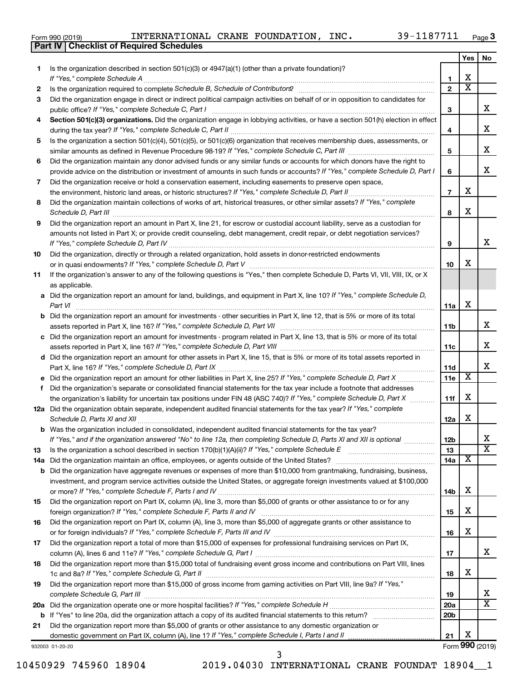|  | Form 990 (2019) |
|--|-----------------|
|  |                 |

**Part IV Checklist of Required Schedules**

|    |                                                                                                                                                                                                                                                                |                 | Yes | No                         |
|----|----------------------------------------------------------------------------------------------------------------------------------------------------------------------------------------------------------------------------------------------------------------|-----------------|-----|----------------------------|
| 1  | Is the organization described in section $501(c)(3)$ or $4947(a)(1)$ (other than a private foundation)?                                                                                                                                                        |                 |     |                            |
|    | If "Yes," complete Schedule A                                                                                                                                                                                                                                  | 1               | x   |                            |
| 2  |                                                                                                                                                                                                                                                                | $\mathbf{2}$    | x   |                            |
| 3  | Did the organization engage in direct or indirect political campaign activities on behalf of or in opposition to candidates for                                                                                                                                |                 |     |                            |
|    | public office? If "Yes," complete Schedule C, Part I                                                                                                                                                                                                           | 3               |     | x.                         |
| 4  | Section 501(c)(3) organizations. Did the organization engage in lobbying activities, or have a section 501(h) election in effect                                                                                                                               | 4               |     | x                          |
| 5  | Is the organization a section 501(c)(4), 501(c)(5), or 501(c)(6) organization that receives membership dues, assessments, or                                                                                                                                   |                 |     |                            |
|    |                                                                                                                                                                                                                                                                | 5               |     | x                          |
| 6  | Did the organization maintain any donor advised funds or any similar funds or accounts for which donors have the right to                                                                                                                                      |                 |     |                            |
|    | provide advice on the distribution or investment of amounts in such funds or accounts? If "Yes," complete Schedule D, Part I                                                                                                                                   | 6               |     | x                          |
| 7  | Did the organization receive or hold a conservation easement, including easements to preserve open space,                                                                                                                                                      |                 |     |                            |
|    |                                                                                                                                                                                                                                                                | $\overline{7}$  | x.  |                            |
| 8  | Did the organization maintain collections of works of art, historical treasures, or other similar assets? If "Yes," complete                                                                                                                                   |                 |     |                            |
|    | Schedule D, Part III <b>Process Construction Construction Construction</b> Construction Construction Construction Construction Construction Construction Construction Construction Construction Construction Construction Construct                            | 8               | x   |                            |
| 9  | Did the organization report an amount in Part X, line 21, for escrow or custodial account liability, serve as a custodian for                                                                                                                                  |                 |     |                            |
|    | amounts not listed in Part X; or provide credit counseling, debt management, credit repair, or debt negotiation services?                                                                                                                                      |                 |     | x.                         |
|    |                                                                                                                                                                                                                                                                | 9               |     |                            |
| 10 | Did the organization, directly or through a related organization, hold assets in donor-restricted endowments                                                                                                                                                   | 10              | x   |                            |
| 11 | If the organization's answer to any of the following questions is "Yes," then complete Schedule D, Parts VI, VII, VIII, IX, or X                                                                                                                               |                 |     |                            |
|    | as applicable.                                                                                                                                                                                                                                                 |                 |     |                            |
|    | a Did the organization report an amount for land, buildings, and equipment in Part X, line 10? If "Yes," complete Schedule D,                                                                                                                                  |                 |     |                            |
|    | Part VI                                                                                                                                                                                                                                                        | 11a             | х   |                            |
|    | <b>b</b> Did the organization report an amount for investments - other securities in Part X, line 12, that is 5% or more of its total                                                                                                                          |                 |     |                            |
|    |                                                                                                                                                                                                                                                                | 11b             |     | x                          |
|    | c Did the organization report an amount for investments - program related in Part X, line 13, that is 5% or more of its total                                                                                                                                  |                 |     |                            |
|    |                                                                                                                                                                                                                                                                | 11c             |     | x                          |
|    | d Did the organization report an amount for other assets in Part X, line 15, that is 5% or more of its total assets reported in                                                                                                                                |                 |     |                            |
|    |                                                                                                                                                                                                                                                                | 11d             |     | x.                         |
|    | e Did the organization report an amount for other liabilities in Part X, line 25? If "Yes," complete Schedule D, Part X                                                                                                                                        | 11e             | X   |                            |
| f. | Did the organization's separate or consolidated financial statements for the tax year include a footnote that addresses                                                                                                                                        |                 |     |                            |
|    | the organization's liability for uncertain tax positions under FIN 48 (ASC 740)? If "Yes," complete Schedule D, Part X                                                                                                                                         | 11f             | x   |                            |
|    | 12a Did the organization obtain separate, independent audited financial statements for the tax year? If "Yes," complete                                                                                                                                        |                 |     |                            |
|    | Schedule D, Parts XI and XII                                                                                                                                                                                                                                   | 12a             | x   |                            |
|    | b Was the organization included in consolidated, independent audited financial statements for the tax year?                                                                                                                                                    |                 |     |                            |
|    | If "Yes," and if the organization answered "No" to line 12a, then completing Schedule D, Parts XI and XII is optional www.                                                                                                                                     | 12 <sub>b</sub> |     | x<br>$\overline{\text{x}}$ |
| 13 | Is the organization a school described in section $170(b)(1)(A)(ii)?$ If "Yes," complete Schedule E                                                                                                                                                            | 13              |     |                            |
|    | 14a Did the organization maintain an office, employees, or agents outside of the United States?                                                                                                                                                                | 14a             | х   |                            |
|    | <b>b</b> Did the organization have aggregate revenues or expenses of more than \$10,000 from grantmaking, fundraising, business,<br>investment, and program service activities outside the United States, or aggregate foreign investments valued at \$100,000 |                 |     |                            |
|    |                                                                                                                                                                                                                                                                | 14b             | x   |                            |
| 15 | Did the organization report on Part IX, column (A), line 3, more than \$5,000 of grants or other assistance to or for any                                                                                                                                      |                 |     |                            |
|    |                                                                                                                                                                                                                                                                | 15              | x   |                            |
| 16 | Did the organization report on Part IX, column (A), line 3, more than \$5,000 of aggregate grants or other assistance to                                                                                                                                       |                 |     |                            |
|    |                                                                                                                                                                                                                                                                | 16              | x   |                            |
| 17 | Did the organization report a total of more than \$15,000 of expenses for professional fundraising services on Part IX,                                                                                                                                        |                 |     |                            |
|    |                                                                                                                                                                                                                                                                | 17              |     | x                          |
| 18 | Did the organization report more than \$15,000 total of fundraising event gross income and contributions on Part VIII, lines                                                                                                                                   |                 |     |                            |
|    |                                                                                                                                                                                                                                                                | 18              | x   |                            |
| 19 | Did the organization report more than \$15,000 of gross income from gaming activities on Part VIII, line 9a? If "Yes,"                                                                                                                                         |                 |     |                            |
|    |                                                                                                                                                                                                                                                                | 19              |     | x                          |
|    |                                                                                                                                                                                                                                                                | 20a             |     | X.                         |
|    |                                                                                                                                                                                                                                                                | 20 <sub>b</sub> |     |                            |
| 21 | Did the organization report more than \$5,000 of grants or other assistance to any domestic organization or                                                                                                                                                    |                 |     |                            |
|    |                                                                                                                                                                                                                                                                | 21              | x   |                            |

932003 01-20-20

3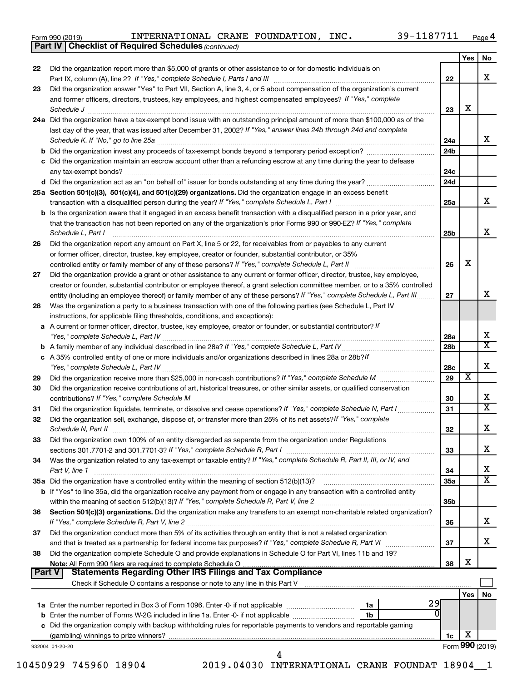|  | Form 990 (2019) |  |
|--|-----------------|--|
|  |                 |  |

**Part IV Checklist of Required Schedules**

*(continued)*

|               |                                                                                                                                             |                 | Yes | No                      |
|---------------|---------------------------------------------------------------------------------------------------------------------------------------------|-----------------|-----|-------------------------|
| 22            | Did the organization report more than \$5,000 of grants or other assistance to or for domestic individuals on                               | 22              |     | x                       |
| 23            | Did the organization answer "Yes" to Part VII, Section A, line 3, 4, or 5 about compensation of the organization's current                  |                 |     |                         |
|               | and former officers, directors, trustees, key employees, and highest compensated employees? If "Yes," complete<br>Schedule J                | 23              | X   |                         |
|               | 24a Did the organization have a tax-exempt bond issue with an outstanding principal amount of more than \$100,000 as of the                 |                 |     |                         |
|               | last day of the year, that was issued after December 31, 2002? If "Yes," answer lines 24b through 24d and complete                          |                 |     |                         |
|               | Schedule K. If "No," go to line 25a                                                                                                         | 24a             |     | x                       |
|               |                                                                                                                                             | 24 <sub>b</sub> |     |                         |
|               | c Did the organization maintain an escrow account other than a refunding escrow at any time during the year to defease                      |                 |     |                         |
|               | any tax-exempt bonds?                                                                                                                       | 24c             |     |                         |
|               |                                                                                                                                             | 24d             |     |                         |
|               | 25a Section 501(c)(3), 501(c)(4), and 501(c)(29) organizations. Did the organization engage in an excess benefit                            |                 |     |                         |
|               |                                                                                                                                             | 25a             |     | x                       |
|               | <b>b</b> Is the organization aware that it engaged in an excess benefit transaction with a disqualified person in a prior year, and         |                 |     |                         |
|               | that the transaction has not been reported on any of the organization's prior Forms 990 or 990-EZ? If "Yes," complete<br>Schedule L, Part I | 25b             |     | х                       |
| 26            | Did the organization report any amount on Part X, line 5 or 22, for receivables from or payables to any current                             |                 |     |                         |
|               | or former officer, director, trustee, key employee, creator or founder, substantial contributor, or 35%                                     |                 |     |                         |
|               | controlled entity or family member of any of these persons? If "Yes," complete Schedule L, Part II                                          | 26              | X   |                         |
| 27            | Did the organization provide a grant or other assistance to any current or former officer, director, trustee, key employee,                 |                 |     |                         |
|               | creator or founder, substantial contributor or employee thereof, a grant selection committee member, or to a 35% controlled                 |                 |     |                         |
|               | entity (including an employee thereof) or family member of any of these persons? If "Yes," complete Schedule L, Part III                    | 27              |     | x                       |
| 28            | Was the organization a party to a business transaction with one of the following parties (see Schedule L, Part IV                           |                 |     |                         |
|               | instructions, for applicable filing thresholds, conditions, and exceptions):                                                                |                 |     |                         |
|               | a A current or former officer, director, trustee, key employee, creator or founder, or substantial contributor? If                          |                 |     |                         |
|               |                                                                                                                                             | 28a             |     | х                       |
|               |                                                                                                                                             | 28 <sub>b</sub> |     | X                       |
|               | c A 35% controlled entity of one or more individuals and/or organizations described in lines 28a or 28b?If                                  |                 |     |                         |
|               |                                                                                                                                             | 28c             |     | X                       |
| 29            |                                                                                                                                             | 29              | х   |                         |
| 30            | Did the organization receive contributions of art, historical treasures, or other similar assets, or qualified conservation                 |                 |     |                         |
|               |                                                                                                                                             | 30              |     | х                       |
| 31            | Did the organization liquidate, terminate, or dissolve and cease operations? If "Yes," complete Schedule N, Part I                          | 31              |     | $\overline{\textbf{X}}$ |
| 32            | Did the organization sell, exchange, dispose of, or transfer more than 25% of its net assets? If "Yes," complete<br>Schedule N, Part II     | 32              |     | х                       |
| 33            | Did the organization own 100% of an entity disregarded as separate from the organization under Regulations                                  |                 |     |                         |
|               |                                                                                                                                             | 33              |     | х                       |
| 34            | Was the organization related to any tax-exempt or taxable entity? If "Yes," complete Schedule R, Part II, III, or IV, and                   |                 |     |                         |
|               | Part V, line 1                                                                                                                              | 34              |     | х                       |
|               |                                                                                                                                             | 35a             |     | $\overline{\text{X}}$   |
|               | b If "Yes" to line 35a, did the organization receive any payment from or engage in any transaction with a controlled entity                 |                 |     |                         |
|               |                                                                                                                                             | 35 <sub>b</sub> |     |                         |
| 36            | Section 501(c)(3) organizations. Did the organization make any transfers to an exempt non-charitable related organization?                  |                 |     |                         |
|               |                                                                                                                                             | 36              |     | х                       |
| 37            | Did the organization conduct more than 5% of its activities through an entity that is not a related organization                            |                 |     |                         |
|               | and that is treated as a partnership for federal income tax purposes? If "Yes," complete Schedule R, Part VI                                | 37              |     | x                       |
| 38            | Did the organization complete Schedule O and provide explanations in Schedule O for Part VI, lines 11b and 19?                              |                 | X   |                         |
| <b>Part V</b> | <b>Statements Regarding Other IRS Filings and Tax Compliance</b>                                                                            | 38              |     |                         |
|               |                                                                                                                                             |                 |     |                         |
|               |                                                                                                                                             |                 | Yes | No                      |
|               | 29<br>1a                                                                                                                                    |                 |     |                         |
|               | b Enter the number of Forms W-2G included in line 1a. Enter -0- if not applicable<br>1b                                                     |                 |     |                         |
|               | c Did the organization comply with backup withholding rules for reportable payments to vendors and reportable gaming                        |                 |     |                         |
|               |                                                                                                                                             | 1c              | х   |                         |
|               | 932004 01-20-20                                                                                                                             |                 |     | Form 990 (2019)         |
|               | 4                                                                                                                                           |                 |     |                         |

10450929 745960 18904 2019.04030 INTERNATIONAL CRANE FOUNDAT 18904\_\_1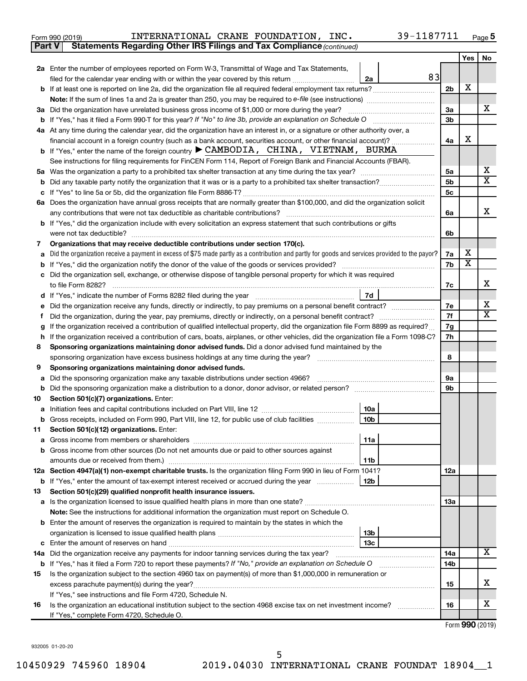| Form 990 (2019) |  | INTERNATIONAL CRANE FOUNDATION, |  |  | $_{\tt INC.}$ | 39-1187711 | Page |
|-----------------|--|---------------------------------|--|--|---------------|------------|------|
|-----------------|--|---------------------------------|--|--|---------------|------------|------|

| Part V | Statements Regarding Other IRS Filings and Tax Compliance (continued)                                                                           |                |                         |    |
|--------|-------------------------------------------------------------------------------------------------------------------------------------------------|----------------|-------------------------|----|
|        |                                                                                                                                                 |                | Yes                     | No |
|        | 2a Enter the number of employees reported on Form W-3, Transmittal of Wage and Tax Statements,                                                  |                |                         |    |
|        | 83<br>filed for the calendar year ending with or within the year covered by this return<br>2a                                                   |                |                         |    |
|        | b If at least one is reported on line 2a, did the organization file all required federal employment tax returns?                                | 2 <sub>b</sub> | X                       |    |
|        |                                                                                                                                                 |                |                         |    |
|        | 3a Did the organization have unrelated business gross income of \$1,000 or more during the year?                                                | За             |                         | x  |
|        | <b>b</b> If "Yes," has it filed a Form 990-T for this year? If "No" to line 3b, provide an explanation on Schedule O                            | 3b             |                         |    |
|        | 4a At any time during the calendar year, did the organization have an interest in, or a signature or other authority over, a                    |                |                         |    |
|        | financial account in a foreign country (such as a bank account, securities account, or other financial account)?                                | 4a             | X                       |    |
|        | <b>b</b> If "Yes," enter the name of the foreign country $\triangleright$ CAMBODIA, CHINA, VIETNAM, BURMA                                       |                |                         |    |
|        | See instructions for filing requirements for FinCEN Form 114, Report of Foreign Bank and Financial Accounts (FBAR).                             |                |                         |    |
| 5a     |                                                                                                                                                 | 5a             |                         | х  |
| b      |                                                                                                                                                 | 5b             |                         | X  |
|        |                                                                                                                                                 | 5с             |                         |    |
|        | 6a Does the organization have annual gross receipts that are normally greater than \$100,000, and did the organization solicit                  |                |                         |    |
|        | any contributions that were not tax deductible as charitable contributions?                                                                     | 6a             |                         | x  |
|        | b If "Yes," did the organization include with every solicitation an express statement that such contributions or gifts                          |                |                         |    |
|        | were not tax deductible?                                                                                                                        | 6b             |                         |    |
| 7      | Organizations that may receive deductible contributions under section 170(c).                                                                   |                |                         |    |
| a      | Did the organization receive a payment in excess of \$75 made partly as a contribution and partly for goods and services provided to the payor? | 7a             | х                       |    |
| b      |                                                                                                                                                 | 7b             | $\overline{\textbf{x}}$ |    |
|        | Did the organization sell, exchange, or otherwise dispose of tangible personal property for which it was required                               |                |                         |    |
|        |                                                                                                                                                 | 7c             |                         | х  |
|        | 7d                                                                                                                                              |                |                         |    |
|        |                                                                                                                                                 | 7е             |                         | х  |
| f      | Did the organization, during the year, pay premiums, directly or indirectly, on a personal benefit contract?                                    | 7f             |                         | X  |
| g      | If the organization received a contribution of qualified intellectual property, did the organization file Form 8899 as required?                | 7g             |                         |    |
| h      | If the organization received a contribution of cars, boats, airplanes, or other vehicles, did the organization file a Form 1098-C?              | 7h             |                         |    |
| 8      | Sponsoring organizations maintaining donor advised funds. Did a donor advised fund maintained by the                                            |                |                         |    |
|        |                                                                                                                                                 | 8              |                         |    |
| 9      | Sponsoring organizations maintaining donor advised funds.                                                                                       |                |                         |    |
| а      | Did the sponsoring organization make any taxable distributions under section 4966?                                                              | 9а             |                         |    |
| b      | Did the sponsoring organization make a distribution to a donor, donor advisor, or related person?                                               | 9b             |                         |    |
| 10     | Section 501(c)(7) organizations. Enter:                                                                                                         |                |                         |    |
|        | 10a                                                                                                                                             |                |                         |    |
|        | b Gross receipts, included on Form 990, Part VIII, line 12, for public use of club facilities<br>10b                                            |                |                         |    |
| 11     | Section 501(c)(12) organizations. Enter:                                                                                                        |                |                         |    |
|        | 11a                                                                                                                                             |                |                         |    |
|        | b Gross income from other sources (Do not net amounts due or paid to other sources against                                                      |                |                         |    |
|        | amounts due or received from them.)<br>11b                                                                                                      |                |                         |    |
|        | 12a Section 4947(a)(1) non-exempt charitable trusts. Is the organization filing Form 990 in lieu of Form 1041?                                  | 12a            |                         |    |
|        | 12 <sub>b</sub><br>b If "Yes," enter the amount of tax-exempt interest received or accrued during the year                                      |                |                         |    |
| 13     | Section 501(c)(29) qualified nonprofit health insurance issuers.                                                                                |                |                         |    |
|        | a Is the organization licensed to issue qualified health plans in more than one state?                                                          | 13a            |                         |    |
|        | Note: See the instructions for additional information the organization must report on Schedule O.                                               |                |                         |    |
|        | <b>b</b> Enter the amount of reserves the organization is required to maintain by the states in which the                                       |                |                         |    |
|        | 13b                                                                                                                                             |                |                         |    |
|        | 13c                                                                                                                                             |                |                         |    |
|        | 14a Did the organization receive any payments for indoor tanning services during the tax year?                                                  | 14a            |                         | x  |
|        | <b>b</b> If "Yes," has it filed a Form 720 to report these payments? If "No," provide an explanation on Schedule O                              | 14b            |                         |    |
| 15     | Is the organization subject to the section 4960 tax on payment(s) of more than \$1,000,000 in remuneration or                                   |                |                         |    |
|        | excess parachute payment(s) during the year?                                                                                                    | 15             |                         | x. |
|        | If "Yes," see instructions and file Form 4720, Schedule N.                                                                                      |                |                         |    |
| 16     | Is the organization an educational institution subject to the section 4968 excise tax on net investment income?                                 | 16             |                         | х  |
|        | If "Yes," complete Form 4720, Schedule O.                                                                                                       |                |                         |    |

Form (2019) **990**

932005 01-20-20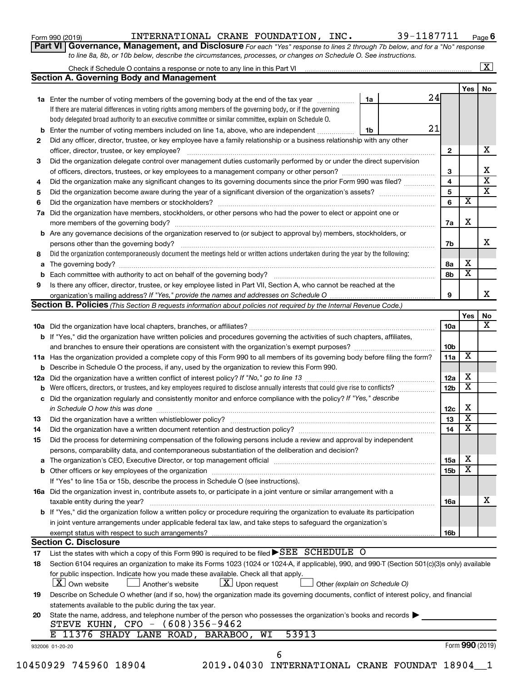|  |  | Form 990 (2019) |  |
|--|--|-----------------|--|
|--|--|-----------------|--|

Form 990 (2019)  ${\tt INTERNATIONAL \ \ \texttt{CRANE} \ \ \texttt{FOUNDATION, \ \ \ \texttt{INC.}} \qquad \qquad 39\,\texttt{-1187711} \qquad \qquad \textcolor{red}{\mathsf{Page}}$ 

**Part VI** Governance, Management, and Disclosure For each "Yes" response to lines 2 through 7b below, and for a "No" response *to line 8a, 8b, or 10b below, describe the circumstances, processes, or changes on Schedule O. See instructions.*

|     |                                                                                                                                                                                                                                |    |     |                 |                         | $\mathbf{X}$            |
|-----|--------------------------------------------------------------------------------------------------------------------------------------------------------------------------------------------------------------------------------|----|-----|-----------------|-------------------------|-------------------------|
|     | <b>Section A. Governing Body and Management</b>                                                                                                                                                                                |    |     |                 |                         |                         |
|     |                                                                                                                                                                                                                                |    |     |                 | Yes                     | No                      |
|     | 1a Enter the number of voting members of the governing body at the end of the tax year                                                                                                                                         | 1a | 24  |                 |                         |                         |
|     | If there are material differences in voting rights among members of the governing body, or if the governing                                                                                                                    |    |     |                 |                         |                         |
|     | body delegated broad authority to an executive committee or similar committee, explain on Schedule O.                                                                                                                          |    |     |                 |                         |                         |
| b   | Enter the number of voting members included on line 1a, above, who are independent                                                                                                                                             | 1b | 21  |                 |                         |                         |
| 2   | Did any officer, director, trustee, or key employee have a family relationship or a business relationship with any other                                                                                                       |    |     |                 |                         |                         |
|     | officer, director, trustee, or key employee?                                                                                                                                                                                   |    |     | $\mathbf{2}$    |                         | х                       |
| 3   | Did the organization delegate control over management duties customarily performed by or under the direct supervision                                                                                                          |    |     |                 |                         |                         |
|     |                                                                                                                                                                                                                                |    |     | 3               |                         | х                       |
| 4   | Did the organization make any significant changes to its governing documents since the prior Form 990 was filed?                                                                                                               |    |     | 4               |                         | $\overline{\textbf{x}}$ |
| 5   |                                                                                                                                                                                                                                |    |     | 5               |                         | $\overline{\textbf{x}}$ |
| 6   |                                                                                                                                                                                                                                |    | 6   |                 | $\overline{\mathbf{x}}$ |                         |
| 7a  | Did the organization have members, stockholders, or other persons who had the power to elect or appoint one or                                                                                                                 |    |     |                 |                         |                         |
|     |                                                                                                                                                                                                                                |    |     | 7a              | Х                       |                         |
| b   | Are any governance decisions of the organization reserved to (or subject to approval by) members, stockholders, or                                                                                                             |    |     |                 |                         |                         |
|     |                                                                                                                                                                                                                                |    | 7b  |                 |                         | x                       |
| 8   | Did the organization contemporaneously document the meetings held or written actions undertaken during the year by the following:                                                                                              |    |     |                 |                         |                         |
| а   |                                                                                                                                                                                                                                |    | 8а  |                 | Х                       |                         |
|     |                                                                                                                                                                                                                                |    | 8b  |                 | $\overline{\mathbf{x}}$ |                         |
| 9   | Is there any officer, director, trustee, or key employee listed in Part VII, Section A, who cannot be reached at the                                                                                                           |    |     |                 |                         |                         |
|     |                                                                                                                                                                                                                                |    | 9   |                 |                         | x                       |
|     | <b>Section B. Policies</b> (This Section B requests information about policies not required by the Internal Revenue Code.)                                                                                                     |    |     |                 |                         |                         |
|     |                                                                                                                                                                                                                                |    |     |                 | Yes                     | No                      |
|     |                                                                                                                                                                                                                                |    |     | <b>10a</b>      |                         |                         |
|     | <b>b</b> If "Yes," did the organization have written policies and procedures governing the activities of such chapters, affiliates,                                                                                            |    |     |                 |                         |                         |
|     |                                                                                                                                                                                                                                |    |     | 10 <sub>b</sub> |                         |                         |
|     | 11a Has the organization provided a complete copy of this Form 990 to all members of its governing body before filing the form?                                                                                                |    |     | 11a             | X                       |                         |
|     | Describe in Schedule O the process, if any, used by the organization to review this Form 990.                                                                                                                                  |    |     |                 |                         |                         |
| 12a |                                                                                                                                                                                                                                |    |     | 12a             | х                       |                         |
|     | Were officers, directors, or trustees, and key employees required to disclose annually interests that could give rise to conflicts?                                                                                            |    |     | 12 <sub>b</sub> | $\overline{\textbf{x}}$ |                         |
| с   | Did the organization regularly and consistently monitor and enforce compliance with the policy? If "Yes," describe                                                                                                             |    |     |                 |                         |                         |
|     | in Schedule O how this was done with an anti-continuum and all of the state of the state of the state of the s                                                                                                                 |    |     | 12c             | Х                       |                         |
| 13  |                                                                                                                                                                                                                                |    |     | 13              | $\overline{\mathbf{X}}$ |                         |
| 14  |                                                                                                                                                                                                                                |    |     | 14              | $\overline{\mathbf{X}}$ |                         |
| 15  | Did the process for determining compensation of the following persons include a review and approval by independent                                                                                                             |    |     |                 |                         |                         |
|     | persons, comparability data, and contemporaneous substantiation of the deliberation and decision?                                                                                                                              |    |     |                 |                         |                         |
|     |                                                                                                                                                                                                                                |    |     |                 | х                       |                         |
| а   | The organization's CEO, Executive Director, or top management official [111] [12] manuscription and an intervention of the organization's CEO, Executive Director, or top management official [12] manuscription and an interv |    |     | 15a             | $\overline{\textbf{x}}$ |                         |
|     |                                                                                                                                                                                                                                |    |     | 15b             |                         |                         |
|     | If "Yes" to line 15a or 15b, describe the process in Schedule O (see instructions).                                                                                                                                            |    |     |                 |                         |                         |
|     | 16a Did the organization invest in, contribute assets to, or participate in a joint venture or similar arrangement with a                                                                                                      |    |     |                 |                         |                         |
|     | taxable entity during the year?                                                                                                                                                                                                |    |     | 16a             |                         | x                       |
|     | b If "Yes," did the organization follow a written policy or procedure requiring the organization to evaluate its participation                                                                                                 |    |     |                 |                         |                         |
|     | in joint venture arrangements under applicable federal tax law, and take steps to safeguard the organization's                                                                                                                 |    |     |                 |                         |                         |
|     | exempt status with respect to such arrangements?                                                                                                                                                                               |    | 16b |                 |                         |                         |
|     | <b>Section C. Disclosure</b>                                                                                                                                                                                                   |    |     |                 |                         |                         |
| 17  | List the states with which a copy of this Form 990 is required to be filed ▶SEE SCHEDULE O                                                                                                                                     |    |     |                 |                         |                         |
| 18  | Section 6104 requires an organization to make its Forms 1023 (1024 or 1024-A, if applicable), 990, and 990-T (Section 501(c)(3)s only) available                                                                               |    |     |                 |                         |                         |
|     | for public inspection. Indicate how you made these available. Check all that apply.                                                                                                                                            |    |     |                 |                         |                         |
|     | $\lfloor x \rfloor$ Upon request<br><b>X</b> Own website<br>Another's website<br>Other (explain on Schedule O)                                                                                                                 |    |     |                 |                         |                         |
| 19  | Describe on Schedule O whether (and if so, how) the organization made its governing documents, conflict of interest policy, and financial                                                                                      |    |     |                 |                         |                         |
|     | statements available to the public during the tax year.                                                                                                                                                                        |    |     |                 |                         |                         |
| 20  | State the name, address, and telephone number of the person who possesses the organization's books and records                                                                                                                 |    |     |                 |                         |                         |
|     | STEVE KUHN, CFO - (608)356-9462                                                                                                                                                                                                |    |     |                 |                         |                         |
|     | 53913<br>11376 SHADY LANE ROAD, BARABOO, WI                                                                                                                                                                                    |    |     |                 |                         |                         |
|     | 932006 01-20-20                                                                                                                                                                                                                |    |     |                 | Form 990 (2019)         |                         |
|     | 6                                                                                                                                                                                                                              |    |     |                 |                         |                         |
|     | 10450929 745960 18904<br>2019.04030 INTERNATIONAL CRANE FOUNDAT 18904_1                                                                                                                                                        |    |     |                 |                         |                         |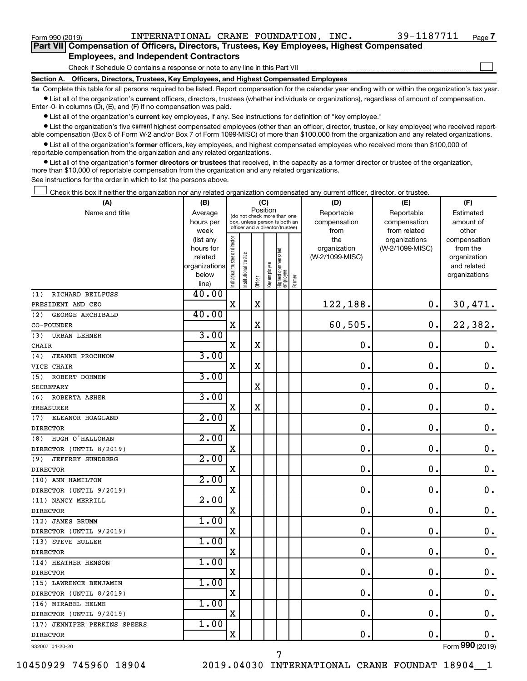| Form 990 (2019)   | INTERNATIONAL CRANE FOUNDATION,                                                            | INC. | 39-1187711 | Page 7 |
|-------------------|--------------------------------------------------------------------------------------------|------|------------|--------|
|                   | Part VII Compensation of Officers, Directors, Trustees, Key Employees, Highest Compensated |      |            |        |
|                   | <b>Employees, and Independent Contractors</b>                                              |      |            |        |
|                   | Check if Schedule O contains a response or note to any line in this Part VII               |      |            |        |
| <b>Section A.</b> | Officers, Directors, Trustees, Key Employees, and Highest Compensated Employees            |      |            |        |

**1a**  Complete this table for all persons required to be listed. Report compensation for the calendar year ending with or within the organization's tax year.  $\bullet$  List all of the organization's current officers, directors, trustees (whether individuals or organizations), regardless of amount of compensation.

Enter -0- in columns (D), (E), and (F) if no compensation was paid.

**•** List all of the organization's current key employees, if any. See instructions for definition of "key employee."

• List the organization's five *current* highest compensated employees (other than an officer, director, trustee, or key employee) who received reportable compensation (Box 5 of Form W-2 and/or Box 7 of Form 1099-MISC) of more than \$100,000 from the organization and any related organizations.

 $\bullet$  List all of the organization's former officers, key employees, and highest compensated employees who received more than \$100,000 of reportable compensation from the organization and any related organizations.

**•** List all of the organization's former directors or trustees that received, in the capacity as a former director or trustee of the organization, more than \$10,000 of reportable compensation from the organization and any related organizations.

See instructions for the order in which to list the persons above.

Check this box if neither the organization nor any related organization compensated any current officer, director, or trustee.  $\Box$ 

| (A)                            | (B)                  |                                |                                         | (C)                                                              |              |                                   |        | (D)                             | (E)             | (F)                      |
|--------------------------------|----------------------|--------------------------------|-----------------------------------------|------------------------------------------------------------------|--------------|-----------------------------------|--------|---------------------------------|-----------------|--------------------------|
| Name and title                 | Average              |                                | Position<br>(do not check more than one |                                                                  |              |                                   |        | Reportable                      | Reportable      | Estimated                |
|                                | hours per            |                                |                                         | box, unless person is both an<br>officer and a director/trustee) |              |                                   |        | compensation                    | compensation    | amount of                |
|                                | week                 |                                |                                         |                                                                  |              |                                   |        | from                            | from related    | other                    |
|                                | (list any            | Individual trustee or director |                                         |                                                                  |              |                                   |        | the                             | organizations   | compensation             |
|                                | hours for<br>related |                                |                                         |                                                                  |              |                                   |        | organization<br>(W-2/1099-MISC) | (W-2/1099-MISC) | from the<br>organization |
|                                | organizations        |                                |                                         |                                                                  |              |                                   |        |                                 |                 | and related              |
|                                | below                |                                |                                         |                                                                  |              |                                   |        |                                 |                 | organizations            |
|                                | line)                |                                | Institutional trustee                   | Officer                                                          | Key employee | Highest compensated<br>  employee | Former |                                 |                 |                          |
| RICHARD BEILFUSS<br>(1)        | 40.00                |                                |                                         |                                                                  |              |                                   |        |                                 |                 |                          |
| PRESIDENT AND CEO              |                      | $\mathbf X$                    |                                         | X                                                                |              |                                   |        | 122,188.                        | 0.              | 30,471.                  |
| GEORGE ARCHIBALD<br>(2)        | 40.00                |                                |                                         |                                                                  |              |                                   |        |                                 |                 |                          |
| CO-FOUNDER                     |                      | X                              |                                         | $\mathbf X$                                                      |              |                                   |        | 60,505.                         | 0.              | 22,382.                  |
| (3)<br><b>URBAN LEHNER</b>     | 3.00                 |                                |                                         |                                                                  |              |                                   |        |                                 |                 |                          |
| CHAIR                          |                      | X                              |                                         | X                                                                |              |                                   |        | $\mathbf 0$                     | 0.              | 0.                       |
| (4)<br><b>JEANNE PROCHNOW</b>  | 3.00                 |                                |                                         |                                                                  |              |                                   |        |                                 |                 |                          |
| VICE CHAIR                     |                      | X                              |                                         | $\mathbf X$                                                      |              |                                   |        | 0.                              | $\mathbf 0$ .   | $\mathbf 0$ .            |
| (5)<br>ROBERT DOHMEN           | 3.00                 |                                |                                         |                                                                  |              |                                   |        |                                 |                 |                          |
| <b>SECRETARY</b>               |                      |                                |                                         | X                                                                |              |                                   |        | 0                               | $\mathbf 0$ .   | $\mathbf 0$ .            |
| ROBERTA ASHER<br>(6)           | 3.00                 |                                |                                         |                                                                  |              |                                   |        |                                 |                 |                          |
| <b>TREASURER</b>               |                      | $\mathbf X$                    |                                         | $\overline{\text{X}}$                                            |              |                                   |        | $\mathbf 0$                     | $\mathbf 0$ .   | $\mathbf 0$ .            |
| ELEANOR HOAGLAND<br>(7)        | 2.00                 |                                |                                         |                                                                  |              |                                   |        |                                 |                 |                          |
| <b>DIRECTOR</b>                |                      | X                              |                                         |                                                                  |              |                                   |        | $\mathbf 0$ .                   | $\mathbf 0$ .   | $\mathbf 0$ .            |
| HUGH O'HALLORAN<br>(8)         | 2.00                 |                                |                                         |                                                                  |              |                                   |        |                                 |                 |                          |
| DIRECTOR (UNTIL 8/2019)        |                      | X                              |                                         |                                                                  |              |                                   |        | $\mathbf 0$ .                   | $\mathbf 0$ .   | 0.                       |
| <b>JEFFREY SUNDBERG</b><br>(9) | 2.00                 |                                |                                         |                                                                  |              |                                   |        |                                 |                 |                          |
| <b>DIRECTOR</b>                |                      | $\mathbf X$                    |                                         |                                                                  |              |                                   |        | $\mathbf 0$ .                   | $\mathbf 0$ .   | $\mathbf 0$ .            |
| (10) ANN HAMILTON              | 2.00                 |                                |                                         |                                                                  |              |                                   |        |                                 |                 |                          |
| DIRECTOR (UNTIL 9/2019)        |                      | $\mathbf X$                    |                                         |                                                                  |              |                                   |        | 0.                              | $\mathbf 0$ .   | 0.                       |
| (11) NANCY MERRILL             | 2.00                 |                                |                                         |                                                                  |              |                                   |        |                                 |                 |                          |
| <b>DIRECTOR</b>                |                      | $\mathbf X$                    |                                         |                                                                  |              |                                   |        | $\mathbf 0$                     | $\mathbf 0$     | $\mathbf 0$ .            |
| (12) JAMES BRUMM               | 1.00                 |                                |                                         |                                                                  |              |                                   |        |                                 |                 |                          |
| DIRECTOR (UNTIL 9/2019)        |                      | $\mathbf X$                    |                                         |                                                                  |              |                                   |        | 0                               | $\mathbf 0$ .   | $\mathbf 0$ .            |
| (13) STEVE EULLER              | 1.00                 |                                |                                         |                                                                  |              |                                   |        |                                 |                 |                          |
| <b>DIRECTOR</b>                |                      | X                              |                                         |                                                                  |              |                                   |        | $\mathbf 0$                     | $\mathbf 0$ .   | $\mathbf 0$ .            |
| (14) HEATHER HENSON            | 1.00                 |                                |                                         |                                                                  |              |                                   |        |                                 |                 |                          |
| <b>DIRECTOR</b>                |                      | $\mathbf X$                    |                                         |                                                                  |              |                                   |        | $\mathbf 0$ .                   | $\mathbf 0$ .   | $\mathbf 0$ .            |
| (15) LAWRENCE BENJAMIN         | 1.00                 |                                |                                         |                                                                  |              |                                   |        |                                 |                 |                          |
| DIRECTOR (UNTIL 8/2019)        |                      | $\mathbf X$                    |                                         |                                                                  |              |                                   |        | 0                               | 0.              | $\mathbf 0$ .            |
| (16) MIRABEL HELME             | 1.00                 |                                |                                         |                                                                  |              |                                   |        |                                 |                 |                          |
| DIRECTOR (UNTIL 9/2019)        |                      | X                              |                                         |                                                                  |              |                                   |        | $\mathbf 0$ .                   | $\mathbf 0$ .   | $\mathbf 0$ .            |
| (17) JENNIFER PERKINS SPEERS   | 1.00                 |                                |                                         |                                                                  |              |                                   |        |                                 |                 |                          |
| <b>DIRECTOR</b>                |                      | $\mathbf X$                    |                                         |                                                                  |              |                                   |        | 0.                              | $\mathbf 0$ .   | $0$ .                    |
| 932007 01-20-20                |                      |                                |                                         |                                                                  |              |                                   |        |                                 |                 | Form 990 (2019)          |

10450929 745960 18904 2019.04030 INTERNATIONAL CRANE FOUNDAT 18904\_\_1 7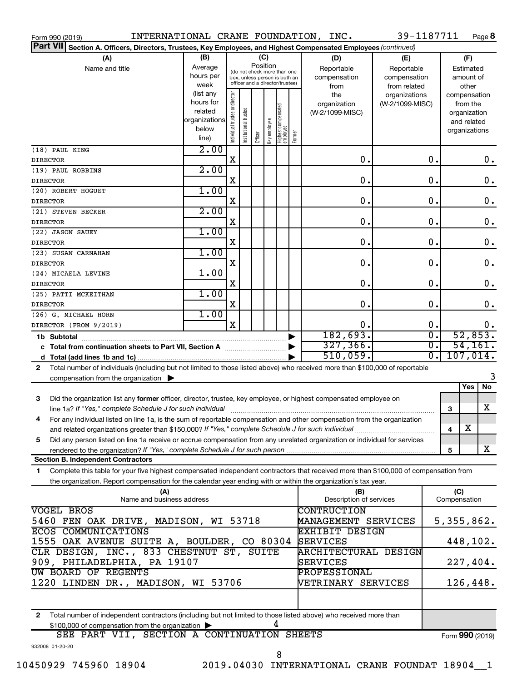| Form 990 (2019)                                                                                                                           |                          |                                |                       |                                                              |              |                                  |        | INTERNATIONAL CRANE FOUNDATION, INC. | 39-1187711      |                                   |                 |               | Page 8        |
|-------------------------------------------------------------------------------------------------------------------------------------------|--------------------------|--------------------------------|-----------------------|--------------------------------------------------------------|--------------|----------------------------------|--------|--------------------------------------|-----------------|-----------------------------------|-----------------|---------------|---------------|
| <b>Part VII</b><br>Section A. Officers, Directors, Trustees, Key Employees, and Highest Compensated Employees (continued)                 |                          |                                |                       |                                                              |              |                                  |        |                                      |                 |                                   |                 |               |               |
| (A)                                                                                                                                       | (B)                      |                                |                       | (C)                                                          |              |                                  |        | (D)                                  | (E)             |                                   |                 | (F)           |               |
| Name and title                                                                                                                            | Average                  |                                |                       | Position                                                     |              |                                  |        | Reportable                           | Reportable      |                                   |                 | Estimated     |               |
|                                                                                                                                           | hours per                |                                |                       | (do not check more than one<br>box, unless person is both an |              |                                  |        | compensation                         | compensation    |                                   |                 | amount of     |               |
|                                                                                                                                           | week                     |                                |                       | officer and a director/trustee)                              |              |                                  |        | from                                 | from related    |                                   |                 | other         |               |
|                                                                                                                                           | (list any                |                                |                       |                                                              |              |                                  |        | the                                  | organizations   |                                   | compensation    |               |               |
|                                                                                                                                           | hours for                |                                |                       |                                                              |              |                                  |        | organization                         | (W-2/1099-MISC) |                                   |                 | from the      |               |
|                                                                                                                                           | related<br>organizations |                                |                       |                                                              |              |                                  |        | (W-2/1099-MISC)                      |                 |                                   |                 | organization  |               |
|                                                                                                                                           | below                    |                                |                       |                                                              |              |                                  |        |                                      |                 |                                   |                 | and related   |               |
|                                                                                                                                           | line)                    | Individual trustee or director | Institutional trustee | Officer                                                      | key employee | Highest compensated<br> employee | Former |                                      |                 |                                   |                 | organizations |               |
| (18) PAUL KING                                                                                                                            | 2.00                     |                                |                       |                                                              |              |                                  |        |                                      |                 |                                   |                 |               |               |
| <b>DIRECTOR</b>                                                                                                                           |                          | X                              |                       |                                                              |              |                                  |        | $\mathbf 0$ .                        |                 | 0.                                |                 |               | 0.            |
| (19) PAUL ROBBINS                                                                                                                         | 2.00                     |                                |                       |                                                              |              |                                  |        |                                      |                 |                                   |                 |               |               |
| <b>DIRECTOR</b>                                                                                                                           |                          | X                              |                       |                                                              |              |                                  |        | 0.                                   |                 | $\mathbf 0$ .                     |                 |               | $\mathbf 0$ . |
| (20) ROBERT HOGUET                                                                                                                        | 1.00                     |                                |                       |                                                              |              |                                  |        |                                      |                 |                                   |                 |               |               |
| <b>DIRECTOR</b>                                                                                                                           | 2.00                     | X                              |                       |                                                              |              |                                  |        | 0.                                   |                 | $\mathbf 0$ .                     |                 |               | $\mathbf 0$ . |
| (21) STEVEN BECKER                                                                                                                        |                          | X                              |                       |                                                              |              |                                  |        | 0.                                   |                 | $\mathbf 0$ .                     |                 |               | $\mathbf 0$ . |
| <b>DIRECTOR</b><br>(22) JASON SAUEY                                                                                                       | 1.00                     |                                |                       |                                                              |              |                                  |        |                                      |                 |                                   |                 |               |               |
| <b>DIRECTOR</b>                                                                                                                           |                          | X                              |                       |                                                              |              |                                  |        | $\mathbf 0$ .                        |                 | $\mathbf 0$ .                     |                 |               | $\mathbf 0$ . |
| (23) SUSAN CARNAHAN                                                                                                                       | 1.00                     |                                |                       |                                                              |              |                                  |        |                                      |                 |                                   |                 |               |               |
| <b>DIRECTOR</b>                                                                                                                           |                          | X                              |                       |                                                              |              |                                  |        | $\mathbf 0$ .                        |                 | $\mathbf 0$ .                     |                 |               | $\mathbf 0$ . |
| (24) MICAELA LEVINE                                                                                                                       | 1.00                     |                                |                       |                                                              |              |                                  |        |                                      |                 |                                   |                 |               |               |
| <b>DIRECTOR</b>                                                                                                                           |                          | X                              |                       |                                                              |              |                                  |        | $\mathbf 0$ .                        |                 | $\mathbf 0$ .                     |                 |               | $\mathbf 0$ . |
| (25) PATTI MCKEITHAN                                                                                                                      | 1.00                     |                                |                       |                                                              |              |                                  |        |                                      |                 |                                   |                 |               |               |
| <b>DIRECTOR</b>                                                                                                                           |                          | х                              |                       |                                                              |              |                                  |        | $\mathbf 0$ .                        |                 | $\mathbf 0$ .                     |                 |               | $\mathbf 0$ . |
| (26) G. MICHAEL HORN                                                                                                                      | 1.00                     |                                |                       |                                                              |              |                                  |        |                                      |                 |                                   |                 |               |               |
| DIRECTOR (FROM 9/2019)                                                                                                                    |                          | $\mathbf X$                    |                       |                                                              |              |                                  |        | 0.                                   |                 | 0.                                |                 |               | 0.            |
| 1b Subtotal                                                                                                                               |                          |                                |                       |                                                              |              |                                  |        | 182,693.                             |                 | $\overline{\mathfrak{o}}$ .<br>σ. |                 |               | 52,853.       |
| c Total from continuation sheets to Part VII, Section A manuscreen continuum                                                              |                          |                                |                       |                                                              |              |                                  |        | 327, 366.                            |                 |                                   |                 |               | 54, 161.      |
|                                                                                                                                           |                          |                                |                       |                                                              |              |                                  |        | 510,059.                             |                 | σ.                                |                 |               | 107,014.      |
| Total number of individuals (including but not limited to those listed above) who received more than \$100,000 of reportable<br>2         |                          |                                |                       |                                                              |              |                                  |        |                                      |                 |                                   |                 |               | 3             |
| compensation from the organization $\blacktriangleright$                                                                                  |                          |                                |                       |                                                              |              |                                  |        |                                      |                 |                                   |                 | Yes           | No            |
| Did the organization list any former officer, director, trustee, key employee, or highest compensated employee on<br>3                    |                          |                                |                       |                                                              |              |                                  |        |                                      |                 |                                   |                 |               |               |
|                                                                                                                                           |                          |                                |                       |                                                              |              |                                  |        |                                      |                 |                                   | 3               |               | X             |
| For any individual listed on line 1a, is the sum of reportable compensation and other compensation from the organization                  |                          |                                |                       |                                                              |              |                                  |        |                                      |                 |                                   |                 |               |               |
| and related organizations greater than \$150,000? If "Yes," complete Schedule J for such individual                                       |                          |                                |                       |                                                              |              |                                  |        |                                      |                 |                                   | 4               | х             |               |
| Did any person listed on line 1a receive or accrue compensation from any unrelated organization or individual for services<br>5           |                          |                                |                       |                                                              |              |                                  |        |                                      |                 |                                   |                 |               |               |
|                                                                                                                                           |                          |                                |                       |                                                              |              |                                  |        |                                      |                 |                                   | 5               |               | X             |
| <b>Section B. Independent Contractors</b>                                                                                                 |                          |                                |                       |                                                              |              |                                  |        |                                      |                 |                                   |                 |               |               |
| Complete this table for your five highest compensated independent contractors that received more than \$100,000 of compensation from<br>1 |                          |                                |                       |                                                              |              |                                  |        |                                      |                 |                                   |                 |               |               |
| the organization. Report compensation for the calendar year ending with or within the organization's tax year.                            |                          |                                |                       |                                                              |              |                                  |        |                                      |                 |                                   |                 |               |               |
| (A)                                                                                                                                       |                          |                                |                       |                                                              |              |                                  |        | (B)                                  |                 |                                   | (C)             |               |               |
| Name and business address                                                                                                                 |                          |                                |                       |                                                              |              |                                  |        | Description of services              |                 |                                   | Compensation    |               |               |
| VOGEL BROS                                                                                                                                |                          |                                |                       |                                                              |              |                                  |        | <b>CONTRUCTION</b>                   |                 |                                   |                 |               |               |
| 5460 FEN OAK DRIVE, MADISON, WI 53718                                                                                                     |                          |                                |                       |                                                              |              |                                  |        | MANAGEMENT SERVICES                  |                 |                                   | 5,355,862.      |               |               |
| ECOS COMMUNICATIONS                                                                                                                       |                          |                                |                       |                                                              |              |                                  |        | <b>EXHIBIT DESIGN</b>                |                 |                                   |                 |               |               |
| 1555 OAK AVENUE SUITE A, BOULDER, CO 80304                                                                                                |                          |                                |                       |                                                              |              |                                  |        | <b>SERVICES</b>                      |                 |                                   |                 |               | 448,102.      |
| CLR DESIGN, INC., 833 CHESTNUT ST, SUITE                                                                                                  |                          |                                |                       |                                                              |              |                                  |        | <b>ARCHITECTURAL DESIGN</b>          |                 |                                   |                 |               |               |
| 909, PHILADELPHIA, PA 19107<br><b>UW BOARD OF REGENTS</b>                                                                                 |                          |                                |                       |                                                              |              |                                  |        | SERVICES<br>PROFESSIONAL             |                 |                                   |                 |               | 227,404.      |
| 1220 LINDEN DR., MADISON, WI 53706                                                                                                        |                          |                                |                       |                                                              |              |                                  |        | VETRINARY SERVICES                   |                 |                                   |                 |               | 126,448.      |
|                                                                                                                                           |                          |                                |                       |                                                              |              |                                  |        |                                      |                 |                                   |                 |               |               |
| Total number of independent contractors (including but not limited to those listed above) who received more than<br>2                     |                          |                                |                       |                                                              |              |                                  |        |                                      |                 |                                   |                 |               |               |
| \$100,000 of compensation from the organization                                                                                           |                          |                                |                       |                                                              |              |                                  |        |                                      |                 |                                   |                 |               |               |
| SEE PART VII, SECTION A CONTINUATION SHEETS                                                                                               |                          |                                |                       |                                                              |              |                                  |        |                                      |                 |                                   | Form 990 (2019) |               |               |
| 932008 01-20-20                                                                                                                           |                          |                                |                       |                                                              |              |                                  |        |                                      |                 |                                   |                 |               |               |
|                                                                                                                                           |                          |                                |                       |                                                              |              | 8                                |        |                                      |                 |                                   |                 |               |               |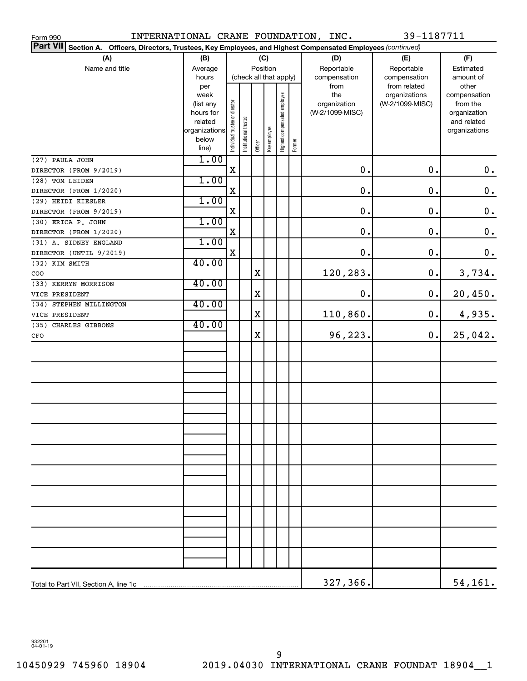| INTERNATIONAL CRANE FOUNDATION, INC.<br>Form 990                                                                   |                          |                                |                        |             |              |                              |        |                 | 39-1187711      |                              |
|--------------------------------------------------------------------------------------------------------------------|--------------------------|--------------------------------|------------------------|-------------|--------------|------------------------------|--------|-----------------|-----------------|------------------------------|
| Part VII Section A.<br>Officers, Directors, Trustees, Key Employees, and Highest Compensated Employees (continued) |                          |                                |                        |             |              |                              |        |                 |                 |                              |
| (A)                                                                                                                | (B)                      |                                |                        |             | (C)          |                              |        | (D)             | (E)             | (F)                          |
| Name and title                                                                                                     | Average                  |                                |                        | Position    |              |                              |        | Reportable      | Reportable      | Estimated                    |
|                                                                                                                    | hours                    |                                | (check all that apply) |             |              |                              |        | compensation    | compensation    | amount of                    |
|                                                                                                                    | per                      |                                |                        |             |              |                              |        | from            | from related    | other                        |
|                                                                                                                    | week                     |                                |                        |             |              |                              |        | the             | organizations   | compensation                 |
|                                                                                                                    | (list any                |                                |                        |             |              |                              |        | organization    | (W-2/1099-MISC) | from the                     |
|                                                                                                                    | hours for                |                                |                        |             |              |                              |        | (W-2/1099-MISC) |                 | organization                 |
|                                                                                                                    | related<br>organizations |                                |                        |             |              |                              |        |                 |                 | and related<br>organizations |
|                                                                                                                    | below                    | Individual trustee or director | Institutional trustee  |             |              |                              |        |                 |                 |                              |
|                                                                                                                    | line)                    |                                |                        | Officer     | Key employee | Highest compensated employee | Former |                 |                 |                              |
| (27) PAULA JOHN                                                                                                    | 1.00                     |                                |                        |             |              |                              |        |                 |                 |                              |
| DIRECTOR (FROM 9/2019)                                                                                             |                          | $\mathbf X$                    |                        |             |              |                              |        | 0.              | 0.              | $\mathbf 0$ .                |
| (28) TOM LEIDEN                                                                                                    | 1.00                     |                                |                        |             |              |                              |        |                 |                 |                              |
| DIRECTOR (FROM 1/2020)                                                                                             |                          | X                              |                        |             |              |                              |        | 0.              | 0.              | $\mathbf 0$ .                |
| (29) HEIDI KIESLER                                                                                                 | 1.00                     |                                |                        |             |              |                              |        |                 |                 |                              |
| DIRECTOR (FROM 9/2019)                                                                                             |                          | X                              |                        |             |              |                              |        | 0.              | 0.              | $\mathbf 0$ .                |
| (30) ERICA P. JOHN                                                                                                 | 1.00                     |                                |                        |             |              |                              |        |                 |                 |                              |
| DIRECTOR (FROM 1/2020)                                                                                             |                          | X                              |                        |             |              |                              |        | 0.              | 0.              | $\mathbf 0$ .                |
| (31) A. SIDNEY ENGLAND                                                                                             | 1.00                     |                                |                        |             |              |                              |        |                 |                 |                              |
| DIRECTOR (UNTIL 9/2019)                                                                                            |                          | $\mathbf X$                    |                        |             |              |                              |        | 0.              | 0.              | $\boldsymbol{0}$ .           |
| (32) KIM SMITH                                                                                                     | 40.00                    |                                |                        |             |              |                              |        |                 |                 |                              |
| COO                                                                                                                |                          |                                |                        | X           |              |                              |        | 120,283.        | 0.              | 3,734.                       |
| (33) KERRYN MORRISON                                                                                               | 40.00                    |                                |                        |             |              |                              |        |                 |                 |                              |
| VICE PRESIDENT                                                                                                     |                          |                                |                        | X           |              |                              |        | 0.              | $\mathbf 0$ .   | 20,450.                      |
| (34) STEPHEN MILLINGTON                                                                                            | 40.00                    |                                |                        |             |              |                              |        |                 |                 |                              |
| VICE PRESIDENT                                                                                                     |                          |                                |                        | X           |              |                              |        | 110,860.        | 0.              | 4,935.                       |
| (35) CHARLES GIBBONS                                                                                               | 40.00                    |                                |                        |             |              |                              |        |                 |                 |                              |
| CFO                                                                                                                |                          |                                |                        | $\mathbf X$ |              |                              |        | 96,223.         | $\mathbf 0$ .   | 25,042.                      |
|                                                                                                                    |                          |                                |                        |             |              |                              |        |                 |                 |                              |
|                                                                                                                    |                          |                                |                        |             |              |                              |        |                 |                 |                              |
|                                                                                                                    |                          |                                |                        |             |              |                              |        |                 |                 |                              |
|                                                                                                                    |                          |                                |                        |             |              |                              |        |                 |                 |                              |
|                                                                                                                    |                          |                                |                        |             |              |                              |        |                 |                 |                              |
|                                                                                                                    |                          |                                |                        |             |              |                              |        |                 |                 |                              |
|                                                                                                                    |                          |                                |                        |             |              |                              |        |                 |                 |                              |
|                                                                                                                    |                          |                                |                        |             |              |                              |        |                 |                 |                              |
|                                                                                                                    |                          |                                |                        |             |              |                              |        |                 |                 |                              |
|                                                                                                                    |                          |                                |                        |             |              |                              |        |                 |                 |                              |
|                                                                                                                    |                          |                                |                        |             |              |                              |        |                 |                 |                              |
|                                                                                                                    |                          |                                |                        |             |              |                              |        |                 |                 |                              |
|                                                                                                                    |                          |                                |                        |             |              |                              |        |                 |                 |                              |
|                                                                                                                    |                          |                                |                        |             |              |                              |        |                 |                 |                              |
|                                                                                                                    |                          |                                |                        |             |              |                              |        |                 |                 |                              |
|                                                                                                                    |                          |                                |                        |             |              |                              |        |                 |                 |                              |
|                                                                                                                    |                          |                                |                        |             |              |                              |        |                 |                 |                              |
|                                                                                                                    |                          |                                |                        |             |              |                              |        |                 |                 |                              |
|                                                                                                                    |                          |                                |                        |             |              |                              |        |                 |                 |                              |
|                                                                                                                    |                          |                                |                        |             |              |                              |        |                 |                 |                              |
|                                                                                                                    |                          |                                |                        |             |              |                              |        |                 |                 |                              |
|                                                                                                                    |                          |                                |                        |             |              |                              |        |                 |                 |                              |
|                                                                                                                    |                          |                                |                        |             |              |                              |        |                 |                 |                              |
|                                                                                                                    |                          |                                |                        |             |              |                              |        | 327,366.        |                 | 54, 161.                     |

932201 04-01-19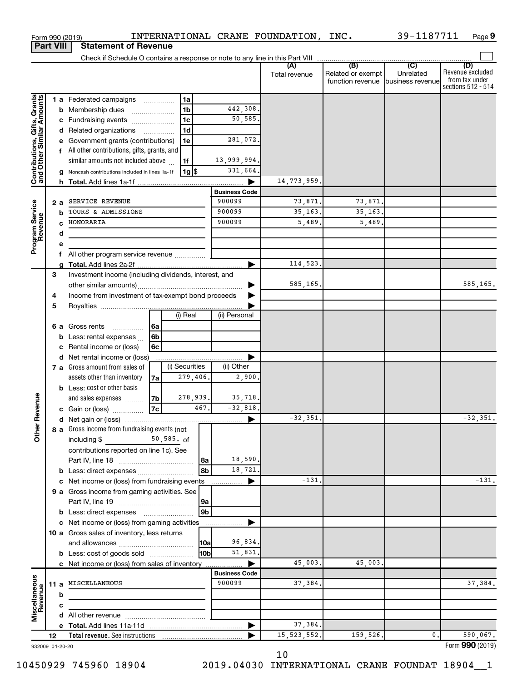| <b>Part VIII</b>                                          |    |     | <b>Statement of Revenue</b>                             |                |                      |               |                                                        |           |                                                                 |
|-----------------------------------------------------------|----|-----|---------------------------------------------------------|----------------|----------------------|---------------|--------------------------------------------------------|-----------|-----------------------------------------------------------------|
|                                                           |    |     |                                                         |                |                      |               |                                                        |           |                                                                 |
|                                                           |    |     |                                                         |                |                      | Total revenue | Related or exempt<br>function revenue business revenue | Unrelated | (D)<br>Revenue excluded<br>from tax under<br>sections 512 - 514 |
|                                                           |    |     | 1 a Federated campaigns<br>1a                           |                |                      |               |                                                        |           |                                                                 |
|                                                           |    | b   | 1 <sub>b</sub><br>Membership dues                       |                | 442,308.             |               |                                                        |           |                                                                 |
|                                                           |    |     | 1 <sub>c</sub><br>Fundraising events                    |                | 50,585.              |               |                                                        |           |                                                                 |
|                                                           |    | d   | 1 <sub>d</sub><br>Related organizations<br>.            |                |                      |               |                                                        |           |                                                                 |
|                                                           |    |     | Government grants (contributions)<br>1e                 |                | 281,072.             |               |                                                        |           |                                                                 |
|                                                           |    | f   | All other contributions, gifts, grants, and             |                |                      |               |                                                        |           |                                                                 |
|                                                           |    |     | similar amounts not included above<br>1f                |                | 13,999,994.          |               |                                                        |           |                                                                 |
| Contributions, Gifts, Grants<br>and Other Similar Amounts |    |     | 1g  \$<br>Noncash contributions included in lines 1a-1f |                | 331,664.             |               |                                                        |           |                                                                 |
|                                                           |    | h.  |                                                         |                |                      | 14,773,959.   |                                                        |           |                                                                 |
|                                                           |    |     |                                                         |                | <b>Business Code</b> |               |                                                        |           |                                                                 |
|                                                           |    | 2 a | SERVICE REVENUE                                         |                | 900099               | 73,871.       | 73,871.                                                |           |                                                                 |
|                                                           |    | b   | TOURS & ADMISSIONS                                      |                | 900099               | 35, 163.      | 35, 163.                                               |           |                                                                 |
|                                                           |    | C   | HONORARIA                                               |                | 900099               | 5,489.        | 5,489,                                                 |           |                                                                 |
|                                                           |    | d   |                                                         |                |                      |               |                                                        |           |                                                                 |
| Program Service<br>Revenue                                |    |     |                                                         |                |                      |               |                                                        |           |                                                                 |
|                                                           |    | f   | All other program service revenue                       |                |                      |               |                                                        |           |                                                                 |
|                                                           |    |     |                                                         |                |                      | 114,523.      |                                                        |           |                                                                 |
|                                                           | 3  |     | Investment income (including dividends, interest, and   |                |                      |               |                                                        |           |                                                                 |
|                                                           |    |     |                                                         |                |                      | 585,165.      |                                                        |           | 585,165.                                                        |
|                                                           | 4  |     | Income from investment of tax-exempt bond proceeds      |                |                      |               |                                                        |           |                                                                 |
|                                                           | 5  |     | (i) Real                                                |                | (ii) Personal        |               |                                                        |           |                                                                 |
|                                                           |    | 6а  | Gross rents<br>l 6a                                     |                |                      |               |                                                        |           |                                                                 |
|                                                           |    | b   | .<br>6b<br>Less: rental expenses                        |                |                      |               |                                                        |           |                                                                 |
|                                                           |    |     | 6c<br>Rental income or (loss)                           |                |                      |               |                                                        |           |                                                                 |
|                                                           |    | d   | Net rental income or (loss)                             |                |                      |               |                                                        |           |                                                                 |
|                                                           |    |     | (i) Securities<br>7 a Gross amount from sales of        |                | (ii) Other           |               |                                                        |           |                                                                 |
|                                                           |    |     | 279,406.<br>assets other than inventory<br>7a           |                | 2,900,               |               |                                                        |           |                                                                 |
|                                                           |    |     | <b>b</b> Less: cost or other basis                      |                |                      |               |                                                        |           |                                                                 |
|                                                           |    |     | 278,939.<br>7b<br>and sales expenses                    |                | 35,718.              |               |                                                        |           |                                                                 |
| Revenue                                                   |    |     | 7c<br>c Gain or (loss)                                  | 467.           | $-32,818.$           |               |                                                        |           |                                                                 |
|                                                           |    |     |                                                         |                |                      | $-32, 351,$   |                                                        |           | $-32,351.$                                                      |
| ৯                                                         |    |     | 8 a Gross income from fundraising events (not           |                |                      |               |                                                        |           |                                                                 |
| Ĕ                                                         |    |     | $50, 585.$ of<br>including \$                           |                |                      |               |                                                        |           |                                                                 |
|                                                           |    |     | contributions reported on line 1c). See                 |                |                      |               |                                                        |           |                                                                 |
|                                                           |    |     |                                                         | l 8a           | 18,590.              |               |                                                        |           |                                                                 |
|                                                           |    |     |                                                         | 8b             | 18,721.              |               |                                                        |           |                                                                 |
|                                                           |    |     | c Net income or (loss) from fundraising events          |                |                      | $-131.$       |                                                        |           | $-131.$                                                         |
|                                                           |    |     | 9 a Gross income from gaming activities. See            |                |                      |               |                                                        |           |                                                                 |
|                                                           |    |     |                                                         | 9a             |                      |               |                                                        |           |                                                                 |
|                                                           |    |     | <b>b</b> Less: direct expenses <b>manually</b>          | 9 <sub>b</sub> |                      |               |                                                        |           |                                                                 |
|                                                           |    |     | c Net income or (loss) from gaming activities           |                |                      |               |                                                        |           |                                                                 |
|                                                           |    |     | 10 a Gross sales of inventory, less returns             |                |                      |               |                                                        |           |                                                                 |
|                                                           |    |     |                                                         | 10a            | 96,834.              |               |                                                        |           |                                                                 |
|                                                           |    |     | <b>b</b> Less: cost of goods sold                       | 10bl           | 51,831.              | 45,003.       | 45,003.                                                |           |                                                                 |
|                                                           |    |     | c Net income or (loss) from sales of inventory          |                | <b>Business Code</b> |               |                                                        |           |                                                                 |
|                                                           |    |     | 11 a MISCELLANEOUS                                      |                | 900099               | 37,384.       |                                                        |           | 37,384.                                                         |
| Miscellaneous<br>Revenue                                  |    | b   |                                                         |                |                      |               |                                                        |           |                                                                 |
|                                                           |    | с   |                                                         |                |                      |               |                                                        |           |                                                                 |
|                                                           |    |     |                                                         |                |                      |               |                                                        |           |                                                                 |
|                                                           |    |     |                                                         |                | ▶                    | 37,384.       |                                                        |           |                                                                 |
|                                                           | 12 |     |                                                         |                |                      | 15, 523, 552. | 159,526.                                               | 0.        | 590,067.                                                        |
| 932009 01-20-20                                           |    |     |                                                         |                |                      |               |                                                        |           | Form 990 (2019)                                                 |

Form 990 (2019) INTERNATIONAL CRANE FOUNDATION, INC. 39-1187711 Page **9** 

10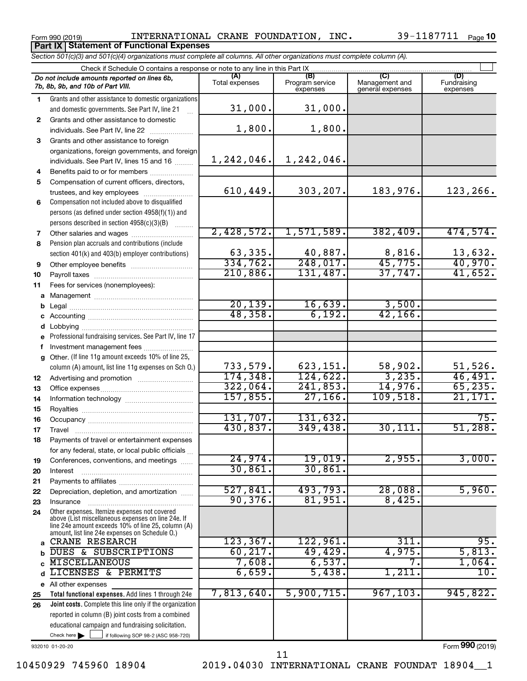Form 990 (2019)  $\,$  INTERNATIONAL CRANE FOUNDATION, INC.  $\,$  39-1187711  $_{\rm Page}$ **Part IX Statement of Functional Expenses**

39-1187711 Page 10

|              | Section 501(c)(3) and 501(c)(4) organizations must complete all columns. All other organizations must complete column (A).                                                                                 |                       |                                    |                                    |                         |
|--------------|------------------------------------------------------------------------------------------------------------------------------------------------------------------------------------------------------------|-----------------------|------------------------------------|------------------------------------|-------------------------|
|              | Check if Schedule O contains a response or note to any line in this Part IX                                                                                                                                |                       |                                    |                                    |                         |
|              | Do not include amounts reported on lines 6b,<br>7b, 8b, 9b, and 10b of Part VIII.                                                                                                                          | (A)<br>Total expenses | (B)<br>Program service<br>expenses | Management and<br>general expenses | Fundraising<br>expenses |
| 1.           | Grants and other assistance to domestic organizations<br>and domestic governments. See Part IV, line 21                                                                                                    | 31,000.               | 31,000.                            |                                    |                         |
| $\mathbf{2}$ | Grants and other assistance to domestic                                                                                                                                                                    | 1,800.                | 1,800.                             |                                    |                         |
|              |                                                                                                                                                                                                            |                       |                                    |                                    |                         |
| 3            | Grants and other assistance to foreign                                                                                                                                                                     |                       |                                    |                                    |                         |
|              | organizations, foreign governments, and foreign                                                                                                                                                            | 1,242,046.            | 1,242,046.                         |                                    |                         |
|              | individuals. See Part IV, lines 15 and 16                                                                                                                                                                  |                       |                                    |                                    |                         |
| 4            | Benefits paid to or for members                                                                                                                                                                            |                       |                                    |                                    |                         |
| 5            | Compensation of current officers, directors,<br>trustees, and key employees                                                                                                                                | 610, 449.             | 303,207.                           | 183,976.                           | 123,266.                |
| 6            | Compensation not included above to disqualified                                                                                                                                                            |                       |                                    |                                    |                         |
|              | persons (as defined under section 4958(f)(1)) and                                                                                                                                                          |                       |                                    |                                    |                         |
|              | persons described in section 4958(c)(3)(B)                                                                                                                                                                 |                       |                                    |                                    |                         |
| 7            |                                                                                                                                                                                                            | 2,428,572.            | 1,571,589.                         | 382,409.                           | 474,574.                |
| 8            | Pension plan accruals and contributions (include                                                                                                                                                           |                       |                                    |                                    |                         |
|              | section 401(k) and 403(b) employer contributions)                                                                                                                                                          | 63,335.               | 40,887.                            | 8,816.                             | 13,632.                 |
| 9            |                                                                                                                                                                                                            | 334,762.              | 248,017.                           | 45,775.                            | 40,970.                 |
| 10           |                                                                                                                                                                                                            | 210,886.              | 131,487.                           | 37,747.                            | 41,652.                 |
| 11           | Fees for services (nonemployees):                                                                                                                                                                          |                       |                                    |                                    |                         |
|              |                                                                                                                                                                                                            |                       |                                    |                                    |                         |
| b            |                                                                                                                                                                                                            | 20, 139.              | 16,639.                            | 3,500.                             |                         |
|              |                                                                                                                                                                                                            | 48,358.               | 6,192.                             | 42, 166.                           |                         |
|              |                                                                                                                                                                                                            |                       |                                    |                                    |                         |
|              | e Professional fundraising services. See Part IV, line 17                                                                                                                                                  |                       |                                    |                                    |                         |
|              | f Investment management fees                                                                                                                                                                               |                       |                                    |                                    |                         |
|              | g Other. (If line 11g amount exceeds 10% of line 25,                                                                                                                                                       |                       |                                    |                                    |                         |
|              | column (A) amount, list line 11g expenses on Sch O.)                                                                                                                                                       | 733,579.              | 623,151.                           | 58,902.                            | 51,526.                 |
| 12           |                                                                                                                                                                                                            | 174, 348.             | 124,622.                           | 3,235.                             | 46,491.                 |
| 13           |                                                                                                                                                                                                            | 322,064.              | 241,853.                           | 14,976.                            | 65, 235.                |
| 14           |                                                                                                                                                                                                            | 157,855.              | 27,166.                            | 109,518.                           | 21,171.                 |
| 15           |                                                                                                                                                                                                            |                       |                                    |                                    | 75.                     |
| 16           |                                                                                                                                                                                                            | 131,707.<br>430,837.  | 131,632.                           |                                    | 51,288.                 |
| 17           |                                                                                                                                                                                                            |                       | 349,438.                           | 30, 111.                           |                         |
| 18           | Payments of travel or entertainment expenses                                                                                                                                                               |                       |                                    |                                    |                         |
|              | for any federal, state, or local public officials                                                                                                                                                          | 24,974.               | 19,019.                            | 2,955.                             | 3,000.                  |
| 19<br>20     | Conferences, conventions, and meetings<br>Interest                                                                                                                                                         | 30,861.               | 30,861                             |                                    |                         |
| 21           |                                                                                                                                                                                                            |                       |                                    |                                    |                         |
| 22           | Depreciation, depletion, and amortization                                                                                                                                                                  | 527,841.              | 493,793.                           | 28,088.                            | 5,960.                  |
| 23           | Insurance                                                                                                                                                                                                  | 90,376.               | 81,951.                            | 8,425.                             |                         |
| 24           | Other expenses. Itemize expenses not covered<br>above (List miscellaneous expenses on line 24e. If<br>line 24e amount exceeds 10% of line 25, column (A)<br>amount, list line 24e expenses on Schedule O.) |                       |                                    |                                    |                         |
|              | CRANE RESEARCH                                                                                                                                                                                             | 123, 367.             | 122,961.                           | 311.                               | 95.                     |
|              | DUES & SUBSCRIPTIONS                                                                                                                                                                                       | 60, 217.              | 49,429.                            | 4,975.                             | 5,813.                  |
|              | MISCELLANEOUS                                                                                                                                                                                              | 7,608.                | 6,537.                             | 7.                                 | 1,064.                  |
|              | LICENSES & PERMITS                                                                                                                                                                                         | 6,659.                | 5,438.                             | 1,211.                             | 10.                     |
|              | e All other expenses                                                                                                                                                                                       |                       |                                    |                                    |                         |
| 25           | Total functional expenses. Add lines 1 through 24e                                                                                                                                                         | 7,813,640.            | 5,900,715.                         | 967, 103.                          | 945,822.                |
| 26           | Joint costs. Complete this line only if the organization                                                                                                                                                   |                       |                                    |                                    |                         |
|              | reported in column (B) joint costs from a combined                                                                                                                                                         |                       |                                    |                                    |                         |
|              | educational campaign and fundraising solicitation.                                                                                                                                                         |                       |                                    |                                    |                         |
|              | Check here $\blacktriangleright$<br>if following SOP 98-2 (ASC 958-720)                                                                                                                                    |                       |                                    |                                    |                         |

932010 01-20-20

Form (2019) **990**

10450929 745960 18904 2019.04030 INTERNATIONAL CRANE FOUNDAT 18904\_\_1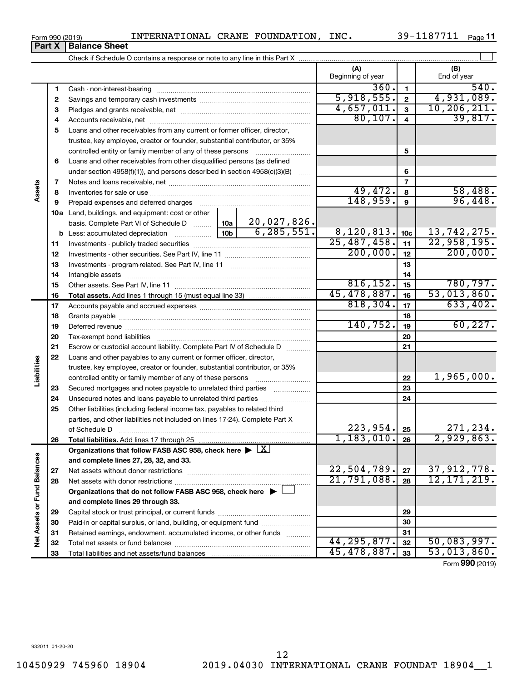$\overline{\phantom{0}}$ 

 $\overline{\phantom{0}}$ 

|   |                                          | Beginning of year           | (B)<br>End of year       |
|---|------------------------------------------|-----------------------------|--------------------------|
|   | Cash - non-interest-bearing              |                             |                          |
|   | 2 Savings and temporary cash investments | 5,918,555.                  | ,089.                    |
| 3 | Pledges and grants receivable, net       |                             |                          |
|   |                                          | . . <i>.</i> . <del>.</del> | $\overline{\phantom{a}}$ |

|                             | 2  |                                                                                            |                 |              | 5,918,555.               | $\overline{\mathbf{2}}$ | 4,931,089.      |
|-----------------------------|----|--------------------------------------------------------------------------------------------|-----------------|--------------|--------------------------|-------------------------|-----------------|
|                             | 3  |                                                                                            |                 |              | 4,657,011.               | $\mathbf{3}$            | 10, 206, 211.   |
|                             | 4  |                                                                                            |                 |              | 80, 107.                 | $\overline{4}$          | 39,817.         |
|                             | 5  | Loans and other receivables from any current or former officer, director,                  |                 |              |                          |                         |                 |
|                             |    | trustee, key employee, creator or founder, substantial contributor, or 35%                 |                 |              |                          |                         |                 |
|                             |    | controlled entity or family member of any of these persons                                 |                 |              |                          | 5                       |                 |
|                             | 6  | Loans and other receivables from other disqualified persons (as defined                    |                 |              |                          |                         |                 |
|                             |    | under section $4958(f)(1)$ , and persons described in section $4958(c)(3)(B)$              |                 | 1.1.1.1      |                          | 6                       |                 |
|                             | 7  |                                                                                            |                 |              |                          | $\overline{7}$          |                 |
| Assets                      | 8  |                                                                                            |                 |              | 49,472.                  | 8                       | 58,488.         |
|                             | 9  | Prepaid expenses and deferred charges                                                      |                 |              | 148,959.                 | $\mathbf{9}$            | 96,448.         |
|                             |    | 10a Land, buildings, and equipment: cost or other                                          |                 |              |                          |                         |                 |
|                             |    | basis. Complete Part VI of Schedule D                                                      | 10a             | 20,027,826.  |                          |                         |                 |
|                             |    | <b>b</b> Less: accumulated depreciation                                                    | 10 <sub>b</sub> | 6, 285, 551. | 8, 120, 813.             | 10 <sub>c</sub>         | 13,742,275.     |
|                             | 11 |                                                                                            |                 |              | $\overline{25,487,458.}$ | 11                      | 22,958,195.     |
|                             | 12 |                                                                                            |                 |              | 200,000.                 | 12                      | 200,000.        |
|                             | 13 |                                                                                            |                 |              |                          | 13                      |                 |
|                             | 14 |                                                                                            |                 |              |                          | 14                      |                 |
|                             | 15 |                                                                                            |                 |              | 816, 152.                | 15                      | 780,797.        |
|                             | 16 |                                                                                            |                 |              | 45,478,887.              | 16                      | 53,013,860.     |
|                             | 17 |                                                                                            |                 |              | 818, 304.                | 17                      | 633,402.        |
|                             | 18 |                                                                                            |                 |              |                          | 18                      |                 |
|                             | 19 |                                                                                            |                 |              | 140, 752.                | 19                      | 60, 227.        |
|                             | 20 |                                                                                            |                 |              |                          | 20                      |                 |
|                             | 21 | Escrow or custodial account liability. Complete Part IV of Schedule D                      |                 |              |                          | 21                      |                 |
|                             | 22 | Loans and other payables to any current or former officer, director,                       |                 |              |                          |                         |                 |
|                             |    | trustee, key employee, creator or founder, substantial contributor, or 35%                 |                 |              |                          |                         |                 |
| Liabilities                 |    |                                                                                            |                 |              |                          | 22                      | 1,965,000.      |
|                             | 23 | Secured mortgages and notes payable to unrelated third parties                             |                 |              |                          | 23                      |                 |
|                             | 24 | Unsecured notes and loans payable to unrelated third parties                               |                 |              |                          | 24                      |                 |
|                             | 25 | Other liabilities (including federal income tax, payables to related third                 |                 |              |                          |                         |                 |
|                             |    | parties, and other liabilities not included on lines 17-24). Complete Part X               |                 |              |                          |                         |                 |
|                             |    | of Schedule D                                                                              |                 |              | 223, 954.                | 25                      | 271,234.        |
|                             | 26 |                                                                                            |                 |              | 1,183,010.               | 26                      | 2,929,863.      |
|                             |    | Organizations that follow FASB ASC 958, check here $\blacktriangleright \lfloor X \rfloor$ |                 |              |                          |                         |                 |
|                             |    | and complete lines 27, 28, 32, and 33.                                                     |                 |              |                          |                         |                 |
|                             | 27 |                                                                                            |                 |              | 22,504,789.              | 27                      | 37, 912, 778.   |
|                             | 28 |                                                                                            |                 |              | $21, 791, 088$ , $28$    |                         | 12, 171, 219.   |
|                             |    | Organizations that do not follow FASB ASC 958, check here $\blacktriangleright$            |                 |              |                          |                         |                 |
|                             |    | and complete lines 29 through 33.                                                          |                 |              |                          |                         |                 |
| Net Assets or Fund Balances | 29 |                                                                                            |                 |              |                          | 29                      |                 |
|                             | 30 | Paid-in or capital surplus, or land, building, or equipment fund                           |                 |              |                          | 30                      |                 |
|                             | 31 | Retained earnings, endowment, accumulated income, or other funds                           |                 |              | 44, 295, 877.            | 31                      | 50,083,997.     |
|                             | 32 |                                                                                            |                 |              | 45,478,887.              | 32                      | 53,013,860.     |
|                             | 33 |                                                                                            |                 |              |                          | 33                      | Form 990 (2019) |
|                             |    |                                                                                            |                 |              |                          |                         |                 |

 $\perp$ 

**Part X Balance Sheet**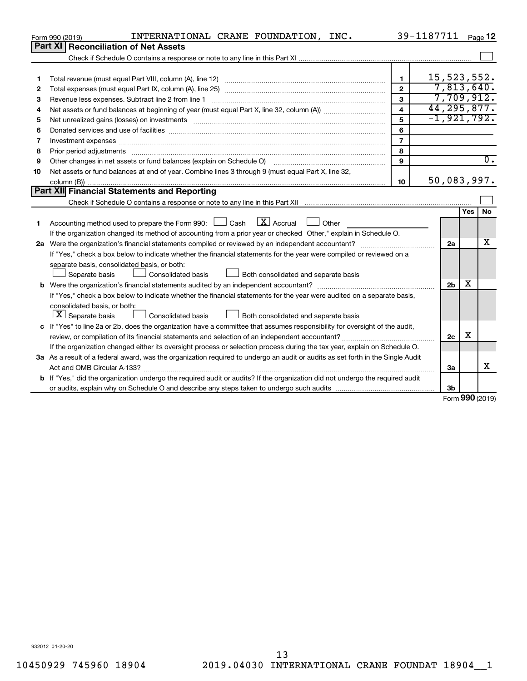|              | INTERNATIONAL CRANE FOUNDATION, INC.<br>Form 990 (2019)                                                                                                                                                                        |                | 39-1187711     |            | Page 12          |
|--------------|--------------------------------------------------------------------------------------------------------------------------------------------------------------------------------------------------------------------------------|----------------|----------------|------------|------------------|
|              | Part XI   Reconciliation of Net Assets                                                                                                                                                                                         |                |                |            |                  |
|              |                                                                                                                                                                                                                                |                |                |            |                  |
|              |                                                                                                                                                                                                                                |                |                |            |                  |
| 1            |                                                                                                                                                                                                                                | $\mathbf{1}$   | 15, 523, 552.  |            |                  |
| $\mathbf{2}$ |                                                                                                                                                                                                                                | $\overline{2}$ | 7,813,640.     |            |                  |
| З            | Revenue less expenses. Subtract line 2 from line 1                                                                                                                                                                             | 3              | 7,709,912.     |            |                  |
| 4            |                                                                                                                                                                                                                                | 4              | 44, 295, 877.  |            |                  |
| 5            | Net unrealized gains (losses) on investments [11] matter in the content of the state of the state of the state of the state of the state of the state of the state of the state of the state of the state of the state of the  | 5              | $-1,921,792.$  |            |                  |
| 6            |                                                                                                                                                                                                                                | 6              |                |            |                  |
| 7            |                                                                                                                                                                                                                                | $\overline{7}$ |                |            |                  |
| 8            |                                                                                                                                                                                                                                | 8              |                |            |                  |
| 9            | Other changes in net assets or fund balances (explain on Schedule O) [11] [12] Content of the state of the state of the state of the state of the state of the state of the state of the state of the state of the state of th | 9              |                |            | $\overline{0}$ . |
| 10           | Net assets or fund balances at end of year. Combine lines 3 through 9 (must equal Part X, line 32,                                                                                                                             |                |                |            |                  |
|              |                                                                                                                                                                                                                                | 10             | 50,083,997.    |            |                  |
|              | Part XII Financial Statements and Reporting                                                                                                                                                                                    |                |                |            |                  |
|              |                                                                                                                                                                                                                                |                |                |            |                  |
|              |                                                                                                                                                                                                                                |                |                | <b>Yes</b> | <b>No</b>        |
| 1            | Accounting method used to prepare the Form 990: $\Box$ Cash $\Box X$ Accrual<br><b>Other</b>                                                                                                                                   |                |                |            |                  |
|              | If the organization changed its method of accounting from a prior year or checked "Other," explain in Schedule O.                                                                                                              |                |                |            |                  |
|              |                                                                                                                                                                                                                                |                | 2a             |            | x                |
|              | If "Yes," check a box below to indicate whether the financial statements for the year were compiled or reviewed on a                                                                                                           |                |                |            |                  |
|              | separate basis, consolidated basis, or both:                                                                                                                                                                                   |                |                |            |                  |
|              | Both consolidated and separate basis<br>Separate basis<br>Consolidated basis                                                                                                                                                   |                |                |            |                  |
|              |                                                                                                                                                                                                                                |                | 2 <sub>b</sub> | х          |                  |
|              | If "Yes," check a box below to indicate whether the financial statements for the year were audited on a separate basis,                                                                                                        |                |                |            |                  |
|              | consolidated basis, or both:                                                                                                                                                                                                   |                |                |            |                  |
|              | $ \mathbf{X} $ Separate basis<br><b>Consolidated basis</b><br>$\perp$ Both consolidated and separate basis                                                                                                                     |                |                |            |                  |
|              | c If "Yes" to line 2a or 2b, does the organization have a committee that assumes responsibility for oversight of the audit,                                                                                                    |                |                |            |                  |
|              |                                                                                                                                                                                                                                |                | 2c             | х          |                  |
|              | If the organization changed either its oversight process or selection process during the tax year, explain on Schedule O.                                                                                                      |                |                |            |                  |
|              | 3a As a result of a federal award, was the organization required to undergo an audit or audits as set forth in the Single Audit                                                                                                |                |                |            |                  |
|              |                                                                                                                                                                                                                                |                | За             |            | х                |
|              | b If "Yes," did the organization undergo the required audit or audits? If the organization did not undergo the required audit                                                                                                  |                |                |            |                  |
|              |                                                                                                                                                                                                                                |                | 3 <sub>b</sub> |            |                  |

Form (2019) **990**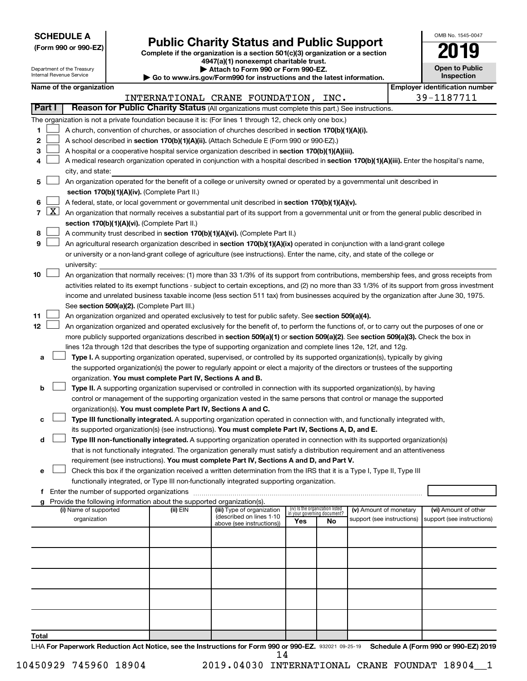| <b>SCHEDULE A</b> |  |
|-------------------|--|
|-------------------|--|

| (Form 990 or 990-EZ) |  |
|----------------------|--|
|----------------------|--|

Form 990 or 990-EZ) **Public Charity Status and Public Support**<br>
Complete if the organization is a section 501(c)(3) organization or a section<br> **2019 4947(a)(1) nonexempt charitable trust.**

| OMB No. 1545-0047                   |
|-------------------------------------|
|                                     |
| <b>Open to Public</b><br>Inspection |

|               | Department of the Treasury<br>Internal Revenue Service |                                                                                                  |  | Attach to Form 990 or Form 990-EZ.<br>Go to www.irs.gov/Form990 for instructions and the latest information. |                                                                                                                                               |                                    |                                 |                            | <b>Open to Public</b><br><b>Inspection</b> |                                       |
|---------------|--------------------------------------------------------|--------------------------------------------------------------------------------------------------|--|--------------------------------------------------------------------------------------------------------------|-----------------------------------------------------------------------------------------------------------------------------------------------|------------------------------------|---------------------------------|----------------------------|--------------------------------------------|---------------------------------------|
|               |                                                        | Name of the organization                                                                         |  |                                                                                                              |                                                                                                                                               |                                    |                                 |                            |                                            | <b>Employer identification number</b> |
|               |                                                        |                                                                                                  |  |                                                                                                              | INTERNATIONAL CRANE FOUNDATION, INC.                                                                                                          |                                    |                                 |                            |                                            | 39-1187711                            |
| <b>Part I</b> |                                                        |                                                                                                  |  |                                                                                                              | Reason for Public Charity Status (All organizations must complete this part.) See instructions.                                               |                                    |                                 |                            |                                            |                                       |
|               |                                                        |                                                                                                  |  |                                                                                                              | The organization is not a private foundation because it is: (For lines 1 through 12, check only one box.)                                     |                                    |                                 |                            |                                            |                                       |
| 1.            |                                                        |                                                                                                  |  |                                                                                                              | A church, convention of churches, or association of churches described in section 170(b)(1)(A)(i).                                            |                                    |                                 |                            |                                            |                                       |
| 2             |                                                        |                                                                                                  |  |                                                                                                              | A school described in section 170(b)(1)(A)(ii). (Attach Schedule E (Form 990 or 990-EZ).)                                                     |                                    |                                 |                            |                                            |                                       |
| з             |                                                        |                                                                                                  |  |                                                                                                              | A hospital or a cooperative hospital service organization described in section 170(b)(1)(A)(iii).                                             |                                    |                                 |                            |                                            |                                       |
| 4             |                                                        |                                                                                                  |  |                                                                                                              | A medical research organization operated in conjunction with a hospital described in section 170(b)(1)(A)(iii). Enter the hospital's name,    |                                    |                                 |                            |                                            |                                       |
|               |                                                        | city, and state:                                                                                 |  |                                                                                                              |                                                                                                                                               |                                    |                                 |                            |                                            |                                       |
| 5             |                                                        |                                                                                                  |  |                                                                                                              | An organization operated for the benefit of a college or university owned or operated by a governmental unit described in                     |                                    |                                 |                            |                                            |                                       |
|               |                                                        | section 170(b)(1)(A)(iv). (Complete Part II.)                                                    |  |                                                                                                              |                                                                                                                                               |                                    |                                 |                            |                                            |                                       |
| 6             |                                                        | A federal, state, or local government or governmental unit described in section 170(b)(1)(A)(v). |  |                                                                                                              |                                                                                                                                               |                                    |                                 |                            |                                            |                                       |
|               | $7 \mid X \mid$                                        |                                                                                                  |  |                                                                                                              | An organization that normally receives a substantial part of its support from a governmental unit or from the general public described in     |                                    |                                 |                            |                                            |                                       |
|               |                                                        |                                                                                                  |  | section 170(b)(1)(A)(vi). (Complete Part II.)                                                                |                                                                                                                                               |                                    |                                 |                            |                                            |                                       |
| 8             |                                                        |                                                                                                  |  |                                                                                                              | A community trust described in section 170(b)(1)(A)(vi). (Complete Part II.)                                                                  |                                    |                                 |                            |                                            |                                       |
| 9             |                                                        |                                                                                                  |  |                                                                                                              | An agricultural research organization described in section 170(b)(1)(A)(ix) operated in conjunction with a land-grant college                 |                                    |                                 |                            |                                            |                                       |
|               |                                                        |                                                                                                  |  |                                                                                                              | or university or a non-land-grant college of agriculture (see instructions). Enter the name, city, and state of the college or                |                                    |                                 |                            |                                            |                                       |
|               |                                                        | university:                                                                                      |  |                                                                                                              |                                                                                                                                               |                                    |                                 |                            |                                            |                                       |
| 10            |                                                        |                                                                                                  |  |                                                                                                              | An organization that normally receives: (1) more than 33 1/3% of its support from contributions, membership fees, and gross receipts from     |                                    |                                 |                            |                                            |                                       |
|               |                                                        |                                                                                                  |  |                                                                                                              | activities related to its exempt functions - subject to certain exceptions, and (2) no more than 33 1/3% of its support from gross investment |                                    |                                 |                            |                                            |                                       |
|               |                                                        |                                                                                                  |  |                                                                                                              | income and unrelated business taxable income (less section 511 tax) from businesses acquired by the organization after June 30, 1975.         |                                    |                                 |                            |                                            |                                       |
|               |                                                        |                                                                                                  |  | See section 509(a)(2). (Complete Part III.)                                                                  |                                                                                                                                               |                                    |                                 |                            |                                            |                                       |
| 11            |                                                        |                                                                                                  |  |                                                                                                              | An organization organized and operated exclusively to test for public safety. See section 509(a)(4).                                          |                                    |                                 |                            |                                            |                                       |
| 12            |                                                        |                                                                                                  |  |                                                                                                              | An organization organized and operated exclusively for the benefit of, to perform the functions of, or to carry out the purposes of one or    |                                    |                                 |                            |                                            |                                       |
|               |                                                        |                                                                                                  |  |                                                                                                              | more publicly supported organizations described in section 509(a)(1) or section 509(a)(2). See section 509(a)(3). Check the box in            |                                    |                                 |                            |                                            |                                       |
|               |                                                        |                                                                                                  |  |                                                                                                              | lines 12a through 12d that describes the type of supporting organization and complete lines 12e, 12f, and 12g.                                |                                    |                                 |                            |                                            |                                       |
| a             |                                                        |                                                                                                  |  |                                                                                                              | Type I. A supporting organization operated, supervised, or controlled by its supported organization(s), typically by giving                   |                                    |                                 |                            |                                            |                                       |
|               |                                                        |                                                                                                  |  |                                                                                                              | the supported organization(s) the power to regularly appoint or elect a majority of the directors or trustees of the supporting               |                                    |                                 |                            |                                            |                                       |
|               |                                                        |                                                                                                  |  | organization. You must complete Part IV, Sections A and B.                                                   |                                                                                                                                               |                                    |                                 |                            |                                            |                                       |
| b             |                                                        |                                                                                                  |  |                                                                                                              | Type II. A supporting organization supervised or controlled in connection with its supported organization(s), by having                       |                                    |                                 |                            |                                            |                                       |
|               |                                                        |                                                                                                  |  |                                                                                                              | control or management of the supporting organization vested in the same persons that control or manage the supported                          |                                    |                                 |                            |                                            |                                       |
|               |                                                        |                                                                                                  |  |                                                                                                              | organization(s). You must complete Part IV, Sections A and C.                                                                                 |                                    |                                 |                            |                                            |                                       |
| с             |                                                        |                                                                                                  |  |                                                                                                              | Type III functionally integrated. A supporting organization operated in connection with, and functionally integrated with,                    |                                    |                                 |                            |                                            |                                       |
|               |                                                        |                                                                                                  |  |                                                                                                              | its supported organization(s) (see instructions). You must complete Part IV, Sections A, D, and E.                                            |                                    |                                 |                            |                                            |                                       |
| d             |                                                        |                                                                                                  |  |                                                                                                              | Type III non-functionally integrated. A supporting organization operated in connection with its supported organization(s)                     |                                    |                                 |                            |                                            |                                       |
|               |                                                        |                                                                                                  |  |                                                                                                              | that is not functionally integrated. The organization generally must satisfy a distribution requirement and an attentiveness                  |                                    |                                 |                            |                                            |                                       |
|               |                                                        |                                                                                                  |  |                                                                                                              | requirement (see instructions). You must complete Part IV, Sections A and D, and Part V.                                                      |                                    |                                 |                            |                                            |                                       |
| e             |                                                        |                                                                                                  |  |                                                                                                              | Check this box if the organization received a written determination from the IRS that it is a Type I, Type II, Type III                       |                                    |                                 |                            |                                            |                                       |
|               |                                                        |                                                                                                  |  |                                                                                                              | functionally integrated, or Type III non-functionally integrated supporting organization.                                                     |                                    |                                 |                            |                                            |                                       |
| f.            |                                                        |                                                                                                  |  |                                                                                                              |                                                                                                                                               |                                    |                                 |                            |                                            |                                       |
|               |                                                        | (i) Name of supported                                                                            |  | Provide the following information about the supported organization(s).<br>(ii) EIN                           | (iii) Type of organization                                                                                                                    |                                    | (iv) Is the organization listed | (v) Amount of monetary     |                                            | (vi) Amount of other                  |
|               |                                                        | organization                                                                                     |  |                                                                                                              | (described on lines 1-10                                                                                                                      | in your governing document?<br>Yes | No                              | support (see instructions) |                                            | support (see instructions)            |
|               |                                                        |                                                                                                  |  |                                                                                                              | above (see instructions))                                                                                                                     |                                    |                                 |                            |                                            |                                       |
|               |                                                        |                                                                                                  |  |                                                                                                              |                                                                                                                                               |                                    |                                 |                            |                                            |                                       |
|               |                                                        |                                                                                                  |  |                                                                                                              |                                                                                                                                               |                                    |                                 |                            |                                            |                                       |
|               |                                                        |                                                                                                  |  |                                                                                                              |                                                                                                                                               |                                    |                                 |                            |                                            |                                       |
|               |                                                        |                                                                                                  |  |                                                                                                              |                                                                                                                                               |                                    |                                 |                            |                                            |                                       |
|               |                                                        |                                                                                                  |  |                                                                                                              |                                                                                                                                               |                                    |                                 |                            |                                            |                                       |
|               |                                                        |                                                                                                  |  |                                                                                                              |                                                                                                                                               |                                    |                                 |                            |                                            |                                       |
|               |                                                        |                                                                                                  |  |                                                                                                              |                                                                                                                                               |                                    |                                 |                            |                                            |                                       |
|               |                                                        |                                                                                                  |  |                                                                                                              |                                                                                                                                               |                                    |                                 |                            |                                            |                                       |
|               |                                                        |                                                                                                  |  |                                                                                                              |                                                                                                                                               |                                    |                                 |                            |                                            |                                       |
| Total         |                                                        |                                                                                                  |  |                                                                                                              |                                                                                                                                               |                                    |                                 |                            |                                            |                                       |

LHA For Paperwork Reduction Act Notice, see the Instructions for Form 990 or 990-EZ. 932021 09-25-19 Schedule A (Form 990 or 990-EZ) 2019 14

10450929 745960 18904 2019.04030 INTERNATIONAL CRANE FOUNDAT 18904\_\_1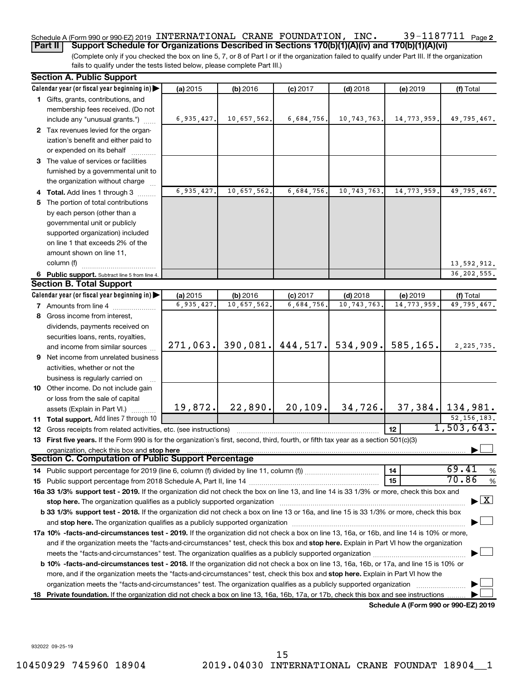#### 39-1187711 Page 2 Schedule A (Form 990 or 990-EZ) 2019 <code>INTERNATIONAL CRANE FOUNDATION</code> , <code>INC</code> .  $39\text{--}1187711$  <code>Page</code>

(Complete only if you checked the box on line 5, 7, or 8 of Part I or if the organization failed to qualify under Part III. If the organization fails to qualify under the tests listed below, please complete Part III.) **Part II Support Schedule for Organizations Described in Sections 170(b)(1)(A)(iv) and 170(b)(1)(A)(vi)**

|    | <b>Section A. Public Support</b>                                                                                                                                                                                           |            |             |                      |              |                                      |                                |
|----|----------------------------------------------------------------------------------------------------------------------------------------------------------------------------------------------------------------------------|------------|-------------|----------------------|--------------|--------------------------------------|--------------------------------|
|    | Calendar year (or fiscal year beginning in)                                                                                                                                                                                | (a) 2015   | (b) 2016    | $(c)$ 2017           | $(d)$ 2018   | (e) 2019                             | (f) Total                      |
|    | 1 Gifts, grants, contributions, and                                                                                                                                                                                        |            |             |                      |              |                                      |                                |
|    | membership fees received. (Do not                                                                                                                                                                                          |            |             |                      |              |                                      |                                |
|    | include any "unusual grants.")                                                                                                                                                                                             | 6,935,427. | 10,657,562. | 6,684,756.           | 10,743,763.  | 14,773,959.                          | 49,795,467.                    |
|    | 2 Tax revenues levied for the organ-                                                                                                                                                                                       |            |             |                      |              |                                      |                                |
|    | ization's benefit and either paid to                                                                                                                                                                                       |            |             |                      |              |                                      |                                |
|    | or expended on its behalf                                                                                                                                                                                                  |            |             |                      |              |                                      |                                |
|    | 3 The value of services or facilities                                                                                                                                                                                      |            |             |                      |              |                                      |                                |
|    | furnished by a governmental unit to                                                                                                                                                                                        |            |             |                      |              |                                      |                                |
|    | the organization without charge                                                                                                                                                                                            |            |             |                      |              |                                      |                                |
|    | 4 Total. Add lines 1 through 3                                                                                                                                                                                             | 6,935,427. | 10,657,562. | 6,684,756.           | 10,743,763.  | 14,773,959.                          | 49,795,467.                    |
|    | 5 The portion of total contributions                                                                                                                                                                                       |            |             |                      |              |                                      |                                |
|    | by each person (other than a                                                                                                                                                                                               |            |             |                      |              |                                      |                                |
|    | governmental unit or publicly                                                                                                                                                                                              |            |             |                      |              |                                      |                                |
|    | supported organization) included                                                                                                                                                                                           |            |             |                      |              |                                      |                                |
|    | on line 1 that exceeds 2% of the                                                                                                                                                                                           |            |             |                      |              |                                      |                                |
|    | amount shown on line 11,                                                                                                                                                                                                   |            |             |                      |              |                                      |                                |
|    | column (f)                                                                                                                                                                                                                 |            |             |                      |              |                                      | 13,592,912.                    |
|    | 6 Public support. Subtract line 5 from line 4.                                                                                                                                                                             |            |             |                      |              |                                      | 36, 202, 555.                  |
|    | <b>Section B. Total Support</b>                                                                                                                                                                                            |            |             |                      |              |                                      |                                |
|    | Calendar year (or fiscal year beginning in)                                                                                                                                                                                | (a) 2015   | (b) 2016    | $(c)$ 2017           | $(d)$ 2018   | (e) 2019                             | (f) Total                      |
|    |                                                                                                                                                                                                                            | 6,935,427  | 10,657,562. | 6,684,756            | 10, 743, 763 | 14,773,959                           | 49,795,467.                    |
|    | <b>7</b> Amounts from line 4                                                                                                                                                                                               |            |             |                      |              |                                      |                                |
| 8  | Gross income from interest,                                                                                                                                                                                                |            |             |                      |              |                                      |                                |
|    | dividends, payments received on                                                                                                                                                                                            |            |             |                      |              |                                      |                                |
|    | securities loans, rents, royalties,                                                                                                                                                                                        | 271,063.   |             | $390,081.$ 444, 517. | 534,909.     | 585,165.                             |                                |
|    | and income from similar sources                                                                                                                                                                                            |            |             |                      |              |                                      | 2, 225, 735.                   |
|    | <b>9</b> Net income from unrelated business                                                                                                                                                                                |            |             |                      |              |                                      |                                |
|    | activities, whether or not the                                                                                                                                                                                             |            |             |                      |              |                                      |                                |
|    | business is regularly carried on                                                                                                                                                                                           |            |             |                      |              |                                      |                                |
|    | 10 Other income. Do not include gain                                                                                                                                                                                       |            |             |                      |              |                                      |                                |
|    | or loss from the sale of capital                                                                                                                                                                                           |            |             |                      |              |                                      |                                |
|    | assets (Explain in Part VI.)                                                                                                                                                                                               | 19,872.    | 22,890.     | 20, 109.             | 34,726.      |                                      | $37,384.$ 134,981.             |
|    | 11 Total support. Add lines 7 through 10                                                                                                                                                                                   |            |             |                      |              |                                      | 52, 156, 183.                  |
|    | <b>12</b> Gross receipts from related activities, etc. (see instructions)                                                                                                                                                  |            |             |                      |              | 12 <sup>2</sup>                      | 1,503,643.                     |
|    | 13 First five years. If the Form 990 is for the organization's first, second, third, fourth, or fifth tax year as a section 501(c)(3)                                                                                      |            |             |                      |              |                                      |                                |
|    | organization, check this box and stop here                                                                                                                                                                                 |            |             |                      |              |                                      |                                |
|    | Section C. Computation of Public Support Percentage                                                                                                                                                                        |            |             |                      |              |                                      |                                |
|    | 14 Public support percentage for 2019 (line 6, column (f) divided by line 11, column (f) <i>mummumumum</i>                                                                                                                 |            |             |                      |              | 14                                   | 69.41<br>$\%$                  |
|    |                                                                                                                                                                                                                            |            |             |                      |              | 15                                   | 70.86<br>$\%$                  |
|    | 16a 33 1/3% support test - 2019. If the organization did not check the box on line 13, and line 14 is 33 1/3% or more, check this box and                                                                                  |            |             |                      |              |                                      |                                |
|    | stop here. The organization qualifies as a publicly supported organization manufaction manufacture or the organization                                                                                                     |            |             |                      |              |                                      | $\blacktriangleright$ $\mid$ X |
|    | b 33 1/3% support test - 2018. If the organization did not check a box on line 13 or 16a, and line 15 is 33 1/3% or more, check this box                                                                                   |            |             |                      |              |                                      |                                |
|    | and stop here. The organization qualifies as a publicly supported organization [11] manuscription manuscription manuscription manuscription and stop here. The organization qualifies as a publicly supported organization |            |             |                      |              |                                      |                                |
|    | 17a 10% -facts-and-circumstances test - 2019. If the organization did not check a box on line 13, 16a, or 16b, and line 14 is 10% or more,                                                                                 |            |             |                      |              |                                      |                                |
|    | and if the organization meets the "facts-and-circumstances" test, check this box and stop here. Explain in Part VI how the organization                                                                                    |            |             |                      |              |                                      |                                |
|    |                                                                                                                                                                                                                            |            |             |                      |              |                                      |                                |
|    | b 10% -facts-and-circumstances test - 2018. If the organization did not check a box on line 13, 16a, 16b, or 17a, and line 15 is 10% or                                                                                    |            |             |                      |              |                                      |                                |
|    | more, and if the organization meets the "facts-and-circumstances" test, check this box and stop here. Explain in Part VI how the                                                                                           |            |             |                      |              |                                      |                                |
|    | organization meets the "facts-and-circumstances" test. The organization qualifies as a publicly supported organization                                                                                                     |            |             |                      |              |                                      |                                |
| 18 | Private foundation. If the organization did not check a box on line 13, 16a, 16b, 17a, or 17b, check this box and see instructions                                                                                         |            |             |                      |              |                                      |                                |
|    |                                                                                                                                                                                                                            |            |             |                      |              | Schedule A (Form 990 or 990-F7) 2019 |                                |

**Schedule A (Form 990 or 990-EZ) 2019**

932022 09-25-19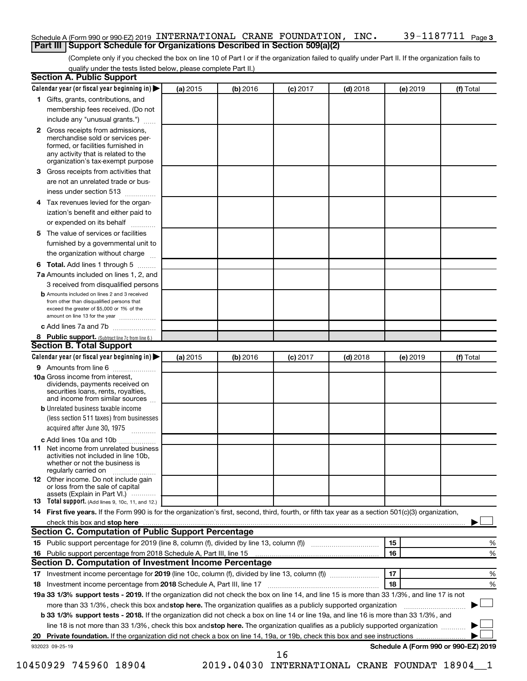#### Schedule A (Form 990 or 990-EZ) 2019 <code>INTERNATIONAL CRANE FOUNDATION</code> , <code>INC</code> .  $39\text{--}1187711$  <code>Page</code> **Part III Support Schedule for Organizations Described in Section 509(a)(2)**

(Complete only if you checked the box on line 10 of Part I or if the organization failed to qualify under Part II. If the organization fails to qualify under the tests listed below, please complete Part II.)

| Calendar year (or fiscal year beginning in)<br>(a) 2015<br>(b) 2016<br>$(c)$ 2017<br>$(d)$ 2018<br>(e) 2019<br>1 Gifts, grants, contributions, and<br>membership fees received. (Do not<br>include any "unusual grants.")<br><b>2</b> Gross receipts from admissions,<br>merchandise sold or services per-<br>formed, or facilities furnished in<br>any activity that is related to the<br>organization's tax-exempt purpose<br>3 Gross receipts from activities that<br>are not an unrelated trade or bus-<br>iness under section 513<br>4 Tax revenues levied for the organ-<br>ization's benefit and either paid to<br>or expended on its behalf<br>5 The value of services or facilities | (f) Total |
|----------------------------------------------------------------------------------------------------------------------------------------------------------------------------------------------------------------------------------------------------------------------------------------------------------------------------------------------------------------------------------------------------------------------------------------------------------------------------------------------------------------------------------------------------------------------------------------------------------------------------------------------------------------------------------------------|-----------|
|                                                                                                                                                                                                                                                                                                                                                                                                                                                                                                                                                                                                                                                                                              |           |
|                                                                                                                                                                                                                                                                                                                                                                                                                                                                                                                                                                                                                                                                                              |           |
|                                                                                                                                                                                                                                                                                                                                                                                                                                                                                                                                                                                                                                                                                              |           |
|                                                                                                                                                                                                                                                                                                                                                                                                                                                                                                                                                                                                                                                                                              |           |
|                                                                                                                                                                                                                                                                                                                                                                                                                                                                                                                                                                                                                                                                                              |           |
|                                                                                                                                                                                                                                                                                                                                                                                                                                                                                                                                                                                                                                                                                              |           |
|                                                                                                                                                                                                                                                                                                                                                                                                                                                                                                                                                                                                                                                                                              |           |
|                                                                                                                                                                                                                                                                                                                                                                                                                                                                                                                                                                                                                                                                                              |           |
|                                                                                                                                                                                                                                                                                                                                                                                                                                                                                                                                                                                                                                                                                              |           |
|                                                                                                                                                                                                                                                                                                                                                                                                                                                                                                                                                                                                                                                                                              |           |
| furnished by a governmental unit to                                                                                                                                                                                                                                                                                                                                                                                                                                                                                                                                                                                                                                                          |           |
| the organization without charge                                                                                                                                                                                                                                                                                                                                                                                                                                                                                                                                                                                                                                                              |           |
| <b>6 Total.</b> Add lines 1 through 5                                                                                                                                                                                                                                                                                                                                                                                                                                                                                                                                                                                                                                                        |           |
| 7a Amounts included on lines 1, 2, and                                                                                                                                                                                                                                                                                                                                                                                                                                                                                                                                                                                                                                                       |           |
| 3 received from disqualified persons                                                                                                                                                                                                                                                                                                                                                                                                                                                                                                                                                                                                                                                         |           |
| <b>b</b> Amounts included on lines 2 and 3 received<br>from other than disqualified persons that<br>exceed the greater of \$5,000 or 1% of the<br>amount on line 13 for the year                                                                                                                                                                                                                                                                                                                                                                                                                                                                                                             |           |
| c Add lines 7a and 7b                                                                                                                                                                                                                                                                                                                                                                                                                                                                                                                                                                                                                                                                        |           |
| 8 Public support. (Subtract line 7c from line 6.)                                                                                                                                                                                                                                                                                                                                                                                                                                                                                                                                                                                                                                            |           |
| <b>Section B. Total Support</b>                                                                                                                                                                                                                                                                                                                                                                                                                                                                                                                                                                                                                                                              |           |
| Calendar year (or fiscal year beginning in)<br>(a) 2015<br>(b) 2016<br>$(c)$ 2017<br>$(d)$ 2018<br>(e) 2019                                                                                                                                                                                                                                                                                                                                                                                                                                                                                                                                                                                  | (f) Total |
| 9 Amounts from line 6                                                                                                                                                                                                                                                                                                                                                                                                                                                                                                                                                                                                                                                                        |           |
| <b>10a</b> Gross income from interest,<br>dividends, payments received on<br>securities loans, rents, royalties,<br>and income from similar sources                                                                                                                                                                                                                                                                                                                                                                                                                                                                                                                                          |           |
| <b>b</b> Unrelated business taxable income<br>(less section 511 taxes) from businesses<br>acquired after June 30, 1975                                                                                                                                                                                                                                                                                                                                                                                                                                                                                                                                                                       |           |
| c Add lines 10a and 10b                                                                                                                                                                                                                                                                                                                                                                                                                                                                                                                                                                                                                                                                      |           |
| <b>11</b> Net income from unrelated business<br>activities not included in line 10b.<br>whether or not the business is<br>regularly carried on                                                                                                                                                                                                                                                                                                                                                                                                                                                                                                                                               |           |
| 12 Other income. Do not include gain<br>or loss from the sale of capital<br>assets (Explain in Part VI.)                                                                                                                                                                                                                                                                                                                                                                                                                                                                                                                                                                                     |           |
| <b>13</b> Total support. (Add lines 9, 10c, 11, and 12.)                                                                                                                                                                                                                                                                                                                                                                                                                                                                                                                                                                                                                                     |           |
| 14 First five years. If the Form 990 is for the organization's first, second, third, fourth, or fifth tax year as a section 501(c)(3) organization,                                                                                                                                                                                                                                                                                                                                                                                                                                                                                                                                          |           |
| check this box and stop here                                                                                                                                                                                                                                                                                                                                                                                                                                                                                                                                                                                                                                                                 |           |
| Section C. Computation of Public Support Percentage                                                                                                                                                                                                                                                                                                                                                                                                                                                                                                                                                                                                                                          |           |
| 15<br>15 Public support percentage for 2019 (line 8, column (f), divided by line 13, column (f) <i></i>                                                                                                                                                                                                                                                                                                                                                                                                                                                                                                                                                                                      | %         |
| 16<br>16 Public support percentage from 2018 Schedule A, Part III, line 15                                                                                                                                                                                                                                                                                                                                                                                                                                                                                                                                                                                                                   | %         |
| Section D. Computation of Investment Income Percentage                                                                                                                                                                                                                                                                                                                                                                                                                                                                                                                                                                                                                                       |           |
| 17<br>17 Investment income percentage for 2019 (line 10c, column (f), divided by line 13, column (f))                                                                                                                                                                                                                                                                                                                                                                                                                                                                                                                                                                                        | %         |
| 18<br>18 Investment income percentage from 2018 Schedule A, Part III, line 17                                                                                                                                                                                                                                                                                                                                                                                                                                                                                                                                                                                                                | %         |
| 19a 33 1/3% support tests - 2019. If the organization did not check the box on line 14, and line 15 is more than 33 1/3%, and line 17 is not                                                                                                                                                                                                                                                                                                                                                                                                                                                                                                                                                 |           |
| more than 33 1/3%, check this box and stop here. The organization qualifies as a publicly supported organization                                                                                                                                                                                                                                                                                                                                                                                                                                                                                                                                                                             |           |
| b 33 1/3% support tests - 2018. If the organization did not check a box on line 14 or line 19a, and line 16 is more than 33 1/3%, and                                                                                                                                                                                                                                                                                                                                                                                                                                                                                                                                                        |           |
| line 18 is not more than 33 1/3%, check this box and stop here. The organization qualifies as a publicly supported organization                                                                                                                                                                                                                                                                                                                                                                                                                                                                                                                                                              |           |
|                                                                                                                                                                                                                                                                                                                                                                                                                                                                                                                                                                                                                                                                                              |           |
| Schedule A (Form 990 or 990-EZ) 2019<br>932023 09-25-19<br>16                                                                                                                                                                                                                                                                                                                                                                                                                                                                                                                                                                                                                                |           |

10450929 745960 18904 2019.04030 INTERNATIONAL CRANE FOUNDAT 18904\_\_1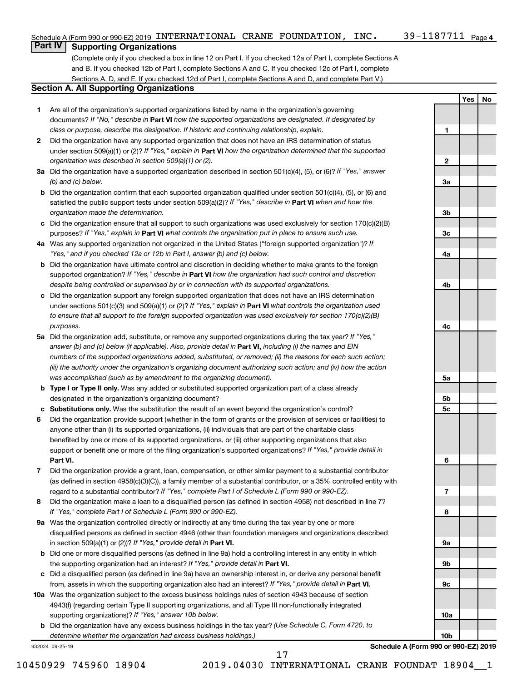**1**

**2**

**3a**

**3b**

**3c**

**4a**

**4b**

**4c**

**5a**

**5b 5c**

**6**

**7**

**8**

**9a**

**9b**

**9c**

**10a**

**10b**

**Yes No**

## **Part IV Supporting Organizations**

(Complete only if you checked a box in line 12 on Part I. If you checked 12a of Part I, complete Sections A and B. If you checked 12b of Part I, complete Sections A and C. If you checked 12c of Part I, complete Sections A, D, and E. If you checked 12d of Part I, complete Sections A and D, and complete Part V.)

#### **Section A. All Supporting Organizations**

- **1** Are all of the organization's supported organizations listed by name in the organization's governing documents? If "No," describe in Part VI how the supported organizations are designated. If designated by *class or purpose, describe the designation. If historic and continuing relationship, explain.*
- **2** Did the organization have any supported organization that does not have an IRS determination of status under section 509(a)(1) or (2)? If "Yes," explain in Part **VI** how the organization determined that the supported *organization was described in section 509(a)(1) or (2).*
- **3a** Did the organization have a supported organization described in section 501(c)(4), (5), or (6)? If "Yes," answer *(b) and (c) below.*
- **b** Did the organization confirm that each supported organization qualified under section 501(c)(4), (5), or (6) and satisfied the public support tests under section 509(a)(2)? If "Yes," describe in Part VI when and how the *organization made the determination.*
- **c** Did the organization ensure that all support to such organizations was used exclusively for section 170(c)(2)(B) purposes? If "Yes," explain in Part VI what controls the organization put in place to ensure such use.
- **4 a** *If* Was any supported organization not organized in the United States ("foreign supported organization")? *"Yes," and if you checked 12a or 12b in Part I, answer (b) and (c) below.*
- **b** Did the organization have ultimate control and discretion in deciding whether to make grants to the foreign supported organization? If "Yes," describe in Part VI how the organization had such control and discretion *despite being controlled or supervised by or in connection with its supported organizations.*
- **c** Did the organization support any foreign supported organization that does not have an IRS determination under sections 501(c)(3) and 509(a)(1) or (2)? If "Yes," explain in Part VI what controls the organization used *to ensure that all support to the foreign supported organization was used exclusively for section 170(c)(2)(B) purposes.*
- **5a** Did the organization add, substitute, or remove any supported organizations during the tax year? If "Yes," answer (b) and (c) below (if applicable). Also, provide detail in **Part VI,** including (i) the names and EIN *numbers of the supported organizations added, substituted, or removed; (ii) the reasons for each such action; (iii) the authority under the organization's organizing document authorizing such action; and (iv) how the action was accomplished (such as by amendment to the organizing document).*
- **b** Type I or Type II only. Was any added or substituted supported organization part of a class already designated in the organization's organizing document?
- **c Substitutions only.**  Was the substitution the result of an event beyond the organization's control?
- **6** Did the organization provide support (whether in the form of grants or the provision of services or facilities) to **Part VI.** support or benefit one or more of the filing organization's supported organizations? If "Yes," provide detail in anyone other than (i) its supported organizations, (ii) individuals that are part of the charitable class benefited by one or more of its supported organizations, or (iii) other supporting organizations that also
- **7** Did the organization provide a grant, loan, compensation, or other similar payment to a substantial contributor regard to a substantial contributor? If "Yes," complete Part I of Schedule L (Form 990 or 990-EZ). (as defined in section 4958(c)(3)(C)), a family member of a substantial contributor, or a 35% controlled entity with
- **8** Did the organization make a loan to a disqualified person (as defined in section 4958) not described in line 7? *If "Yes," complete Part I of Schedule L (Form 990 or 990-EZ).*
- **9 a** Was the organization controlled directly or indirectly at any time during the tax year by one or more in section 509(a)(1) or (2))? If "Yes," provide detail in **Part VI.** disqualified persons as defined in section 4946 (other than foundation managers and organizations described
- **b** Did one or more disqualified persons (as defined in line 9a) hold a controlling interest in any entity in which the supporting organization had an interest? If "Yes," provide detail in Part VI.
- **c** Did a disqualified person (as defined in line 9a) have an ownership interest in, or derive any personal benefit from, assets in which the supporting organization also had an interest? If "Yes," provide detail in Part VI.
- **10 a** Was the organization subject to the excess business holdings rules of section 4943 because of section supporting organizations)? If "Yes," answer 10b below. 4943(f) (regarding certain Type II supporting organizations, and all Type III non-functionally integrated
	- **b** Did the organization have any excess business holdings in the tax year? (Use Schedule C, Form 4720, to *determine whether the organization had excess business holdings.)*

932024 09-25-19

**Schedule A (Form 990 or 990-EZ) 2019**

10450929 745960 18904 2019.04030 INTERNATIONAL CRANE FOUNDAT 18904\_\_1

17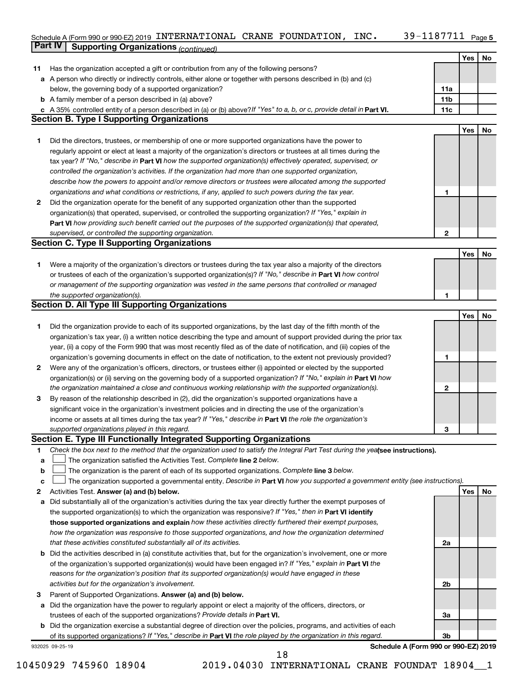#### 39-1187711 Page 5 Schedule A (Form 990 or 990-EZ) 2019 INTERNATIONAL CRANE FOUNDATION,INC。 39-II8 / /II Page INTERNATIONAL CRANE FOUNDATION, INC. 39-1187711

|    | Part IV<br><b>Supporting Organizations (continued)</b>                                                                          |                 |            |    |
|----|---------------------------------------------------------------------------------------------------------------------------------|-----------------|------------|----|
|    |                                                                                                                                 |                 | Yes        | No |
| 11 | Has the organization accepted a gift or contribution from any of the following persons?                                         |                 |            |    |
|    | a A person who directly or indirectly controls, either alone or together with persons described in (b) and (c)                  |                 |            |    |
|    | below, the governing body of a supported organization?                                                                          | 11a             |            |    |
|    | <b>b</b> A family member of a person described in (a) above?                                                                    | 11 <sub>b</sub> |            |    |
|    | c A 35% controlled entity of a person described in (a) or (b) above? If "Yes" to a, b, or c, provide detail in Part VI.         | 11c             |            |    |
|    | <b>Section B. Type I Supporting Organizations</b>                                                                               |                 |            |    |
|    |                                                                                                                                 |                 | Yes        | No |
|    | Did the directors, trustees, or membership of one or more supported organizations have the power to                             |                 |            |    |
| 1. |                                                                                                                                 |                 |            |    |
|    | regularly appoint or elect at least a majority of the organization's directors or trustees at all times during the              |                 |            |    |
|    | tax year? If "No," describe in Part VI how the supported organization(s) effectively operated, supervised, or                   |                 |            |    |
|    | controlled the organization's activities. If the organization had more than one supported organization,                         |                 |            |    |
|    | describe how the powers to appoint and/or remove directors or trustees were allocated among the supported                       |                 |            |    |
|    | organizations and what conditions or restrictions, if any, applied to such powers during the tax year.                          | 1               |            |    |
| 2  | Did the organization operate for the benefit of any supported organization other than the supported                             |                 |            |    |
|    | organization(s) that operated, supervised, or controlled the supporting organization? If "Yes," explain in                      |                 |            |    |
|    | Part VI how providing such benefit carried out the purposes of the supported organization(s) that operated,                     |                 |            |    |
|    | supervised, or controlled the supporting organization.                                                                          | 2               |            |    |
|    | <b>Section C. Type II Supporting Organizations</b>                                                                              |                 |            |    |
|    |                                                                                                                                 |                 | <b>Yes</b> | No |
| 1. | Were a majority of the organization's directors or trustees during the tax year also a majority of the directors                |                 |            |    |
|    | or trustees of each of the organization's supported organization(s)? If "No," describe in Part VI how control                   |                 |            |    |
|    | or management of the supporting organization was vested in the same persons that controlled or managed                          |                 |            |    |
|    | the supported organization(s).                                                                                                  | 1               |            |    |
|    | <b>Section D. All Type III Supporting Organizations</b>                                                                         |                 |            |    |
|    |                                                                                                                                 |                 | Yes        | No |
| 1  | Did the organization provide to each of its supported organizations, by the last day of the fifth month of the                  |                 |            |    |
|    | organization's tax year, (i) a written notice describing the type and amount of support provided during the prior tax           |                 |            |    |
|    | year, (ii) a copy of the Form 990 that was most recently filed as of the date of notification, and (iii) copies of the          |                 |            |    |
|    | organization's governing documents in effect on the date of notification, to the extent not previously provided?                | 1               |            |    |
| 2  | Were any of the organization's officers, directors, or trustees either (i) appointed or elected by the supported                |                 |            |    |
|    | organization(s) or (ii) serving on the governing body of a supported organization? If "No," explain in Part VI how              |                 |            |    |
|    | the organization maintained a close and continuous working relationship with the supported organization(s).                     | $\mathbf{2}$    |            |    |
| 3  | By reason of the relationship described in (2), did the organization's supported organizations have a                           |                 |            |    |
|    | significant voice in the organization's investment policies and in directing the use of the organization's                      |                 |            |    |
|    | income or assets at all times during the tax year? If "Yes," describe in Part VI the role the organization's                    |                 |            |    |
|    | supported organizations played in this regard.                                                                                  | з               |            |    |
|    | Section E. Type III Functionally Integrated Supporting Organizations                                                            |                 |            |    |
| 1  | Check the box next to the method that the organization used to satisfy the Integral Part Test during the yealsee instructions). |                 |            |    |
|    | The organization satisfied the Activities Test. Complete line 2 below.                                                          |                 |            |    |
| а  |                                                                                                                                 |                 |            |    |
| b  | The organization is the parent of each of its supported organizations. Complete line 3 below.                                   |                 |            |    |
| с  | The organization supported a governmental entity. Describe in Part VI how you supported a government entity (see instructions). |                 | Yes        |    |
| 2  | Activities Test. Answer (a) and (b) below.                                                                                      |                 |            | No |
| а  | Did substantially all of the organization's activities during the tax year directly further the exempt purposes of              |                 |            |    |
|    | the supported organization(s) to which the organization was responsive? If "Yes," then in Part VI identify                      |                 |            |    |
|    | those supported organizations and explain how these activities directly furthered their exempt purposes,                        |                 |            |    |
|    | how the organization was responsive to those supported organizations, and how the organization determined                       |                 |            |    |
|    | that these activities constituted substantially all of its activities.                                                          | 2a              |            |    |
| b  | Did the activities described in (a) constitute activities that, but for the organization's involvement, one or more             |                 |            |    |
|    | of the organization's supported organization(s) would have been engaged in? If "Yes," explain in Part VI the                    |                 |            |    |
|    | reasons for the organization's position that its supported organization(s) would have engaged in these                          |                 |            |    |
|    | activities but for the organization's involvement.                                                                              | 2b              |            |    |
| 3  | Parent of Supported Organizations. Answer (a) and (b) below.                                                                    |                 |            |    |
| а  | Did the organization have the power to regularly appoint or elect a majority of the officers, directors, or                     |                 |            |    |
|    | trustees of each of the supported organizations? Provide details in Part VI.                                                    | За              |            |    |
|    | <b>b</b> Did the organization exercise a substantial degree of direction over the policies, programs, and activities of each    |                 |            |    |
|    | of its supported organizations? If "Yes," describe in Part VI the role played by the organization in this regard.               | Зb              |            |    |
|    | Schedule A (Form 990 or 990-EZ) 2019<br>932025 09-25-19                                                                         |                 |            |    |
|    | 18                                                                                                                              |                 |            |    |

<sup>10450929 745960 18904 2019.04030</sup> INTERNATIONAL CRANE FOUNDAT 18904\_\_1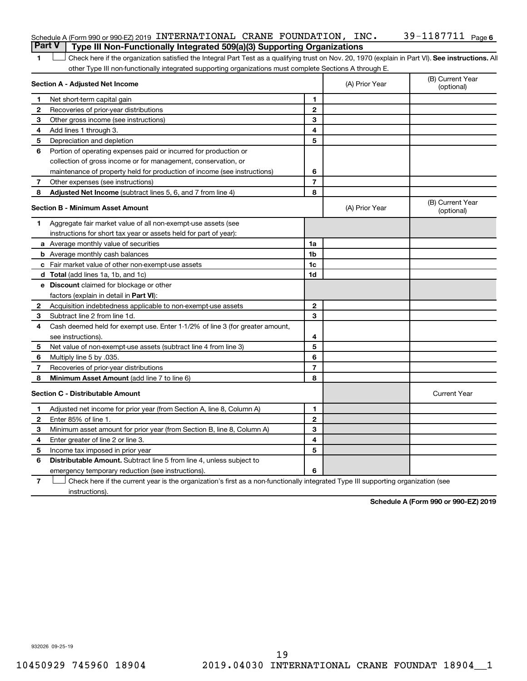| Schedule A (Form 990 or 990-EZ) 2019 INTERNATIONAL CRANE FOUNDATION, $INC.$ |            | $39 - 1187711$ Page 6 |
|-----------------------------------------------------------------------------|------------|-----------------------|
|                                                                             | ---------- |                       |

1 **Letter See instructions.** All Check here if the organization satisfied the Integral Part Test as a qualifying trust on Nov. 20, 1970 (explain in Part VI). See instructions. All other Type III non-functionally integrated supporting organizations must complete Sections A through E. **Part V Type III Non-Functionally Integrated 509(a)(3) Supporting Organizations** 

|                | Section A - Adjusted Net Income                                              |                | (A) Prior Year | (B) Current Year<br>(optional) |
|----------------|------------------------------------------------------------------------------|----------------|----------------|--------------------------------|
| 1              | Net short-term capital gain                                                  | 1              |                |                                |
| 2              | Recoveries of prior-year distributions                                       | $\mathbf{2}$   |                |                                |
| 3              | Other gross income (see instructions)                                        | 3              |                |                                |
| 4              | Add lines 1 through 3.                                                       | 4              |                |                                |
| 5              | Depreciation and depletion                                                   | 5              |                |                                |
| 6              | Portion of operating expenses paid or incurred for production or             |                |                |                                |
|                | collection of gross income or for management, conservation, or               |                |                |                                |
|                | maintenance of property held for production of income (see instructions)     | 6              |                |                                |
| 7              | Other expenses (see instructions)                                            | $\overline{7}$ |                |                                |
| 8              | Adjusted Net Income (subtract lines 5, 6, and 7 from line 4)                 | 8              |                |                                |
|                | <b>Section B - Minimum Asset Amount</b>                                      |                | (A) Prior Year | (B) Current Year<br>(optional) |
| 1.             | Aggregate fair market value of all non-exempt-use assets (see                |                |                |                                |
|                | instructions for short tax year or assets held for part of year):            |                |                |                                |
|                | a Average monthly value of securities                                        | 1a             |                |                                |
|                | <b>b</b> Average monthly cash balances                                       | 1 <sub>b</sub> |                |                                |
|                | c Fair market value of other non-exempt-use assets                           | 1c             |                |                                |
|                | <b>d</b> Total (add lines 1a, 1b, and 1c)                                    | 1 <sub>d</sub> |                |                                |
|                | e Discount claimed for blockage or other                                     |                |                |                                |
|                | factors (explain in detail in <b>Part VI</b> ):                              |                |                |                                |
| 2              | Acquisition indebtedness applicable to non-exempt-use assets                 | $\mathbf{2}$   |                |                                |
| 3              | Subtract line 2 from line 1d.                                                | 3              |                |                                |
| 4              | Cash deemed held for exempt use. Enter 1-1/2% of line 3 (for greater amount, |                |                |                                |
|                | see instructions).                                                           | 4              |                |                                |
| 5              | Net value of non-exempt-use assets (subtract line 4 from line 3)             | 5              |                |                                |
| 6              | Multiply line 5 by .035.                                                     | 6              |                |                                |
| $\overline{7}$ | Recoveries of prior-year distributions                                       | $\overline{7}$ |                |                                |
| 8              | Minimum Asset Amount (add line 7 to line 6)                                  | 8              |                |                                |
|                | <b>Section C - Distributable Amount</b>                                      |                |                | <b>Current Year</b>            |
| 1              | Adjusted net income for prior year (from Section A, line 8, Column A)        | 1              |                |                                |
| 2              | Enter 85% of line 1.                                                         | $\overline{2}$ |                |                                |
| 3              | Minimum asset amount for prior year (from Section B, line 8, Column A)       | 3              |                |                                |
| 4              | Enter greater of line 2 or line 3.                                           | 4              |                |                                |
| 5              | Income tax imposed in prior year                                             | 5              |                |                                |
| 6              | Distributable Amount. Subtract line 5 from line 4, unless subject to         |                |                |                                |
|                | emergency temporary reduction (see instructions).                            | 6              |                |                                |
|                |                                                                              |                |                |                                |

**7** Check here if the current year is the organization's first as a non-functionally integrated Type III supporting organization (see † instructions).

**Schedule A (Form 990 or 990-EZ) 2019**

932026 09-25-19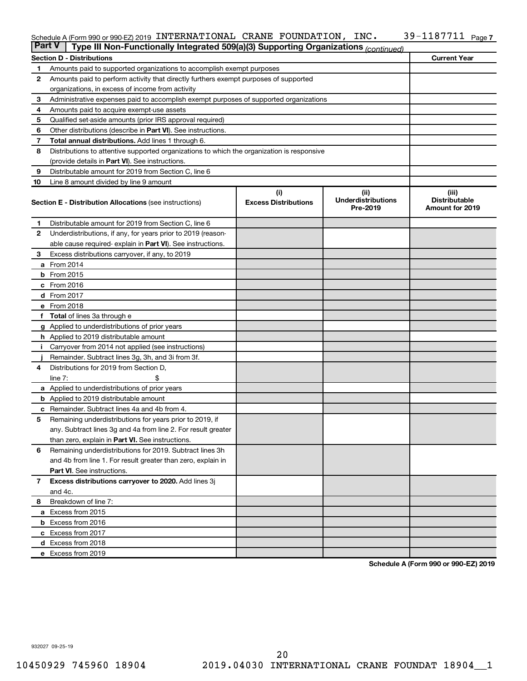#### Schedule A (Form 990 or 990-EZ) 2019 INTERNATIONAL CRANE FOUNDATION,INC。 39-II8 / /II Page INTERNATIONAL CRANE FOUNDATION, INC. 39-1187711

| <b>Part V</b>  | Type III Non-Functionally Integrated 509(a)(3) Supporting Organizations (continued)        |                             |                                       |                                                |  |  |  |
|----------------|--------------------------------------------------------------------------------------------|-----------------------------|---------------------------------------|------------------------------------------------|--|--|--|
|                | <b>Section D - Distributions</b>                                                           |                             |                                       | <b>Current Year</b>                            |  |  |  |
| 1              | Amounts paid to supported organizations to accomplish exempt purposes                      |                             |                                       |                                                |  |  |  |
| $\mathbf{2}$   | Amounts paid to perform activity that directly furthers exempt purposes of supported       |                             |                                       |                                                |  |  |  |
|                | organizations, in excess of income from activity                                           |                             |                                       |                                                |  |  |  |
| 3              | Administrative expenses paid to accomplish exempt purposes of supported organizations      |                             |                                       |                                                |  |  |  |
| 4              | Amounts paid to acquire exempt-use assets                                                  |                             |                                       |                                                |  |  |  |
| 5              | Qualified set-aside amounts (prior IRS approval required)                                  |                             |                                       |                                                |  |  |  |
| 6              | Other distributions (describe in <b>Part VI</b> ). See instructions.                       |                             |                                       |                                                |  |  |  |
| 7              | Total annual distributions. Add lines 1 through 6.                                         |                             |                                       |                                                |  |  |  |
| 8              | Distributions to attentive supported organizations to which the organization is responsive |                             |                                       |                                                |  |  |  |
|                | (provide details in Part VI). See instructions.                                            |                             |                                       |                                                |  |  |  |
| 9              | Distributable amount for 2019 from Section C, line 6                                       |                             |                                       |                                                |  |  |  |
| 10             | Line 8 amount divided by line 9 amount                                                     |                             |                                       |                                                |  |  |  |
|                |                                                                                            | (i)                         | (ii)                                  | (iii)                                          |  |  |  |
|                | <b>Section E - Distribution Allocations (see instructions)</b>                             | <b>Excess Distributions</b> | <b>Underdistributions</b><br>Pre-2019 | <b>Distributable</b><br><b>Amount for 2019</b> |  |  |  |
| 1              | Distributable amount for 2019 from Section C, line 6                                       |                             |                                       |                                                |  |  |  |
| 2              | Underdistributions, if any, for years prior to 2019 (reason-                               |                             |                                       |                                                |  |  |  |
|                | able cause required-explain in Part VI). See instructions.                                 |                             |                                       |                                                |  |  |  |
| 3              | Excess distributions carryover, if any, to 2019                                            |                             |                                       |                                                |  |  |  |
|                | a From 2014                                                                                |                             |                                       |                                                |  |  |  |
|                | <b>b</b> From 2015                                                                         |                             |                                       |                                                |  |  |  |
|                | c From 2016                                                                                |                             |                                       |                                                |  |  |  |
|                | d From 2017                                                                                |                             |                                       |                                                |  |  |  |
|                | e From 2018                                                                                |                             |                                       |                                                |  |  |  |
|                | f Total of lines 3a through e                                                              |                             |                                       |                                                |  |  |  |
|                | <b>g</b> Applied to underdistributions of prior years                                      |                             |                                       |                                                |  |  |  |
|                | <b>h</b> Applied to 2019 distributable amount                                              |                             |                                       |                                                |  |  |  |
| Ť.             | Carryover from 2014 not applied (see instructions)                                         |                             |                                       |                                                |  |  |  |
|                | Remainder. Subtract lines 3g, 3h, and 3i from 3f.                                          |                             |                                       |                                                |  |  |  |
| 4              | Distributions for 2019 from Section D,                                                     |                             |                                       |                                                |  |  |  |
|                | line $7:$                                                                                  |                             |                                       |                                                |  |  |  |
|                | a Applied to underdistributions of prior years                                             |                             |                                       |                                                |  |  |  |
|                | <b>b</b> Applied to 2019 distributable amount                                              |                             |                                       |                                                |  |  |  |
| c              | Remainder. Subtract lines 4a and 4b from 4.                                                |                             |                                       |                                                |  |  |  |
| 5              | Remaining underdistributions for years prior to 2019, if                                   |                             |                                       |                                                |  |  |  |
|                | any. Subtract lines 3g and 4a from line 2. For result greater                              |                             |                                       |                                                |  |  |  |
|                | than zero, explain in Part VI. See instructions.                                           |                             |                                       |                                                |  |  |  |
| 6              | Remaining underdistributions for 2019. Subtract lines 3h                                   |                             |                                       |                                                |  |  |  |
|                | and 4b from line 1. For result greater than zero, explain in                               |                             |                                       |                                                |  |  |  |
|                | <b>Part VI.</b> See instructions.                                                          |                             |                                       |                                                |  |  |  |
| $\overline{7}$ | Excess distributions carryover to 2020. Add lines 3j                                       |                             |                                       |                                                |  |  |  |
|                | and 4c.                                                                                    |                             |                                       |                                                |  |  |  |
| 8              | Breakdown of line 7:                                                                       |                             |                                       |                                                |  |  |  |
|                | a Excess from 2015                                                                         |                             |                                       |                                                |  |  |  |
|                | <b>b</b> Excess from 2016                                                                  |                             |                                       |                                                |  |  |  |
|                | c Excess from 2017                                                                         |                             |                                       |                                                |  |  |  |
|                | d Excess from 2018                                                                         |                             |                                       |                                                |  |  |  |
|                | e Excess from 2019                                                                         |                             |                                       |                                                |  |  |  |

**Schedule A (Form 990 or 990-EZ) 2019**

932027 09-25-19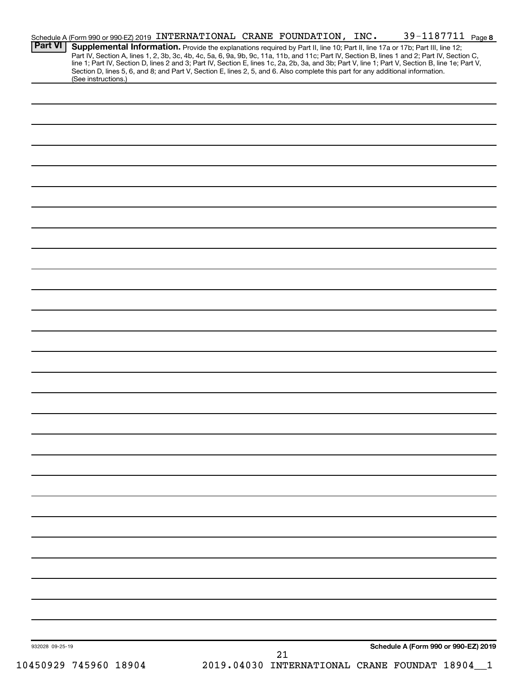|                 | Schedule A (Form 990 or 990-EZ) 2019 INTERNATIONAL CRANE FOUNDATION, INC.                                                                                                                                                                                                                                  |  |    |  | 39-1187711 Page 8                            |  |
|-----------------|------------------------------------------------------------------------------------------------------------------------------------------------------------------------------------------------------------------------------------------------------------------------------------------------------------|--|----|--|----------------------------------------------|--|
| <b>Part VI</b>  | Supplemental Information. Provide the explanations required by Part II, line 10; Part II, line 17a or 17b; Part III, line 12;<br>Part IV, Section A, lines 1, 2, 3b, 3c, 4b, 4c, 5a, 6, 9a, 9b, 9c, 11a, 11b, and 11c; Part IV, Section B, lines 1 and 2; Part IV, Section C,                              |  |    |  |                                              |  |
|                 | line 1; Part IV, Section D, lines 2 and 3; Part IV, Section E, lines 1c, 2a, 2b, 3a, and 3b; Part V, line 1; Part V, Section B, line 1e; Part V,<br>Section D, lines 5, 6, and 8; and Part V, Section E, lines 2, 5, and 6. Also complete this part for any additional information.<br>(See instructions.) |  |    |  |                                              |  |
|                 |                                                                                                                                                                                                                                                                                                            |  |    |  |                                              |  |
|                 |                                                                                                                                                                                                                                                                                                            |  |    |  |                                              |  |
|                 |                                                                                                                                                                                                                                                                                                            |  |    |  |                                              |  |
|                 |                                                                                                                                                                                                                                                                                                            |  |    |  |                                              |  |
|                 |                                                                                                                                                                                                                                                                                                            |  |    |  |                                              |  |
|                 |                                                                                                                                                                                                                                                                                                            |  |    |  |                                              |  |
|                 |                                                                                                                                                                                                                                                                                                            |  |    |  |                                              |  |
|                 |                                                                                                                                                                                                                                                                                                            |  |    |  |                                              |  |
|                 |                                                                                                                                                                                                                                                                                                            |  |    |  |                                              |  |
|                 |                                                                                                                                                                                                                                                                                                            |  |    |  |                                              |  |
|                 |                                                                                                                                                                                                                                                                                                            |  |    |  |                                              |  |
|                 |                                                                                                                                                                                                                                                                                                            |  |    |  |                                              |  |
|                 |                                                                                                                                                                                                                                                                                                            |  |    |  |                                              |  |
|                 |                                                                                                                                                                                                                                                                                                            |  |    |  |                                              |  |
|                 |                                                                                                                                                                                                                                                                                                            |  |    |  |                                              |  |
|                 |                                                                                                                                                                                                                                                                                                            |  |    |  |                                              |  |
|                 |                                                                                                                                                                                                                                                                                                            |  |    |  |                                              |  |
|                 |                                                                                                                                                                                                                                                                                                            |  |    |  |                                              |  |
|                 |                                                                                                                                                                                                                                                                                                            |  |    |  |                                              |  |
|                 |                                                                                                                                                                                                                                                                                                            |  |    |  |                                              |  |
|                 |                                                                                                                                                                                                                                                                                                            |  |    |  |                                              |  |
|                 |                                                                                                                                                                                                                                                                                                            |  |    |  |                                              |  |
|                 |                                                                                                                                                                                                                                                                                                            |  |    |  |                                              |  |
|                 |                                                                                                                                                                                                                                                                                                            |  |    |  |                                              |  |
|                 |                                                                                                                                                                                                                                                                                                            |  |    |  |                                              |  |
|                 |                                                                                                                                                                                                                                                                                                            |  |    |  |                                              |  |
|                 |                                                                                                                                                                                                                                                                                                            |  |    |  |                                              |  |
|                 |                                                                                                                                                                                                                                                                                                            |  |    |  |                                              |  |
|                 |                                                                                                                                                                                                                                                                                                            |  |    |  |                                              |  |
|                 |                                                                                                                                                                                                                                                                                                            |  |    |  |                                              |  |
|                 |                                                                                                                                                                                                                                                                                                            |  |    |  |                                              |  |
|                 |                                                                                                                                                                                                                                                                                                            |  |    |  |                                              |  |
|                 |                                                                                                                                                                                                                                                                                                            |  |    |  |                                              |  |
|                 |                                                                                                                                                                                                                                                                                                            |  |    |  |                                              |  |
|                 |                                                                                                                                                                                                                                                                                                            |  |    |  |                                              |  |
|                 |                                                                                                                                                                                                                                                                                                            |  |    |  |                                              |  |
|                 |                                                                                                                                                                                                                                                                                                            |  |    |  |                                              |  |
| 932028 09-25-19 |                                                                                                                                                                                                                                                                                                            |  | 21 |  | Schedule A (Form 990 or 990-EZ) 2019         |  |
|                 | 10450929 745960 18904                                                                                                                                                                                                                                                                                      |  |    |  | 2019.04030 INTERNATIONAL CRANE FOUNDAT 18904 |  |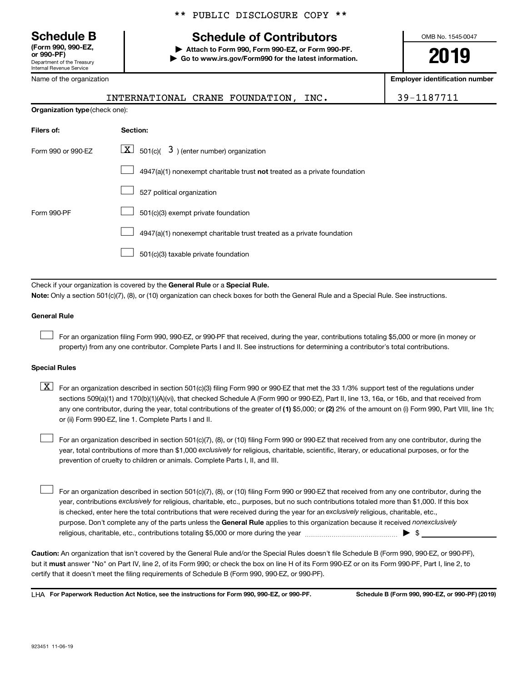**(Form 990, 990-EZ,**

Department of the Treasury Internal Revenue Service

Name of the organization

#### \*\* PUBLIC DISCLOSURE COPY \*\*

## **Schedule B Schedule of Contributors**

**or 990-PF) | Attach to Form 990, Form 990-EZ, or Form 990-PF. | Go to www.irs.gov/Form990 for the latest information.** OMB No. 1545-0047

**2019**

**Employer identification number**

|                                | INTERNATIONAL CRANE FOUNDATION, INC.                                         | 39-1187711 |
|--------------------------------|------------------------------------------------------------------------------|------------|
| Organization type (check one): |                                                                              |            |
| Filers of:                     | Section:                                                                     |            |
| Form 990 or 990-EZ             | $\mathbf{X}$<br>501(c)( $3$ ) (enter number) organization                    |            |
|                                | 4947(a)(1) nonexempt charitable trust not treated as a private foundation    |            |
|                                | 527 political organization                                                   |            |
| Form 990-PF                    | 501(c)(3) exempt private foundation                                          |            |
|                                | 4947(a)(1) nonexempt charitable trust treated as a private foundation        |            |
|                                | 501(c)(3) taxable private foundation                                         |            |
|                                |                                                                              |            |
|                                | Check if your organization is covered by the General Rule or a Special Rule. |            |

**Note:**  Only a section 501(c)(7), (8), or (10) organization can check boxes for both the General Rule and a Special Rule. See instructions.

#### **General Rule**

 $\Box$ 

For an organization filing Form 990, 990-EZ, or 990-PF that received, during the year, contributions totaling \$5,000 or more (in money or property) from any one contributor. Complete Parts I and II. See instructions for determining a contributor's total contributions.

#### **Special Rules**

any one contributor, during the year, total contributions of the greater of (1) \$5,000; or (2) 2% of the amount on (i) Form 990, Part VIII, line 1h;  $\boxed{\text{X}}$  For an organization described in section 501(c)(3) filing Form 990 or 990-EZ that met the 33 1/3% support test of the regulations under sections 509(a)(1) and 170(b)(1)(A)(vi), that checked Schedule A (Form 990 or 990-EZ), Part II, line 13, 16a, or 16b, and that received from or (ii) Form 990-EZ, line 1. Complete Parts I and II.

year, total contributions of more than \$1,000 *exclusively* for religious, charitable, scientific, literary, or educational purposes, or for the For an organization described in section 501(c)(7), (8), or (10) filing Form 990 or 990-EZ that received from any one contributor, during the prevention of cruelty to children or animals. Complete Parts I, II, and III.  $\Box$ 

purpose. Don't complete any of the parts unless the General Rule applies to this organization because it received nonexclusively year, contributions exclusively for religious, charitable, etc., purposes, but no such contributions totaled more than \$1,000. If this box is checked, enter here the total contributions that were received during the year for an exclusively religious, charitable, etc., For an organization described in section 501(c)(7), (8), or (10) filing Form 990 or 990-EZ that received from any one contributor, during the religious, charitable, etc., contributions totaling \$5,000 or more during the year  $~\ldots\ldots\ldots\ldots\ldots\ldots\ldots\ldots\ldots\blacktriangleright~$ \$  $\Box$ 

**Caution:**  An organization that isn't covered by the General Rule and/or the Special Rules doesn't file Schedule B (Form 990, 990-EZ, or 990-PF),  **must** but it answer "No" on Part IV, line 2, of its Form 990; or check the box on line H of its Form 990-EZ or on its Form 990-PF, Part I, line 2, to certify that it doesn't meet the filing requirements of Schedule B (Form 990, 990-EZ, or 990-PF).

**For Paperwork Reduction Act Notice, see the instructions for Form 990, 990-EZ, or 990-PF. Schedule B (Form 990, 990-EZ, or 990-PF) (2019)** LHA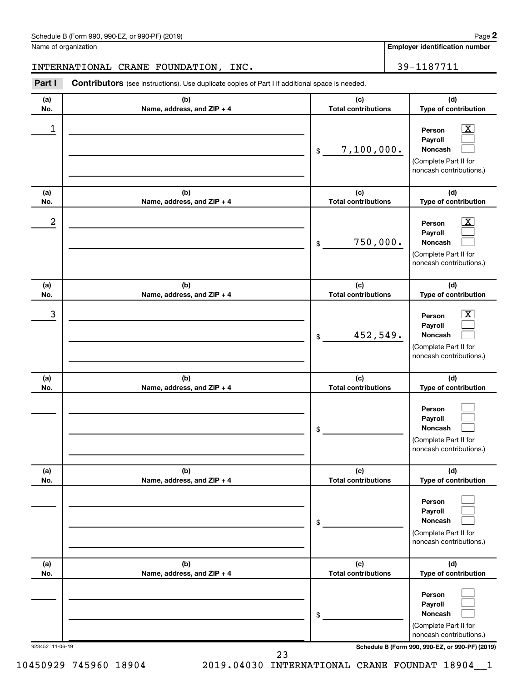| Schedule B (Form 990, 990-EZ, or 990-PF) (2019) | Page |
|-------------------------------------------------|------|
|-------------------------------------------------|------|

Name of organization

**Employer identification number**

### INTERNATIONAL CRANE FOUNDATION, INC. 39-1187711

**Part I** Contributors (see instructions). Use duplicate copies of Part I if additional space is needed.

| (a)             | (b)                        | (c)                        | (d)                                                                                                                                 |
|-----------------|----------------------------|----------------------------|-------------------------------------------------------------------------------------------------------------------------------------|
| No.             | Name, address, and ZIP + 4 | <b>Total contributions</b> | Type of contribution                                                                                                                |
| 1               |                            | 7,100,000.<br>\$           | $\overline{\textbf{X}}$<br>Person<br>Payroll<br>Noncash<br>(Complete Part II for<br>noncash contributions.)                         |
| (a)             | (b)                        | (c)                        | (d)                                                                                                                                 |
| No.             | Name, address, and ZIP + 4 | <b>Total contributions</b> | Type of contribution                                                                                                                |
| 2               |                            | 750,000.<br>\$             | $\overline{\text{X}}$<br>Person<br>Payroll<br>Noncash<br>(Complete Part II for<br>noncash contributions.)                           |
| (a)             | (b)                        | (c)                        | (d)                                                                                                                                 |
| No.             | Name, address, and ZIP + 4 | <b>Total contributions</b> | Type of contribution                                                                                                                |
| 3               |                            | 452,549.<br>\$             | $\overline{\text{X}}$<br>Person<br>Payroll<br>Noncash<br>(Complete Part II for<br>noncash contributions.)                           |
| (a)             | (b)                        | (c)                        | (d)                                                                                                                                 |
| No.             | Name, address, and ZIP + 4 | <b>Total contributions</b> | Type of contribution                                                                                                                |
|                 |                            | \$                         | Person<br>Payroll<br>Noncash<br>(Complete Part II for<br>noncash contributions.)                                                    |
| (a)             | (b)                        | (c)                        | (d)                                                                                                                                 |
| No.             | Name, address, and ZIP + 4 | <b>Total contributions</b> | Type of contribution                                                                                                                |
|                 |                            | \$                         | Person<br>Payroll<br>Noncash<br>(Complete Part II for<br>noncash contributions.)                                                    |
| (a)             | (b)                        | (c)                        | (d)                                                                                                                                 |
| No.             | Name, address, and ZIP + 4 | <b>Total contributions</b> | Type of contribution                                                                                                                |
| 923452 11-06-19 |                            | \$                         | Person<br>Payroll<br>Noncash<br>(Complete Part II for<br>noncash contributions.)<br>Schedule B (Form 990, 990-EZ, or 990-PF) (2019) |

10450929 745960 18904 2019.04030 INTERNATIONAL CRANE FOUNDAT 18904\_\_1

23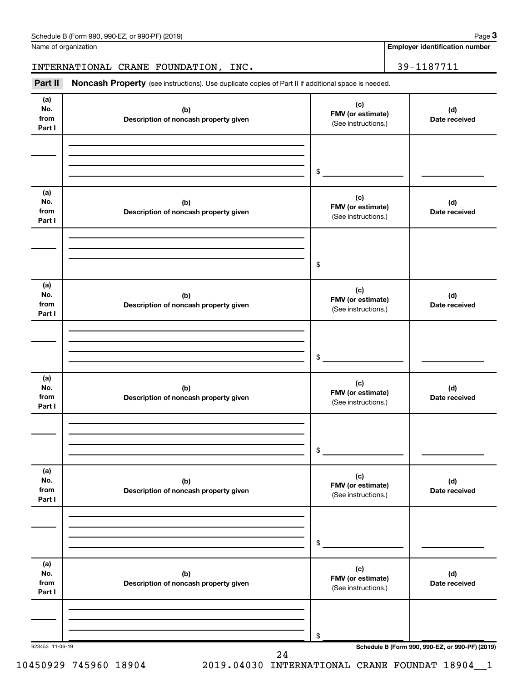| Schedule B (Form 990, 990-EZ, or 990-PF) (2019) | Page |
|-------------------------------------------------|------|
|-------------------------------------------------|------|

Name of organization

**Employer identification number**

INTERNATIONAL CRANE FOUNDATION, INC. 29-1187711

Part II Noncash Property (see instructions). Use duplicate copies of Part II if additional space is needed.

| (a)<br>No.<br>from<br>Part I | (b)<br>Description of noncash property given | (c)<br>FMV (or estimate)<br>(See instructions.) | (d)<br>Date received |
|------------------------------|----------------------------------------------|-------------------------------------------------|----------------------|
|                              |                                              |                                                 |                      |
|                              |                                              | $\frac{1}{2}$                                   |                      |
| (a)<br>No.<br>from<br>Part I | (b)<br>Description of noncash property given | (c)<br>FMV (or estimate)<br>(See instructions.) | (d)<br>Date received |
|                              |                                              |                                                 |                      |
|                              |                                              | $\frac{1}{2}$                                   |                      |
| (a)<br>No.<br>from<br>Part I | (b)<br>Description of noncash property given | (c)<br>FMV (or estimate)<br>(See instructions.) | (d)<br>Date received |
|                              |                                              |                                                 |                      |
|                              |                                              | $\frac{1}{2}$                                   |                      |
| (a)<br>No.<br>from<br>Part I | (b)<br>Description of noncash property given | (c)<br>FMV (or estimate)<br>(See instructions.) | (d)<br>Date received |
|                              |                                              |                                                 |                      |
|                              |                                              | $$\circ$$                                       |                      |
| (a)<br>No.<br>from<br>Part I | (b)<br>Description of noncash property given | (c)<br>FMV (or estimate)<br>(See instructions.) | (d)<br>Date received |
|                              |                                              |                                                 |                      |
|                              |                                              | \$                                              |                      |
| (a)<br>No.<br>from<br>Part I | (b)<br>Description of noncash property given | (c)<br>FMV (or estimate)<br>(See instructions.) | (d)<br>Date received |
|                              |                                              |                                                 |                      |
|                              |                                              |                                                 |                      |

10450929 745960 18904 2019.04030 INTERNATIONAL CRANE FOUNDAT 18904\_\_1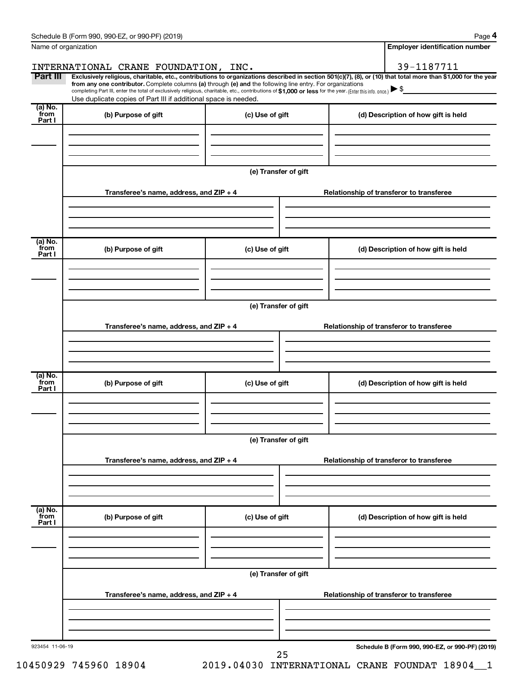| Name of organization      |                                                                                                                                                                                                                                                                                                                                                                                                                                                                                                                                                     |                      | <b>Employer identification number</b>           |
|---------------------------|-----------------------------------------------------------------------------------------------------------------------------------------------------------------------------------------------------------------------------------------------------------------------------------------------------------------------------------------------------------------------------------------------------------------------------------------------------------------------------------------------------------------------------------------------------|----------------------|-------------------------------------------------|
| Part III                  | INTERNATIONAL CRANE FOUNDATION, INC.<br>Exclusively religious, charitable, etc., contributions to organizations described in section 501(c)(7), (8), or (10) that total more than \$1,000 for the year<br>from any one contributor. Complete columns (a) through (e) and the following line entry. For organizations<br>completing Part III, enter the total of exclusively religious, charitable, etc., contributions of \$1,000 or less for the year. (Enter this info. once.)<br>Use duplicate copies of Part III if additional space is needed. |                      | 39-1187711                                      |
| (a) No.<br>from           | (b) Purpose of gift                                                                                                                                                                                                                                                                                                                                                                                                                                                                                                                                 | (c) Use of gift      | (d) Description of how gift is held             |
| Part I                    |                                                                                                                                                                                                                                                                                                                                                                                                                                                                                                                                                     |                      |                                                 |
|                           |                                                                                                                                                                                                                                                                                                                                                                                                                                                                                                                                                     | (e) Transfer of gift |                                                 |
|                           | Transferee's name, address, and ZIP + 4                                                                                                                                                                                                                                                                                                                                                                                                                                                                                                             |                      | Relationship of transferor to transferee        |
| (a) No.<br>`from          |                                                                                                                                                                                                                                                                                                                                                                                                                                                                                                                                                     |                      |                                                 |
| Part I                    | (b) Purpose of gift                                                                                                                                                                                                                                                                                                                                                                                                                                                                                                                                 | (c) Use of gift      | (d) Description of how gift is held             |
|                           |                                                                                                                                                                                                                                                                                                                                                                                                                                                                                                                                                     | (e) Transfer of gift |                                                 |
|                           | Transferee's name, address, and ZIP + 4                                                                                                                                                                                                                                                                                                                                                                                                                                                                                                             |                      | Relationship of transferor to transferee        |
|                           |                                                                                                                                                                                                                                                                                                                                                                                                                                                                                                                                                     |                      |                                                 |
| (a) No.<br>from<br>Part I | (b) Purpose of gift                                                                                                                                                                                                                                                                                                                                                                                                                                                                                                                                 | (c) Use of gift      | (d) Description of how gift is held             |
|                           |                                                                                                                                                                                                                                                                                                                                                                                                                                                                                                                                                     | (e) Transfer of gift |                                                 |
|                           | Transferee's name, address, and $ZIP + 4$                                                                                                                                                                                                                                                                                                                                                                                                                                                                                                           |                      | Relationship of transferor to transferee        |
|                           |                                                                                                                                                                                                                                                                                                                                                                                                                                                                                                                                                     |                      |                                                 |
| (a) No.<br>from<br>Part I | (b) Purpose of gift                                                                                                                                                                                                                                                                                                                                                                                                                                                                                                                                 | (c) Use of gift      | (d) Description of how gift is held             |
|                           |                                                                                                                                                                                                                                                                                                                                                                                                                                                                                                                                                     | (e) Transfer of gift |                                                 |
|                           | Transferee's name, address, and $ZIP + 4$                                                                                                                                                                                                                                                                                                                                                                                                                                                                                                           |                      | Relationship of transferor to transferee        |
|                           |                                                                                                                                                                                                                                                                                                                                                                                                                                                                                                                                                     |                      |                                                 |
| 923454 11-06-19           |                                                                                                                                                                                                                                                                                                                                                                                                                                                                                                                                                     | 25                   | Schedule B (Form 990, 990-EZ, or 990-PF) (2019) |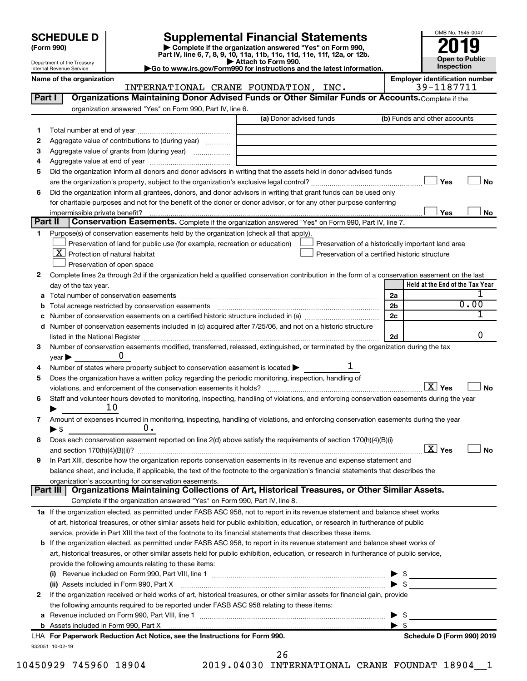# **SCHEDULE D Supplemental Financial Statements**<br> **Form 990 2019**<br> **Part IV** line 6.7.8.9.10, 11a, 11b, 11d, 11d, 11d, 11d, 11d, 12a, 0r, 12b

**(Form 990) | Complete if the organization answered "Yes" on Form 990, Part IV, line 6, 7, 8, 9, 10, 11a, 11b, 11c, 11d, 11e, 11f, 12a, or 12b.**





Department of the Treasury Internal Revenue Service

Name of the organization<br> **Employer identification number**<br> **Employer identification number**<br> **Employer identification number**<br> **Employer identification number** INTERNATIONAL CRANE FOUNDATION, INC.

| Part I       | Organizations Maintaining Donor Advised Funds or Other Similar Funds or Accounts. Complete if the                                              |                         |                |                                                    |
|--------------|------------------------------------------------------------------------------------------------------------------------------------------------|-------------------------|----------------|----------------------------------------------------|
|              | organization answered "Yes" on Form 990, Part IV, line 6.                                                                                      | (a) Donor advised funds |                | (b) Funds and other accounts                       |
| 1            |                                                                                                                                                |                         |                |                                                    |
| 2            | Aggregate value of contributions to (during year)                                                                                              |                         |                |                                                    |
| З            | Aggregate value of grants from (during year)                                                                                                   |                         |                |                                                    |
| 4            |                                                                                                                                                |                         |                |                                                    |
| 5            | Did the organization inform all donors and donor advisors in writing that the assets held in donor advised funds                               |                         |                |                                                    |
|              |                                                                                                                                                |                         |                | Yes<br>No                                          |
| 6            | Did the organization inform all grantees, donors, and donor advisors in writing that grant funds can be used only                              |                         |                |                                                    |
|              | for charitable purposes and not for the benefit of the donor or donor advisor, or for any other purpose conferring                             |                         |                |                                                    |
|              |                                                                                                                                                |                         |                | Yes<br>No                                          |
| Part II      | Conservation Easements. Complete if the organization answered "Yes" on Form 990, Part IV, line 7.                                              |                         |                |                                                    |
| 1            | Purpose(s) of conservation easements held by the organization (check all that apply).                                                          |                         |                |                                                    |
|              | Preservation of land for public use (for example, recreation or education)                                                                     |                         |                | Preservation of a historically important land area |
|              | $X$ Protection of natural habitat                                                                                                              |                         |                | Preservation of a certified historic structure     |
|              | Preservation of open space                                                                                                                     |                         |                |                                                    |
| 2            | Complete lines 2a through 2d if the organization held a qualified conservation contribution in the form of a conservation easement on the last |                         |                |                                                    |
|              | day of the tax year.                                                                                                                           |                         |                | Held at the End of the Tax Year                    |
| а            |                                                                                                                                                |                         | 2a             |                                                    |
| b            |                                                                                                                                                |                         | 2 <sub>b</sub> | 0.00                                               |
|              | Number of conservation easements on a certified historic structure included in (a) manufacture included in (a)                                 |                         | 2c             |                                                    |
| d            | Number of conservation easements included in (c) acquired after 7/25/06, and not on a historic structure                                       |                         |                |                                                    |
|              | listed in the National Register [11, 120] and the National Register [11, 120] and the National Register [11, 1                                 |                         | 2d             | 0                                                  |
| З            | Number of conservation easements modified, transferred, released, extinguished, or terminated by the organization during the tax               |                         |                |                                                    |
|              | U<br>year                                                                                                                                      |                         |                |                                                    |
| 4            | Number of states where property subject to conservation easement is located >                                                                  |                         |                |                                                    |
| 5            | Does the organization have a written policy regarding the periodic monitoring, inspection, handling of                                         |                         |                |                                                    |
|              | violations, and enforcement of the conservation easements it holds?                                                                            |                         |                | $\boxed{\text{X}}$ Yes<br><b>No</b>                |
| 6            | Staff and volunteer hours devoted to monitoring, inspecting, handling of violations, and enforcing conservation easements during the year      |                         |                |                                                    |
|              | 10                                                                                                                                             |                         |                |                                                    |
| 7            | Amount of expenses incurred in monitoring, inspecting, handling of violations, and enforcing conservation easements during the year            |                         |                |                                                    |
|              | υ.<br>$\blacktriangleright$ \$                                                                                                                 |                         |                |                                                    |
| 8            | Does each conservation easement reported on line 2(d) above satisfy the requirements of section 170(h)(4)(B)(i)                                |                         |                |                                                    |
|              |                                                                                                                                                |                         |                | $\boxed{\text{X}}$ Yes<br>No                       |
| 9            | In Part XIII, describe how the organization reports conservation easements in its revenue and expense statement and                            |                         |                |                                                    |
|              | balance sheet, and include, if applicable, the text of the footnote to the organization's financial statements that describes the              |                         |                |                                                    |
|              | organization's accounting for conservation easements.                                                                                          |                         |                |                                                    |
|              | Organizations Maintaining Collections of Art, Historical Treasures, or Other Similar Assets.<br>Part III                                       |                         |                |                                                    |
|              | Complete if the organization answered "Yes" on Form 990, Part IV, line 8.                                                                      |                         |                |                                                    |
|              | 1a If the organization elected, as permitted under FASB ASC 958, not to report in its revenue statement and balance sheet works                |                         |                |                                                    |
|              | of art, historical treasures, or other similar assets held for public exhibition, education, or research in furtherance of public              |                         |                |                                                    |
|              | service, provide in Part XIII the text of the footnote to its financial statements that describes these items.                                 |                         |                |                                                    |
|              | <b>b</b> If the organization elected, as permitted under FASB ASC 958, to report in its revenue statement and balance sheet works of           |                         |                |                                                    |
|              | art, historical treasures, or other similar assets held for public exhibition, education, or research in furtherance of public service,        |                         |                |                                                    |
|              | provide the following amounts relating to these items:                                                                                         |                         |                |                                                    |
|              |                                                                                                                                                |                         |                |                                                    |
|              | (ii) Assets included in Form 990, Part X                                                                                                       |                         |                | \$                                                 |
| $\mathbf{2}$ | If the organization received or held works of art, historical treasures, or other similar assets for financial gain, provide                   |                         |                |                                                    |
|              | the following amounts required to be reported under FASB ASC 958 relating to these items:                                                      |                         |                |                                                    |
| а            |                                                                                                                                                |                         |                | - \$                                               |
|              |                                                                                                                                                |                         |                | - \$                                               |
|              | LHA For Paperwork Reduction Act Notice, see the Instructions for Form 990.                                                                     |                         |                | Schedule D (Form 990) 2019                         |
|              | 932051 10-02-19                                                                                                                                |                         |                |                                                    |
|              |                                                                                                                                                | 26                      |                |                                                    |

10450929 745960 18904 2019.04030 INTERNATIONAL CRANE FOUNDAT 18904\_\_1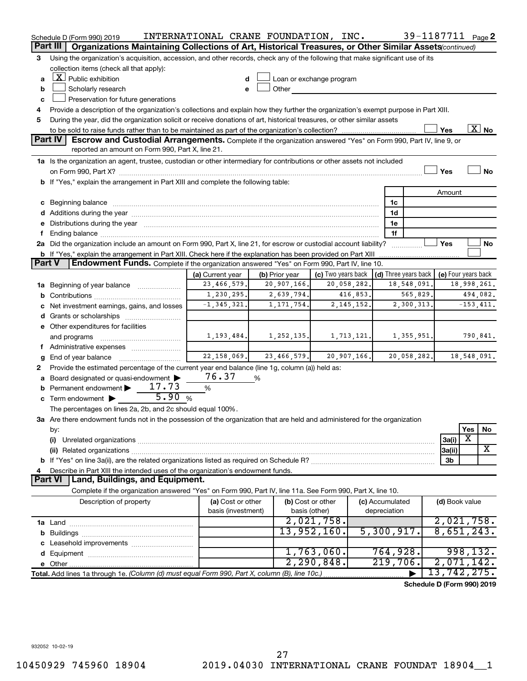|        | Schedule D (Form 990) 2019                                                                                                                                                                                                     | INTERNATIONAL CRANE FOUNDATION, INC. |                |                          |              |                                      | 39-1187711 Page 2          |                         |                       |
|--------|--------------------------------------------------------------------------------------------------------------------------------------------------------------------------------------------------------------------------------|--------------------------------------|----------------|--------------------------|--------------|--------------------------------------|----------------------------|-------------------------|-----------------------|
|        | Part III<br>Organizations Maintaining Collections of Art, Historical Treasures, or Other Similar Assets (continued)                                                                                                            |                                      |                |                          |              |                                      |                            |                         |                       |
| 3      | Using the organization's acquisition, accession, and other records, check any of the following that make significant use of its                                                                                                |                                      |                |                          |              |                                      |                            |                         |                       |
|        | collection items (check all that apply):                                                                                                                                                                                       |                                      |                |                          |              |                                      |                            |                         |                       |
| a      | $\lfloor x \rfloor$ Public exhibition                                                                                                                                                                                          |                                      |                | Loan or exchange program |              |                                      |                            |                         |                       |
| b      | Scholarly research                                                                                                                                                                                                             |                                      | Other          |                          |              |                                      |                            |                         |                       |
| c      | Preservation for future generations                                                                                                                                                                                            |                                      |                |                          |              |                                      |                            |                         |                       |
| 4      | Provide a description of the organization's collections and explain how they further the organization's exempt purpose in Part XIII.                                                                                           |                                      |                |                          |              |                                      |                            |                         |                       |
| 5      | During the year, did the organization solicit or receive donations of art, historical treasures, or other similar assets                                                                                                       |                                      |                |                          |              |                                      |                            |                         |                       |
|        |                                                                                                                                                                                                                                |                                      |                |                          |              |                                      | Yes                        |                         | $\boxed{\text{X}}$ No |
|        | <b>Part IV</b><br><b>Escrow and Custodial Arrangements.</b> Complete if the organization answered "Yes" on Form 990, Part IV, line 9, or<br>reported an amount on Form 990, Part X, line 21.                                   |                                      |                |                          |              |                                      |                            |                         |                       |
|        | 1a Is the organization an agent, trustee, custodian or other intermediary for contributions or other assets not included                                                                                                       |                                      |                |                          |              |                                      |                            |                         |                       |
|        |                                                                                                                                                                                                                                |                                      |                |                          |              |                                      | Yes                        |                         | <b>No</b>             |
|        | b If "Yes," explain the arrangement in Part XIII and complete the following table:                                                                                                                                             |                                      |                |                          |              |                                      |                            |                         |                       |
|        |                                                                                                                                                                                                                                |                                      |                |                          |              |                                      | Amount                     |                         |                       |
|        | c Beginning balance measurements and the contract of the contract of the contract of the contract of the contract of the contract of the contract of the contract of the contract of the contract of the contract of the contr |                                      |                |                          |              | 1c                                   |                            |                         |                       |
|        |                                                                                                                                                                                                                                |                                      |                |                          |              | 1d                                   |                            |                         |                       |
|        | e Distributions during the year manufactured and contained and contained and contained and contained and contained and contained and contained and contained and contained and contained and contained and contained and conta |                                      |                |                          |              | 1е                                   |                            |                         |                       |
|        |                                                                                                                                                                                                                                |                                      |                |                          |              | 1f                                   |                            |                         |                       |
|        | 2a Did the organization include an amount on Form 990, Part X, line 21, for escrow or custodial account liability?                                                                                                             |                                      |                |                          |              | .                                    | Yes                        |                         | No                    |
|        | <b>b</b> If "Yes," explain the arrangement in Part XIII. Check here if the explanation has been provided on Part XIII                                                                                                          |                                      |                |                          |              |                                      |                            |                         |                       |
| Part V | Endowment Funds. Complete if the organization answered "Yes" on Form 990, Part IV, line 10.                                                                                                                                    |                                      |                |                          |              |                                      |                            |                         |                       |
|        |                                                                                                                                                                                                                                | (a) Current year                     | (b) Prior year | (c) Two years back       |              | $\vert$ (d) Three years back $\vert$ |                            | (e) Four years back     |                       |
|        | 1a Beginning of year balance                                                                                                                                                                                                   | 23,466,579.                          | 20,907,166.    | 20,058,282.              |              | 18,548,091.                          |                            | 18,998,261.             |                       |
|        |                                                                                                                                                                                                                                | 1,230,295.                           | 2,639,794.     | 416,853.                 |              | 565,829.                             |                            |                         | 494,082.              |
|        | c Net investment earnings, gains, and losses                                                                                                                                                                                   | $-1, 345, 321.$                      | 1, 171, 754.   | 2, 145, 152.             |              | 2,300,313.                           |                            |                         | $-153, 411.$          |
|        |                                                                                                                                                                                                                                |                                      |                |                          |              |                                      |                            |                         |                       |
|        | e Other expenditures for facilities                                                                                                                                                                                            |                                      |                |                          |              |                                      |                            |                         |                       |
|        | and programs                                                                                                                                                                                                                   | 1, 193, 484.                         | 1,252,135.     | 1,713,121.               |              | 1,355,951.                           |                            |                         | 790,841.              |
|        |                                                                                                                                                                                                                                | 22, 158, 069.                        | 23,466,579.    | 20,907,166.              |              | 20,058,282.                          |                            | 18,548,091.             |                       |
| g<br>2 | Provide the estimated percentage of the current year end balance (line 1g, column (a)) held as:                                                                                                                                |                                      |                |                          |              |                                      |                            |                         |                       |
|        | a Board designated or quasi-endowment >                                                                                                                                                                                        | 76.37                                | %              |                          |              |                                      |                            |                         |                       |
|        | <b>b</b> Permanent endowment $\blacktriangleright$ 17.73                                                                                                                                                                       | %                                    |                |                          |              |                                      |                            |                         |                       |
|        | 5.90%<br>c Term endowment $\blacktriangleright$                                                                                                                                                                                |                                      |                |                          |              |                                      |                            |                         |                       |
|        | The percentages on lines 2a, 2b, and 2c should equal 100%.                                                                                                                                                                     |                                      |                |                          |              |                                      |                            |                         |                       |
|        | 3a Are there endowment funds not in the possession of the organization that are held and administered for the organization                                                                                                     |                                      |                |                          |              |                                      |                            |                         |                       |
|        | by:                                                                                                                                                                                                                            |                                      |                |                          |              |                                      |                            | Yes                     | No                    |
|        | (i)                                                                                                                                                                                                                            |                                      |                |                          |              |                                      | 3a(i)                      | X                       |                       |
|        | (ii) Related organizations [11] Related organizations [11] Maximum material contract to the contract of the contract of the contract of the contract of the contract of the contract of the contract of the contract of the co |                                      |                |                          |              |                                      | 3a(ii)                     |                         | X                     |
|        |                                                                                                                                                                                                                                |                                      |                |                          |              |                                      | 3b                         |                         |                       |
| 4      | Describe in Part XIII the intended uses of the organization's endowment funds.                                                                                                                                                 |                                      |                |                          |              |                                      |                            |                         |                       |
|        | Land, Buildings, and Equipment.<br><b>Part VI</b>                                                                                                                                                                              |                                      |                |                          |              |                                      |                            |                         |                       |
|        | Complete if the organization answered "Yes" on Form 990, Part IV, line 11a. See Form 990, Part X, line 10.                                                                                                                     |                                      |                |                          |              |                                      |                            |                         |                       |
|        | Description of property                                                                                                                                                                                                        | (a) Cost or other                    |                | (b) Cost or other        |              | (c) Accumulated                      |                            | (d) Book value          |                       |
|        |                                                                                                                                                                                                                                | basis (investment)                   |                | basis (other)            | depreciation |                                      |                            |                         |                       |
|        |                                                                                                                                                                                                                                |                                      |                | 2,021,758.               |              |                                      |                            | 2,021,758.              |                       |
|        |                                                                                                                                                                                                                                |                                      |                | 13,952,160.              |              | 5,300,917.                           |                            | 8,651,243.              |                       |
|        |                                                                                                                                                                                                                                |                                      |                |                          |              |                                      |                            |                         |                       |
|        |                                                                                                                                                                                                                                |                                      |                | 1,763,060.<br>2,290,848. |              | 764,928.<br>219,706.                 |                            | 998, 132.<br>2,071,142. |                       |
|        |                                                                                                                                                                                                                                |                                      |                |                          |              |                                      | 13,742,275.                |                         |                       |
|        | Total. Add lines 1a through 1e. (Column (d) must equal Form 990, Part X, column (B), line 10c.)                                                                                                                                |                                      |                |                          |              |                                      |                            |                         |                       |
|        |                                                                                                                                                                                                                                |                                      |                |                          |              |                                      | Schedule D (Form 990) 2019 |                         |                       |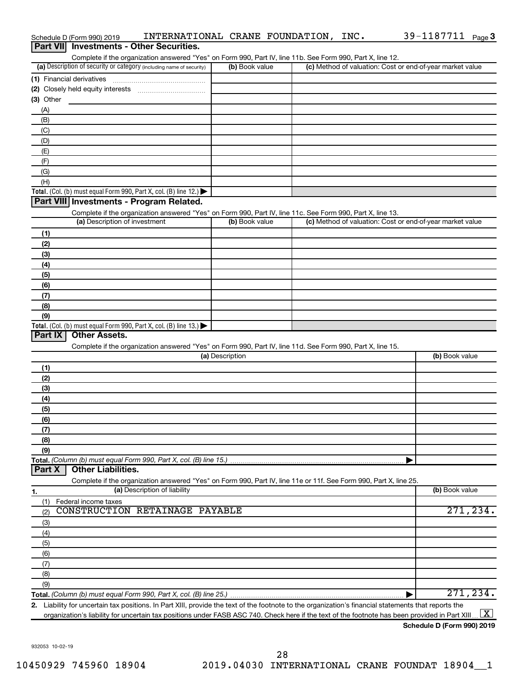| <b>Investments - Other Securities.</b><br><b>Part VIII</b><br>Complete if the organization answered "Yes" on Form 990, Part IV, line 11b. See Form 990, Part X, line 12.<br>(a) Description of security or category (including name of security)<br>(b) Book value<br>(c) Method of valuation: Cost or end-of-year market value<br>(A)<br>(B)<br>(C)<br>(D)<br>(E)<br>(F)<br>(G)<br>(H)<br>Total. (Col. (b) must equal Form 990, Part X, col. (B) line 12.)<br>Part VIII Investments - Program Related.<br>Complete if the organization answered "Yes" on Form 990, Part IV, line 11c. See Form 990, Part X, line 13.<br>(a) Description of investment<br>(b) Book value<br>(c) Method of valuation: Cost or end-of-year market value<br>(1)<br>(2)<br>(3)<br>(4)<br>(5)<br>(6)<br>(7)<br>(8)<br>(9)<br>Total. (Col. (b) must equal Form 990, Part X, col. (B) line 13.)<br>Part IX<br><b>Other Assets.</b><br>Complete if the organization answered "Yes" on Form 990, Part IV, line 11d. See Form 990, Part X, line 15.<br>(a) Description<br>(b) Book value<br>(1)<br>(2)<br>(3)<br>(4)<br>(5)<br>(6)<br>(7)<br>(8)<br>(9)<br>Total. (Column (b) must equal Form 990, Part X, col. (B) line 15.)<br><b>Other Liabilities.</b><br>Part X<br>Complete if the organization answered "Yes" on Form 990, Part IV, line 11e or 11f. See Form 990, Part X, line 25.<br>(a) Description of liability<br>(b) Book value<br>Federal income taxes<br>(1)<br>CONSTRUCTION RETAINAGE PAYABLE<br>271,234.<br>(2)<br>(3)<br>(4)<br>(5)<br>(6)<br>(7)<br>(8)<br>(9)<br>271, 234.<br>2. Liability for uncertain tax positions. In Part XIII, provide the text of the footnote to the organization's financial statements that reports the<br>$\lfloor x \rfloor$<br>organization's liability for uncertain tax positions under FASB ASC 740. Check here if the text of the footnote has been provided in Part XIII |           | Schedule D (Form 990) 2019 | INTERNATIONAL CRANE FOUNDATION, INC. |  | 39-1187711 Page 3 |  |
|------------------------------------------------------------------------------------------------------------------------------------------------------------------------------------------------------------------------------------------------------------------------------------------------------------------------------------------------------------------------------------------------------------------------------------------------------------------------------------------------------------------------------------------------------------------------------------------------------------------------------------------------------------------------------------------------------------------------------------------------------------------------------------------------------------------------------------------------------------------------------------------------------------------------------------------------------------------------------------------------------------------------------------------------------------------------------------------------------------------------------------------------------------------------------------------------------------------------------------------------------------------------------------------------------------------------------------------------------------------------------------------------------------------------------------------------------------------------------------------------------------------------------------------------------------------------------------------------------------------------------------------------------------------------------------------------------------------------------------------------------------------------------------------------------------------------------------------------------------------------------------------------------|-----------|----------------------------|--------------------------------------|--|-------------------|--|
|                                                                                                                                                                                                                                                                                                                                                                                                                                                                                                                                                                                                                                                                                                                                                                                                                                                                                                                                                                                                                                                                                                                                                                                                                                                                                                                                                                                                                                                                                                                                                                                                                                                                                                                                                                                                                                                                                                      |           |                            |                                      |  |                   |  |
|                                                                                                                                                                                                                                                                                                                                                                                                                                                                                                                                                                                                                                                                                                                                                                                                                                                                                                                                                                                                                                                                                                                                                                                                                                                                                                                                                                                                                                                                                                                                                                                                                                                                                                                                                                                                                                                                                                      |           |                            |                                      |  |                   |  |
|                                                                                                                                                                                                                                                                                                                                                                                                                                                                                                                                                                                                                                                                                                                                                                                                                                                                                                                                                                                                                                                                                                                                                                                                                                                                                                                                                                                                                                                                                                                                                                                                                                                                                                                                                                                                                                                                                                      |           |                            |                                      |  |                   |  |
|                                                                                                                                                                                                                                                                                                                                                                                                                                                                                                                                                                                                                                                                                                                                                                                                                                                                                                                                                                                                                                                                                                                                                                                                                                                                                                                                                                                                                                                                                                                                                                                                                                                                                                                                                                                                                                                                                                      |           |                            |                                      |  |                   |  |
|                                                                                                                                                                                                                                                                                                                                                                                                                                                                                                                                                                                                                                                                                                                                                                                                                                                                                                                                                                                                                                                                                                                                                                                                                                                                                                                                                                                                                                                                                                                                                                                                                                                                                                                                                                                                                                                                                                      |           |                            |                                      |  |                   |  |
|                                                                                                                                                                                                                                                                                                                                                                                                                                                                                                                                                                                                                                                                                                                                                                                                                                                                                                                                                                                                                                                                                                                                                                                                                                                                                                                                                                                                                                                                                                                                                                                                                                                                                                                                                                                                                                                                                                      | (3) Other |                            |                                      |  |                   |  |
|                                                                                                                                                                                                                                                                                                                                                                                                                                                                                                                                                                                                                                                                                                                                                                                                                                                                                                                                                                                                                                                                                                                                                                                                                                                                                                                                                                                                                                                                                                                                                                                                                                                                                                                                                                                                                                                                                                      |           |                            |                                      |  |                   |  |
|                                                                                                                                                                                                                                                                                                                                                                                                                                                                                                                                                                                                                                                                                                                                                                                                                                                                                                                                                                                                                                                                                                                                                                                                                                                                                                                                                                                                                                                                                                                                                                                                                                                                                                                                                                                                                                                                                                      |           |                            |                                      |  |                   |  |
|                                                                                                                                                                                                                                                                                                                                                                                                                                                                                                                                                                                                                                                                                                                                                                                                                                                                                                                                                                                                                                                                                                                                                                                                                                                                                                                                                                                                                                                                                                                                                                                                                                                                                                                                                                                                                                                                                                      |           |                            |                                      |  |                   |  |
|                                                                                                                                                                                                                                                                                                                                                                                                                                                                                                                                                                                                                                                                                                                                                                                                                                                                                                                                                                                                                                                                                                                                                                                                                                                                                                                                                                                                                                                                                                                                                                                                                                                                                                                                                                                                                                                                                                      |           |                            |                                      |  |                   |  |
|                                                                                                                                                                                                                                                                                                                                                                                                                                                                                                                                                                                                                                                                                                                                                                                                                                                                                                                                                                                                                                                                                                                                                                                                                                                                                                                                                                                                                                                                                                                                                                                                                                                                                                                                                                                                                                                                                                      |           |                            |                                      |  |                   |  |
|                                                                                                                                                                                                                                                                                                                                                                                                                                                                                                                                                                                                                                                                                                                                                                                                                                                                                                                                                                                                                                                                                                                                                                                                                                                                                                                                                                                                                                                                                                                                                                                                                                                                                                                                                                                                                                                                                                      |           |                            |                                      |  |                   |  |
|                                                                                                                                                                                                                                                                                                                                                                                                                                                                                                                                                                                                                                                                                                                                                                                                                                                                                                                                                                                                                                                                                                                                                                                                                                                                                                                                                                                                                                                                                                                                                                                                                                                                                                                                                                                                                                                                                                      |           |                            |                                      |  |                   |  |
|                                                                                                                                                                                                                                                                                                                                                                                                                                                                                                                                                                                                                                                                                                                                                                                                                                                                                                                                                                                                                                                                                                                                                                                                                                                                                                                                                                                                                                                                                                                                                                                                                                                                                                                                                                                                                                                                                                      |           |                            |                                      |  |                   |  |
|                                                                                                                                                                                                                                                                                                                                                                                                                                                                                                                                                                                                                                                                                                                                                                                                                                                                                                                                                                                                                                                                                                                                                                                                                                                                                                                                                                                                                                                                                                                                                                                                                                                                                                                                                                                                                                                                                                      |           |                            |                                      |  |                   |  |
|                                                                                                                                                                                                                                                                                                                                                                                                                                                                                                                                                                                                                                                                                                                                                                                                                                                                                                                                                                                                                                                                                                                                                                                                                                                                                                                                                                                                                                                                                                                                                                                                                                                                                                                                                                                                                                                                                                      |           |                            |                                      |  |                   |  |
|                                                                                                                                                                                                                                                                                                                                                                                                                                                                                                                                                                                                                                                                                                                                                                                                                                                                                                                                                                                                                                                                                                                                                                                                                                                                                                                                                                                                                                                                                                                                                                                                                                                                                                                                                                                                                                                                                                      |           |                            |                                      |  |                   |  |
|                                                                                                                                                                                                                                                                                                                                                                                                                                                                                                                                                                                                                                                                                                                                                                                                                                                                                                                                                                                                                                                                                                                                                                                                                                                                                                                                                                                                                                                                                                                                                                                                                                                                                                                                                                                                                                                                                                      |           |                            |                                      |  |                   |  |
|                                                                                                                                                                                                                                                                                                                                                                                                                                                                                                                                                                                                                                                                                                                                                                                                                                                                                                                                                                                                                                                                                                                                                                                                                                                                                                                                                                                                                                                                                                                                                                                                                                                                                                                                                                                                                                                                                                      |           |                            |                                      |  |                   |  |
|                                                                                                                                                                                                                                                                                                                                                                                                                                                                                                                                                                                                                                                                                                                                                                                                                                                                                                                                                                                                                                                                                                                                                                                                                                                                                                                                                                                                                                                                                                                                                                                                                                                                                                                                                                                                                                                                                                      |           |                            |                                      |  |                   |  |
|                                                                                                                                                                                                                                                                                                                                                                                                                                                                                                                                                                                                                                                                                                                                                                                                                                                                                                                                                                                                                                                                                                                                                                                                                                                                                                                                                                                                                                                                                                                                                                                                                                                                                                                                                                                                                                                                                                      |           |                            |                                      |  |                   |  |
|                                                                                                                                                                                                                                                                                                                                                                                                                                                                                                                                                                                                                                                                                                                                                                                                                                                                                                                                                                                                                                                                                                                                                                                                                                                                                                                                                                                                                                                                                                                                                                                                                                                                                                                                                                                                                                                                                                      |           |                            |                                      |  |                   |  |
|                                                                                                                                                                                                                                                                                                                                                                                                                                                                                                                                                                                                                                                                                                                                                                                                                                                                                                                                                                                                                                                                                                                                                                                                                                                                                                                                                                                                                                                                                                                                                                                                                                                                                                                                                                                                                                                                                                      |           |                            |                                      |  |                   |  |
|                                                                                                                                                                                                                                                                                                                                                                                                                                                                                                                                                                                                                                                                                                                                                                                                                                                                                                                                                                                                                                                                                                                                                                                                                                                                                                                                                                                                                                                                                                                                                                                                                                                                                                                                                                                                                                                                                                      |           |                            |                                      |  |                   |  |
|                                                                                                                                                                                                                                                                                                                                                                                                                                                                                                                                                                                                                                                                                                                                                                                                                                                                                                                                                                                                                                                                                                                                                                                                                                                                                                                                                                                                                                                                                                                                                                                                                                                                                                                                                                                                                                                                                                      |           |                            |                                      |  |                   |  |
|                                                                                                                                                                                                                                                                                                                                                                                                                                                                                                                                                                                                                                                                                                                                                                                                                                                                                                                                                                                                                                                                                                                                                                                                                                                                                                                                                                                                                                                                                                                                                                                                                                                                                                                                                                                                                                                                                                      |           |                            |                                      |  |                   |  |
|                                                                                                                                                                                                                                                                                                                                                                                                                                                                                                                                                                                                                                                                                                                                                                                                                                                                                                                                                                                                                                                                                                                                                                                                                                                                                                                                                                                                                                                                                                                                                                                                                                                                                                                                                                                                                                                                                                      |           |                            |                                      |  |                   |  |
|                                                                                                                                                                                                                                                                                                                                                                                                                                                                                                                                                                                                                                                                                                                                                                                                                                                                                                                                                                                                                                                                                                                                                                                                                                                                                                                                                                                                                                                                                                                                                                                                                                                                                                                                                                                                                                                                                                      |           |                            |                                      |  |                   |  |
|                                                                                                                                                                                                                                                                                                                                                                                                                                                                                                                                                                                                                                                                                                                                                                                                                                                                                                                                                                                                                                                                                                                                                                                                                                                                                                                                                                                                                                                                                                                                                                                                                                                                                                                                                                                                                                                                                                      |           |                            |                                      |  |                   |  |
|                                                                                                                                                                                                                                                                                                                                                                                                                                                                                                                                                                                                                                                                                                                                                                                                                                                                                                                                                                                                                                                                                                                                                                                                                                                                                                                                                                                                                                                                                                                                                                                                                                                                                                                                                                                                                                                                                                      |           |                            |                                      |  |                   |  |
|                                                                                                                                                                                                                                                                                                                                                                                                                                                                                                                                                                                                                                                                                                                                                                                                                                                                                                                                                                                                                                                                                                                                                                                                                                                                                                                                                                                                                                                                                                                                                                                                                                                                                                                                                                                                                                                                                                      |           |                            |                                      |  |                   |  |
|                                                                                                                                                                                                                                                                                                                                                                                                                                                                                                                                                                                                                                                                                                                                                                                                                                                                                                                                                                                                                                                                                                                                                                                                                                                                                                                                                                                                                                                                                                                                                                                                                                                                                                                                                                                                                                                                                                      |           |                            |                                      |  |                   |  |
|                                                                                                                                                                                                                                                                                                                                                                                                                                                                                                                                                                                                                                                                                                                                                                                                                                                                                                                                                                                                                                                                                                                                                                                                                                                                                                                                                                                                                                                                                                                                                                                                                                                                                                                                                                                                                                                                                                      |           |                            |                                      |  |                   |  |
|                                                                                                                                                                                                                                                                                                                                                                                                                                                                                                                                                                                                                                                                                                                                                                                                                                                                                                                                                                                                                                                                                                                                                                                                                                                                                                                                                                                                                                                                                                                                                                                                                                                                                                                                                                                                                                                                                                      |           |                            |                                      |  |                   |  |
|                                                                                                                                                                                                                                                                                                                                                                                                                                                                                                                                                                                                                                                                                                                                                                                                                                                                                                                                                                                                                                                                                                                                                                                                                                                                                                                                                                                                                                                                                                                                                                                                                                                                                                                                                                                                                                                                                                      |           |                            |                                      |  |                   |  |
|                                                                                                                                                                                                                                                                                                                                                                                                                                                                                                                                                                                                                                                                                                                                                                                                                                                                                                                                                                                                                                                                                                                                                                                                                                                                                                                                                                                                                                                                                                                                                                                                                                                                                                                                                                                                                                                                                                      |           |                            |                                      |  |                   |  |
|                                                                                                                                                                                                                                                                                                                                                                                                                                                                                                                                                                                                                                                                                                                                                                                                                                                                                                                                                                                                                                                                                                                                                                                                                                                                                                                                                                                                                                                                                                                                                                                                                                                                                                                                                                                                                                                                                                      |           |                            |                                      |  |                   |  |
|                                                                                                                                                                                                                                                                                                                                                                                                                                                                                                                                                                                                                                                                                                                                                                                                                                                                                                                                                                                                                                                                                                                                                                                                                                                                                                                                                                                                                                                                                                                                                                                                                                                                                                                                                                                                                                                                                                      |           |                            |                                      |  |                   |  |
|                                                                                                                                                                                                                                                                                                                                                                                                                                                                                                                                                                                                                                                                                                                                                                                                                                                                                                                                                                                                                                                                                                                                                                                                                                                                                                                                                                                                                                                                                                                                                                                                                                                                                                                                                                                                                                                                                                      |           |                            |                                      |  |                   |  |
|                                                                                                                                                                                                                                                                                                                                                                                                                                                                                                                                                                                                                                                                                                                                                                                                                                                                                                                                                                                                                                                                                                                                                                                                                                                                                                                                                                                                                                                                                                                                                                                                                                                                                                                                                                                                                                                                                                      |           |                            |                                      |  |                   |  |
|                                                                                                                                                                                                                                                                                                                                                                                                                                                                                                                                                                                                                                                                                                                                                                                                                                                                                                                                                                                                                                                                                                                                                                                                                                                                                                                                                                                                                                                                                                                                                                                                                                                                                                                                                                                                                                                                                                      |           |                            |                                      |  |                   |  |
|                                                                                                                                                                                                                                                                                                                                                                                                                                                                                                                                                                                                                                                                                                                                                                                                                                                                                                                                                                                                                                                                                                                                                                                                                                                                                                                                                                                                                                                                                                                                                                                                                                                                                                                                                                                                                                                                                                      |           |                            |                                      |  |                   |  |
|                                                                                                                                                                                                                                                                                                                                                                                                                                                                                                                                                                                                                                                                                                                                                                                                                                                                                                                                                                                                                                                                                                                                                                                                                                                                                                                                                                                                                                                                                                                                                                                                                                                                                                                                                                                                                                                                                                      |           |                            |                                      |  |                   |  |
|                                                                                                                                                                                                                                                                                                                                                                                                                                                                                                                                                                                                                                                                                                                                                                                                                                                                                                                                                                                                                                                                                                                                                                                                                                                                                                                                                                                                                                                                                                                                                                                                                                                                                                                                                                                                                                                                                                      | 1.        |                            |                                      |  |                   |  |
|                                                                                                                                                                                                                                                                                                                                                                                                                                                                                                                                                                                                                                                                                                                                                                                                                                                                                                                                                                                                                                                                                                                                                                                                                                                                                                                                                                                                                                                                                                                                                                                                                                                                                                                                                                                                                                                                                                      |           |                            |                                      |  |                   |  |
|                                                                                                                                                                                                                                                                                                                                                                                                                                                                                                                                                                                                                                                                                                                                                                                                                                                                                                                                                                                                                                                                                                                                                                                                                                                                                                                                                                                                                                                                                                                                                                                                                                                                                                                                                                                                                                                                                                      |           |                            |                                      |  |                   |  |
|                                                                                                                                                                                                                                                                                                                                                                                                                                                                                                                                                                                                                                                                                                                                                                                                                                                                                                                                                                                                                                                                                                                                                                                                                                                                                                                                                                                                                                                                                                                                                                                                                                                                                                                                                                                                                                                                                                      |           |                            |                                      |  |                   |  |
|                                                                                                                                                                                                                                                                                                                                                                                                                                                                                                                                                                                                                                                                                                                                                                                                                                                                                                                                                                                                                                                                                                                                                                                                                                                                                                                                                                                                                                                                                                                                                                                                                                                                                                                                                                                                                                                                                                      |           |                            |                                      |  |                   |  |
|                                                                                                                                                                                                                                                                                                                                                                                                                                                                                                                                                                                                                                                                                                                                                                                                                                                                                                                                                                                                                                                                                                                                                                                                                                                                                                                                                                                                                                                                                                                                                                                                                                                                                                                                                                                                                                                                                                      |           |                            |                                      |  |                   |  |
|                                                                                                                                                                                                                                                                                                                                                                                                                                                                                                                                                                                                                                                                                                                                                                                                                                                                                                                                                                                                                                                                                                                                                                                                                                                                                                                                                                                                                                                                                                                                                                                                                                                                                                                                                                                                                                                                                                      |           |                            |                                      |  |                   |  |
|                                                                                                                                                                                                                                                                                                                                                                                                                                                                                                                                                                                                                                                                                                                                                                                                                                                                                                                                                                                                                                                                                                                                                                                                                                                                                                                                                                                                                                                                                                                                                                                                                                                                                                                                                                                                                                                                                                      |           |                            |                                      |  |                   |  |
|                                                                                                                                                                                                                                                                                                                                                                                                                                                                                                                                                                                                                                                                                                                                                                                                                                                                                                                                                                                                                                                                                                                                                                                                                                                                                                                                                                                                                                                                                                                                                                                                                                                                                                                                                                                                                                                                                                      |           |                            |                                      |  |                   |  |
|                                                                                                                                                                                                                                                                                                                                                                                                                                                                                                                                                                                                                                                                                                                                                                                                                                                                                                                                                                                                                                                                                                                                                                                                                                                                                                                                                                                                                                                                                                                                                                                                                                                                                                                                                                                                                                                                                                      |           |                            |                                      |  |                   |  |
|                                                                                                                                                                                                                                                                                                                                                                                                                                                                                                                                                                                                                                                                                                                                                                                                                                                                                                                                                                                                                                                                                                                                                                                                                                                                                                                                                                                                                                                                                                                                                                                                                                                                                                                                                                                                                                                                                                      |           |                            |                                      |  |                   |  |
|                                                                                                                                                                                                                                                                                                                                                                                                                                                                                                                                                                                                                                                                                                                                                                                                                                                                                                                                                                                                                                                                                                                                                                                                                                                                                                                                                                                                                                                                                                                                                                                                                                                                                                                                                                                                                                                                                                      |           |                            |                                      |  |                   |  |

**Schedule D (Form 990) 2019**

39-1187711 Page 3

932053 10-02-19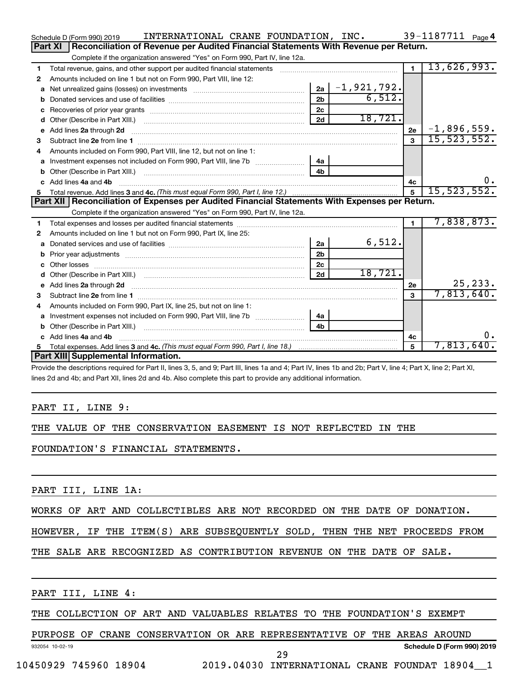|    | INTERNATIONAL CRANE FOUNDATION, INC.<br>Schedule D (Form 990) 2019                                                      |                |                 |                         | 39-1187711 Page 4 |
|----|-------------------------------------------------------------------------------------------------------------------------|----------------|-----------------|-------------------------|-------------------|
|    | Reconciliation of Revenue per Audited Financial Statements With Revenue per Return.<br>Part XI                          |                |                 |                         |                   |
|    | Complete if the organization answered "Yes" on Form 990, Part IV, line 12a.                                             |                |                 |                         |                   |
| 1  | Total revenue, gains, and other support per audited financial statements                                                |                |                 | $\blacksquare$          | 13,626,993.       |
| 2  | Amounts included on line 1 but not on Form 990, Part VIII, line 12:                                                     |                |                 |                         |                   |
| a  |                                                                                                                         | 2a             | $-1, 921, 792.$ |                         |                   |
|    |                                                                                                                         | 2 <sub>b</sub> | 6,512.          |                         |                   |
|    |                                                                                                                         | 2c             |                 |                         |                   |
| d  |                                                                                                                         | 2d             | 18,721.         |                         |                   |
| e  | Add lines 2a through 2d                                                                                                 |                |                 | <b>2e</b>               | $-1,896,559.$     |
| 3  |                                                                                                                         |                |                 | $\overline{\mathbf{3}}$ | 15,523,552.       |
| 4  | Amounts included on Form 990, Part VIII, line 12, but not on line 1:                                                    |                |                 |                         |                   |
|    |                                                                                                                         |                |                 |                         |                   |
|    |                                                                                                                         | 4 <sub>b</sub> |                 |                         |                   |
|    | c Add lines 4a and 4b                                                                                                   |                |                 | 4c                      | 0.                |
|    |                                                                                                                         |                |                 |                         |                   |
|    |                                                                                                                         |                |                 | $5\phantom{.0}$         | 15, 523, 552.     |
|    | Part XII   Reconciliation of Expenses per Audited Financial Statements With Expenses per Return.                        |                |                 |                         |                   |
|    | Complete if the organization answered "Yes" on Form 990, Part IV, line 12a.                                             |                |                 |                         |                   |
| 1. |                                                                                                                         |                |                 | $\mathbf{1}$            | 7,838,873.        |
| 2  | Amounts included on line 1 but not on Form 990, Part IX, line 25:                                                       |                |                 |                         |                   |
| a  |                                                                                                                         | 2a             | 6,512.          |                         |                   |
| b  |                                                                                                                         | 2 <sub>b</sub> |                 |                         |                   |
|    |                                                                                                                         | 2c             |                 |                         |                   |
| d  |                                                                                                                         | 2d             | 18,721.         |                         |                   |
| e  | Add lines 2a through 2d <b>continuum contract and all contract and all contract and all contract and all contract a</b> |                |                 | 2e                      | 25, 233.          |
|    |                                                                                                                         |                |                 | $\mathbf{a}$            | 7,813,640.        |
| 4  | Amounts included on Form 990, Part IX, line 25, but not on line 1:                                                      |                |                 |                         |                   |
| a  |                                                                                                                         | 4a             |                 |                         |                   |
| b  |                                                                                                                         | 4 <sub>h</sub> |                 |                         |                   |
|    | c Add lines 4a and 4b                                                                                                   |                |                 | 4c                      | 0.                |
| 5  |                                                                                                                         |                |                 | 5                       | 7,813,640.        |
|    | Part XIII Supplemental Information.                                                                                     |                |                 |                         |                   |

Provide the descriptions required for Part II, lines 3, 5, and 9; Part III, lines 1a and 4; Part IV, lines 1b and 2b; Part V, line 4; Part X, line 2; Part XI, lines 2d and 4b; and Part XII, lines 2d and 4b. Also complete this part to provide any additional information.

#### PART II, LINE 9:

#### THE VALUE OF THE CONSERVATION EASEMENT IS NOT REFLECTED IN THE

FOUNDATION'S FINANCIAL STATEMENTS.

PART III, LINE 1A:

#### WORKS OF ART AND COLLECTIBLES ARE NOT RECORDED ON THE DATE OF DONATION.

#### HOWEVER, IF THE ITEM(S) ARE SUBSEQUENTLY SOLD, THEN THE NET PROCEEDS FROM

#### THE SALE ARE RECOGNIZED AS CONTRIBUTION REVENUE ON THE DATE OF SALE.

PART III, LINE 4:

#### THE COLLECTION OF ART AND VALUABLES RELATES TO THE FOUNDATION'S EXEMPT

#### PURPOSE OF CRANE CONSERVATION OR ARE REPRESENTATIVE OF THE AREAS AROUND

932054 10-02-19

10450929 745960 18904 2019.04030 INTERNATIONAL CRANE FOUNDAT 18904\_\_1

29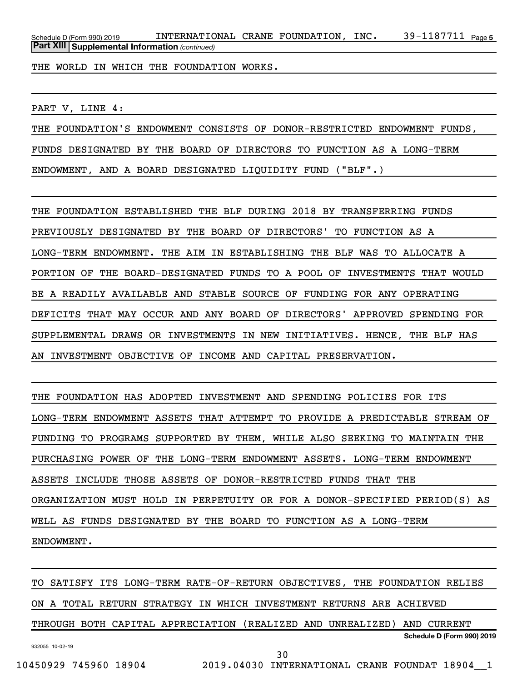39-1187711 Page 5 *(continued)* **Part XIII Supplemental Information**  Schedule D (Form 990) 2019  $\,$  <code>INTERNATIONAL CRANE FOUNDATION</code> , <code>INC</code> .  $\,$  <code>39–1187711</code>  $\,$  <code>Page</code>

THE WORLD IN WHICH THE FOUNDATION WORKS.

PART V, LINE 4:

THE FOUNDATION'S ENDOWMENT CONSISTS OF DONOR-RESTRICTED ENDOWMENT FUNDS, FUNDS DESIGNATED BY THE BOARD OF DIRECTORS TO FUNCTION AS A LONG-TERM ENDOWMENT, AND A BOARD DESIGNATED LIQUIDITY FUND ("BLF".)

THE FOUNDATION ESTABLISHED THE BLF DURING 2018 BY TRANSFERRING FUNDS PREVIOUSLY DESIGNATED BY THE BOARD OF DIRECTORS' TO FUNCTION AS A LONG-TERM ENDOWMENT. THE AIM IN ESTABLISHING THE BLF WAS TO ALLOCATE A PORTION OF THE BOARD-DESIGNATED FUNDS TO A POOL OF INVESTMENTS THAT WOULD BE A READILY AVAILABLE AND STABLE SOURCE OF FUNDING FOR ANY OPERATING DEFICITS THAT MAY OCCUR AND ANY BOARD OF DIRECTORS' APPROVED SPENDING FOR SUPPLEMENTAL DRAWS OR INVESTMENTS IN NEW INITIATIVES. HENCE, THE BLF HAS AN INVESTMENT OBJECTIVE OF INCOME AND CAPITAL PRESERVATION.

THE FOUNDATION HAS ADOPTED INVESTMENT AND SPENDING POLICIES FOR ITS LONG-TERM ENDOWMENT ASSETS THAT ATTEMPT TO PROVIDE A PREDICTABLE STREAM OF FUNDING TO PROGRAMS SUPPORTED BY THEM, WHILE ALSO SEEKING TO MAINTAIN THE PURCHASING POWER OF THE LONG-TERM ENDOWMENT ASSETS. LONG-TERM ENDOWMENT ASSETS INCLUDE THOSE ASSETS OF DONOR-RESTRICTED FUNDS THAT THE ORGANIZATION MUST HOLD IN PERPETUITY OR FOR A DONOR-SPECIFIED PERIOD(S) AS WELL AS FUNDS DESIGNATED BY THE BOARD TO FUNCTION AS A LONG-TERM ENDOWMENT.

932055 10-02-19 **Schedule D (Form 990) 2019** TO SATISFY ITS LONG-TERM RATE-OF-RETURN OBJECTIVES, THE FOUNDATION RELIES ON A TOTAL RETURN STRATEGY IN WHICH INVESTMENT RETURNS ARE ACHIEVED THROUGH BOTH CAPITAL APPRECIATION (REALIZED AND UNREALIZED) AND CURRENT

30

10450929 745960 18904 2019.04030 INTERNATIONAL CRANE FOUNDAT 18904\_\_1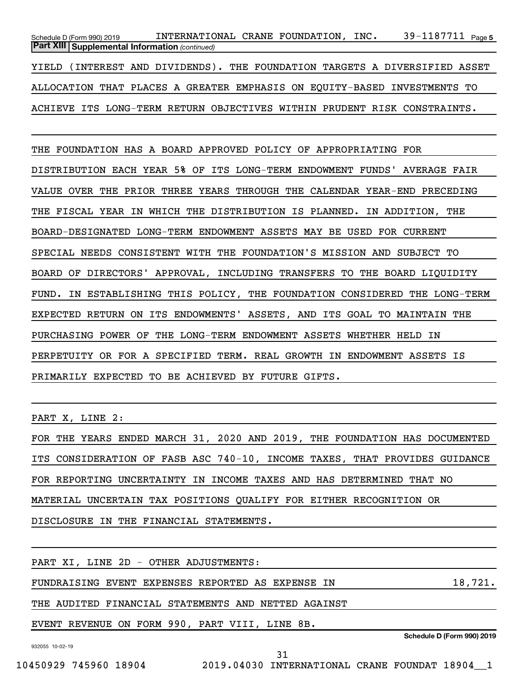39-1187711 Page 5 *(continued)* **Part XIII Supplemental Information**  Schedule D (Form 990) 2019  $\,$  <code>INTERNATIONAL CRANE FOUNDATION</code> , <code>INC</code> .  $\,$  <code>39–1187711</code>  $\,$  <code>Page</code> YIELD (INTEREST AND DIVIDENDS). THE FOUNDATION TARGETS A DIVERSIFIED ASSET ALLOCATION THAT PLACES A GREATER EMPHASIS ON EQUITY-BASED INVESTMENTS TO ACHIEVE ITS LONG-TERM RETURN OBJECTIVES WITHIN PRUDENT RISK CONSTRAINTS.

THE FOUNDATION HAS A BOARD APPROVED POLICY OF APPROPRIATING FOR DISTRIBUTION EACH YEAR 5% OF ITS LONG-TERM ENDOWMENT FUNDS' AVERAGE FAIR VALUE OVER THE PRIOR THREE YEARS THROUGH THE CALENDAR YEAR-END PRECEDING THE FISCAL YEAR IN WHICH THE DISTRIBUTION IS PLANNED. IN ADDITION, THE BOARD-DESIGNATED LONG-TERM ENDOWMENT ASSETS MAY BE USED FOR CURRENT SPECIAL NEEDS CONSISTENT WITH THE FOUNDATION'S MISSION AND SUBJECT TO BOARD OF DIRECTORS' APPROVAL, INCLUDING TRANSFERS TO THE BOARD LIQUIDITY FUND. IN ESTABLISHING THIS POLICY, THE FOUNDATION CONSIDERED THE LONG-TERM EXPECTED RETURN ON ITS ENDOWMENTS' ASSETS, AND ITS GOAL TO MAINTAIN THE PURCHASING POWER OF THE LONG-TERM ENDOWMENT ASSETS WHETHER HELD IN PERPETUITY OR FOR A SPECIFIED TERM. REAL GROWTH IN ENDOWMENT ASSETS IS PRIMARILY EXPECTED TO BE ACHIEVED BY FUTURE GIFTS.

PART X, LINE 2:

FOR THE YEARS ENDED MARCH 31, 2020 AND 2019, THE FOUNDATION HAS DOCUMENTED ITS CONSIDERATION OF FASB ASC 740-10, INCOME TAXES, THAT PROVIDES GUIDANCE FOR REPORTING UNCERTAINTY IN INCOME TAXES AND HAS DETERMINED THAT NO MATERIAL UNCERTAIN TAX POSITIONS QUALIFY FOR EITHER RECOGNITION OR DISCLOSURE IN THE FINANCIAL STATEMENTS.

932055 10-02-19 **Schedule D (Form 990) 2019** PART XI, LINE 2D - OTHER ADJUSTMENTS: FUNDRAISING EVENT EXPENSES REPORTED AS EXPENSE IN 18,721. THE AUDITED FINANCIAL STATEMENTS AND NETTED AGAINST EVENT REVENUE ON FORM 990, PART VIII, LINE 8B. 31

10450929 745960 18904 2019.04030 INTERNATIONAL CRANE FOUNDAT 18904\_\_1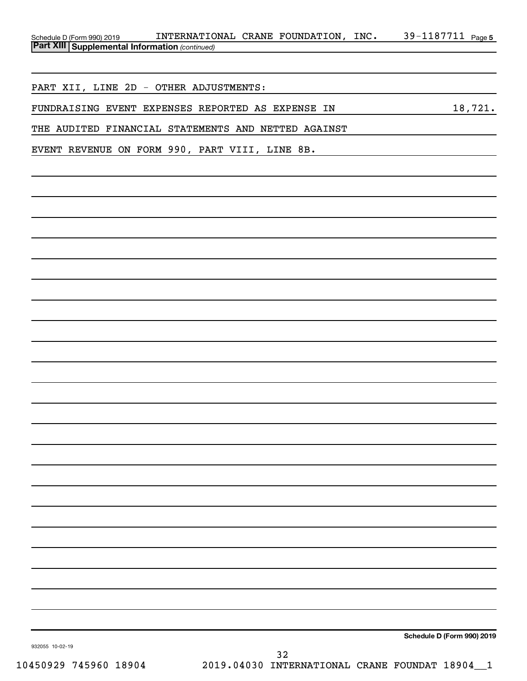| Schedule D (Form 990) 2019                            | INTERNATIONAL | CRANE | FOUNDATION | INC. | 1187711 L<br>$70-1$ . | Page 5 |
|-------------------------------------------------------|---------------|-------|------------|------|-----------------------|--------|
| <b>Part XIII Supplemental Information (continued)</b> |               |       |            |      |                       |        |

PART XII, LINE 2D - OTHER ADJUSTMENTS:

FUNDRAISING EVENT EXPENSES REPORTED AS EXPENSE IN 18,721.

THE AUDITED FINANCIAL STATEMENTS AND NETTED AGAINST

EVENT REVENUE ON FORM 990, PART VIII, LINE 8B.

**Schedule D (Form 990) 2019**

932055 10-02-19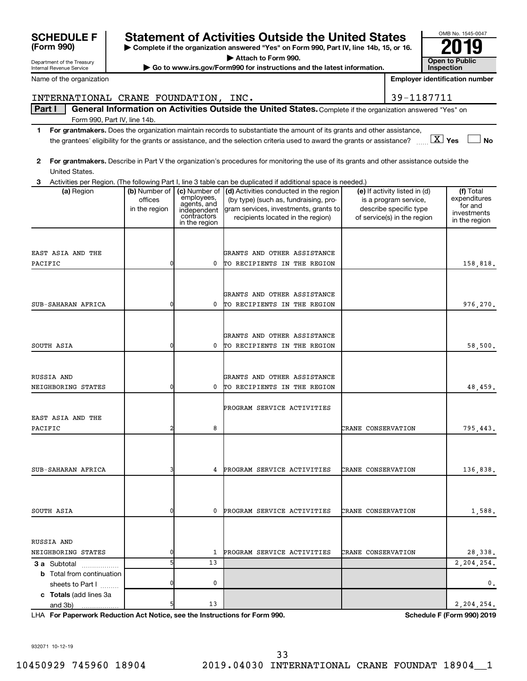|                                                                                            |                                           |                                                                          | the grantees' eligibility for the grants or assistance, and the selection criteria used to award the grants or assistance? $\ldots$ $\Delta$ Yes                                    |                                                                                                                 | $\Box$ No                                                            |
|--------------------------------------------------------------------------------------------|-------------------------------------------|--------------------------------------------------------------------------|-------------------------------------------------------------------------------------------------------------------------------------------------------------------------------------|-----------------------------------------------------------------------------------------------------------------|----------------------------------------------------------------------|
| $\mathbf{2}$<br>United States.                                                             |                                           |                                                                          | For grantmakers. Describe in Part V the organization's procedures for monitoring the use of its grants and other assistance outside the                                             |                                                                                                                 |                                                                      |
| 3                                                                                          |                                           |                                                                          | Activities per Region. (The following Part I, line 3 table can be duplicated if additional space is needed.)                                                                        |                                                                                                                 |                                                                      |
| (a) Region                                                                                 | (b) Number of<br>offices<br>in the region | employees,<br>agents, and<br>independent<br>contractors<br>in the region | (c) Number of $\vert$ (d) Activities conducted in the region<br>(by type) (such as, fundraising, pro-<br>gram services, investments, grants to<br>recipients located in the region) | (e) If activity listed in (d)<br>is a program service,<br>describe specific type<br>of service(s) in the region | (f) Total<br>expenditures<br>for and<br>investments<br>in the region |
|                                                                                            |                                           |                                                                          |                                                                                                                                                                                     |                                                                                                                 |                                                                      |
| EAST ASIA AND THE                                                                          |                                           |                                                                          | GRANTS AND OTHER ASSISTANCE                                                                                                                                                         |                                                                                                                 |                                                                      |
| PACIFIC                                                                                    | 0                                         | 0                                                                        | TO RECIPIENTS IN THE REGION                                                                                                                                                         |                                                                                                                 | 158,818.                                                             |
|                                                                                            |                                           |                                                                          |                                                                                                                                                                                     |                                                                                                                 |                                                                      |
|                                                                                            |                                           |                                                                          | GRANTS AND OTHER ASSISTANCE                                                                                                                                                         |                                                                                                                 |                                                                      |
| SUB-SAHARAN AFRICA                                                                         | 0                                         | 0                                                                        | TO RECIPIENTS IN THE REGION                                                                                                                                                         |                                                                                                                 | 976,270.                                                             |
|                                                                                            |                                           |                                                                          |                                                                                                                                                                                     |                                                                                                                 |                                                                      |
|                                                                                            |                                           |                                                                          |                                                                                                                                                                                     |                                                                                                                 |                                                                      |
|                                                                                            |                                           |                                                                          | GRANTS AND OTHER ASSISTANCE                                                                                                                                                         |                                                                                                                 |                                                                      |
| SOUTH ASIA                                                                                 | 0                                         | 0                                                                        | TO RECIPIENTS IN THE REGION                                                                                                                                                         |                                                                                                                 | 58,500.                                                              |
|                                                                                            |                                           |                                                                          |                                                                                                                                                                                     |                                                                                                                 |                                                                      |
| RUSSIA AND                                                                                 |                                           |                                                                          | GRANTS AND OTHER ASSISTANCE                                                                                                                                                         |                                                                                                                 |                                                                      |
| NEIGHBORING STATES                                                                         | 0                                         | 0                                                                        | TO RECIPIENTS IN THE REGION                                                                                                                                                         |                                                                                                                 | 48,459.                                                              |
|                                                                                            |                                           |                                                                          | PROGRAM SERVICE ACTIVITIES                                                                                                                                                          |                                                                                                                 |                                                                      |
| EAST ASIA AND THE                                                                          |                                           |                                                                          |                                                                                                                                                                                     |                                                                                                                 |                                                                      |
| PACIFIC                                                                                    | 2                                         | 8                                                                        |                                                                                                                                                                                     | CRANE CONSERVATION                                                                                              | 795,443.                                                             |
|                                                                                            |                                           |                                                                          |                                                                                                                                                                                     |                                                                                                                 |                                                                      |
|                                                                                            |                                           |                                                                          |                                                                                                                                                                                     |                                                                                                                 |                                                                      |
| SUB-SAHARAN AFRICA                                                                         | 3                                         | 4                                                                        | PROGRAM SERVICE ACTIVITIES                                                                                                                                                          | CRANE CONSERVATION                                                                                              | 136,838.                                                             |
|                                                                                            |                                           |                                                                          |                                                                                                                                                                                     |                                                                                                                 |                                                                      |
|                                                                                            |                                           |                                                                          |                                                                                                                                                                                     |                                                                                                                 |                                                                      |
| SOUTH ASIA                                                                                 |                                           | 0                                                                        | PROGRAM SERVICE ACTIVITIES                                                                                                                                                          | CRANE CONSERVATION                                                                                              | 1,588.                                                               |
|                                                                                            |                                           |                                                                          |                                                                                                                                                                                     |                                                                                                                 |                                                                      |
| RUSSIA AND                                                                                 |                                           |                                                                          |                                                                                                                                                                                     |                                                                                                                 |                                                                      |
| NEIGHBORING STATES                                                                         |                                           | 1                                                                        | PROGRAM SERVICE ACTIVITIES                                                                                                                                                          | CRANE CONSERVATION                                                                                              | 28,338.                                                              |
| 3 a Subtotal<br>.                                                                          | 5                                         | 13                                                                       |                                                                                                                                                                                     |                                                                                                                 | 2,204,254.                                                           |
| <b>b</b> Total from continuation                                                           |                                           |                                                                          |                                                                                                                                                                                     |                                                                                                                 |                                                                      |
| sheets to Part I                                                                           | 0                                         | 0                                                                        |                                                                                                                                                                                     |                                                                                                                 | $^{\circ}$ .                                                         |
| c Totals (add lines 3a                                                                     |                                           |                                                                          |                                                                                                                                                                                     |                                                                                                                 |                                                                      |
| and 3b)<br>.<br>LHA For Paperwork Reduction Act Notice, see the Instructions for Form 990. | 5                                         | 13                                                                       |                                                                                                                                                                                     |                                                                                                                 | 2,204,254.<br><b>Schedule F (Form 990) 2019</b>                      |
|                                                                                            |                                           |                                                                          |                                                                                                                                                                                     |                                                                                                                 |                                                                      |
|                                                                                            |                                           |                                                                          |                                                                                                                                                                                     |                                                                                                                 |                                                                      |
| 932071 10-12-19                                                                            |                                           |                                                                          |                                                                                                                                                                                     |                                                                                                                 |                                                                      |
|                                                                                            |                                           |                                                                          | 33                                                                                                                                                                                  |                                                                                                                 |                                                                      |

| INTERNATIONAL | <b>CRANE</b> | FOUNDATION | TNC. |  |
|---------------|--------------|------------|------|--|
| $-$           |              | -- - - -   | .    |  |

Part I | General Information on Activities Outside the United States. Complete if the organization answered "Yes" on Form 990, Part IV, line 14b.

- **1 For grantmakers.**  Does the organization maintain records to substantiate the amount of its grants and other assistance,  $\boxed{\text{X}}$  Yes  $\boxed{\phantom{0}}$
- ury Internal Revenue Service

SCHEDULE F Statement of Activities Outside the United States  $\frac{6008 \text{ No. }1545\cdot004}{2019}$ **| Attach to Form 990.**

**EXECUTE FOR THE EXECUTE FOR A FORM SHOW FORM SHOW FORM SHOW FORM SHOW FORM SHOW FORM SHOW FORM SHOW FORM SHOW FORM SHOW FORM SHOW FORM SHOW FORM SHOW FORM SHOW FORM SHOW FORM SHOW FORM SHOW FORM SHOW FORM SHOW FORM SHOW** 

OMB No. 1545-0047 **Inspection**

**Employer identification number**

| (Form 990)                                          |
|-----------------------------------------------------|
| Department of the Treasu<br>ومنسوه وسوويهما اوصواحا |

Name of the organization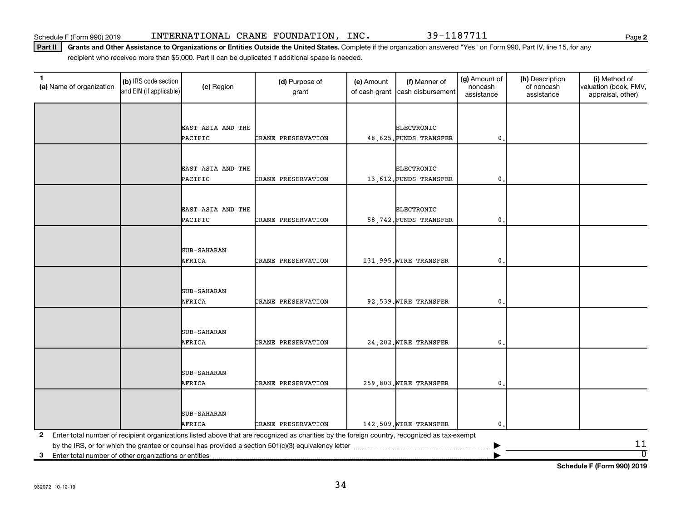**2**

Part II | Grants and Other Assistance to Organizations or Entities Outside the United States. Complete if the organization answered "Yes" on Form 990, Part IV, line 15, for any recipient who received more than \$5,000. Part II can be duplicated if additional space is needed.

| 1<br>(a) Name of organization                              | (b) IRS code section<br>and EIN (if applicable) | (c) Region                   | (d) Purpose of<br>grant                                                                                                                      | (e) Amount<br>of cash grant | (f) Manner of<br>cash disbursement | (g) Amount of<br>noncash<br>assistance | (h) Description<br>of noncash<br>assistance | (i) Method of<br>valuation (book, FMV,<br>appraisal, other) |
|------------------------------------------------------------|-------------------------------------------------|------------------------------|----------------------------------------------------------------------------------------------------------------------------------------------|-----------------------------|------------------------------------|----------------------------------------|---------------------------------------------|-------------------------------------------------------------|
|                                                            |                                                 |                              |                                                                                                                                              |                             |                                    |                                        |                                             |                                                             |
|                                                            |                                                 | EAST ASIA AND THE            |                                                                                                                                              |                             | ELECTRONIC                         |                                        |                                             |                                                             |
|                                                            |                                                 | PACIFIC                      | CRANE PRESERVATION                                                                                                                           |                             | 48,625. FUNDS TRANSFER             | 0                                      |                                             |                                                             |
|                                                            |                                                 |                              |                                                                                                                                              |                             |                                    |                                        |                                             |                                                             |
|                                                            |                                                 |                              |                                                                                                                                              |                             |                                    |                                        |                                             |                                                             |
|                                                            |                                                 | EAST ASIA AND THE<br>PACIFIC | CRANE PRESERVATION                                                                                                                           |                             | <b>ELECTRONIC</b>                  | 0                                      |                                             |                                                             |
|                                                            |                                                 |                              |                                                                                                                                              |                             | 13,612. FUNDS TRANSFER             |                                        |                                             |                                                             |
|                                                            |                                                 |                              |                                                                                                                                              |                             |                                    |                                        |                                             |                                                             |
|                                                            |                                                 | EAST ASIA AND THE            |                                                                                                                                              |                             | <b>ELECTRONIC</b>                  |                                        |                                             |                                                             |
|                                                            |                                                 | PACIFIC                      | CRANE PRESERVATION                                                                                                                           |                             | 58,742. FUNDS TRANSFER             | 0                                      |                                             |                                                             |
|                                                            |                                                 |                              |                                                                                                                                              |                             |                                    |                                        |                                             |                                                             |
|                                                            |                                                 | <b>SUB-SAHARAN</b>           |                                                                                                                                              |                             |                                    |                                        |                                             |                                                             |
|                                                            |                                                 | AFRICA                       | CRANE PRESERVATION                                                                                                                           |                             | 131,995. WIRE TRANSFER             | 0                                      |                                             |                                                             |
|                                                            |                                                 |                              |                                                                                                                                              |                             |                                    |                                        |                                             |                                                             |
|                                                            |                                                 |                              |                                                                                                                                              |                             |                                    |                                        |                                             |                                                             |
|                                                            |                                                 | SUB-SAHARAN                  |                                                                                                                                              |                             |                                    |                                        |                                             |                                                             |
|                                                            |                                                 | AFRICA                       | CRANE PRESERVATION                                                                                                                           |                             | 92,539. WIRE TRANSFER              | 0                                      |                                             |                                                             |
|                                                            |                                                 |                              |                                                                                                                                              |                             |                                    |                                        |                                             |                                                             |
|                                                            |                                                 | SUB-SAHARAN                  |                                                                                                                                              |                             |                                    |                                        |                                             |                                                             |
|                                                            |                                                 | AFRICA                       | CRANE PRESERVATION                                                                                                                           |                             | 24, 202. WIRE TRANSFER             | 0.                                     |                                             |                                                             |
|                                                            |                                                 |                              |                                                                                                                                              |                             |                                    |                                        |                                             |                                                             |
|                                                            |                                                 | SUB-SAHARAN                  |                                                                                                                                              |                             |                                    |                                        |                                             |                                                             |
|                                                            |                                                 | AFRICA                       | CRANE PRESERVATION                                                                                                                           |                             | 259,803. WIRE TRANSFER             | 0                                      |                                             |                                                             |
|                                                            |                                                 |                              |                                                                                                                                              |                             |                                    |                                        |                                             |                                                             |
|                                                            |                                                 |                              |                                                                                                                                              |                             |                                    |                                        |                                             |                                                             |
|                                                            |                                                 | <b>SUB-SAHARAN</b>           |                                                                                                                                              |                             |                                    |                                        |                                             |                                                             |
|                                                            |                                                 | AFRICA                       | CRANE PRESERVATION                                                                                                                           |                             | 142,509. WIRE TRANSFER             | 0                                      |                                             |                                                             |
| 2                                                          |                                                 |                              | Enter total number of recipient organizations listed above that are recognized as charities by the foreign country, recognized as tax-exempt |                             |                                    |                                        |                                             | 11                                                          |
| Enter total number of other organizations or entities<br>3 |                                                 |                              |                                                                                                                                              |                             |                                    |                                        |                                             | $\overline{0}$                                              |

**Schedule F (Form 990) 2019**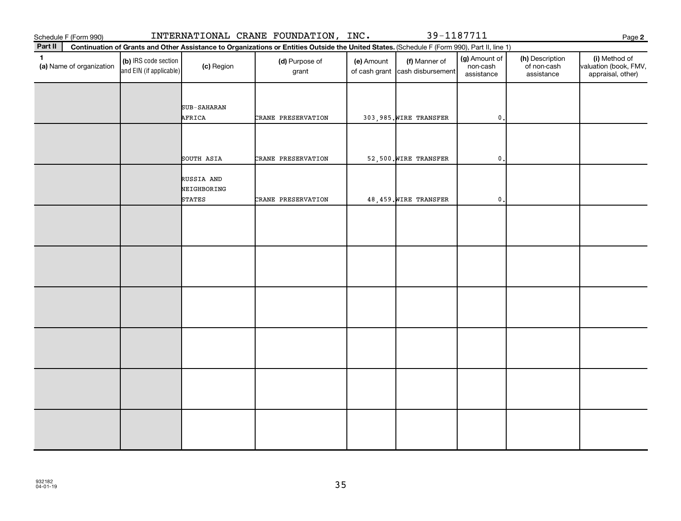Schedule F (Form 990) INTERNATIONAL CRANE FOUNDATION, INC. 39-1187711

**2**

| Part II      | Continuation of Grants and Other Assistance to Organizations or Entities Outside the United States. (Schedule F (Form 990), Part II, line 1) |                                                 |                                            |                         |            |                                                  |                                         |                                              |                                                             |
|--------------|----------------------------------------------------------------------------------------------------------------------------------------------|-------------------------------------------------|--------------------------------------------|-------------------------|------------|--------------------------------------------------|-----------------------------------------|----------------------------------------------|-------------------------------------------------------------|
| $\mathbf{1}$ | (a) Name of organization                                                                                                                     | (b) IRS code section<br>and EIN (if applicable) | (c) Region                                 | (d) Purpose of<br>grant | (e) Amount | (f) Manner of<br>of cash grant cash disbursement | (g) Amount of<br>non-cash<br>assistance | (h) Description<br>of non-cash<br>assistance | (i) Method of<br>valuation (book, FMV,<br>appraisal, other) |
|              |                                                                                                                                              |                                                 | SUB-SAHARAN<br>AFRICA                      | CRANE PRESERVATION      |            | 303,985. WIRE TRANSFER                           | $\mathsf{0}$ .                          |                                              |                                                             |
|              |                                                                                                                                              |                                                 |                                            |                         |            |                                                  |                                         |                                              |                                                             |
|              |                                                                                                                                              |                                                 | SOUTH ASIA                                 | CRANE PRESERVATION      |            | 52,500. WIRE TRANSFER                            | $\mathbf 0$ .                           |                                              |                                                             |
|              |                                                                                                                                              |                                                 | RUSSIA AND<br>NEIGHBORING<br><b>STATES</b> | CRANE PRESERVATION      |            | 48,459. WIRE TRANSFER                            | $\mathbf{0}$                            |                                              |                                                             |
|              |                                                                                                                                              |                                                 |                                            |                         |            |                                                  |                                         |                                              |                                                             |
|              |                                                                                                                                              |                                                 |                                            |                         |            |                                                  |                                         |                                              |                                                             |
|              |                                                                                                                                              |                                                 |                                            |                         |            |                                                  |                                         |                                              |                                                             |
|              |                                                                                                                                              |                                                 |                                            |                         |            |                                                  |                                         |                                              |                                                             |
|              |                                                                                                                                              |                                                 |                                            |                         |            |                                                  |                                         |                                              |                                                             |
|              |                                                                                                                                              |                                                 |                                            |                         |            |                                                  |                                         |                                              |                                                             |
|              |                                                                                                                                              |                                                 |                                            |                         |            |                                                  |                                         |                                              |                                                             |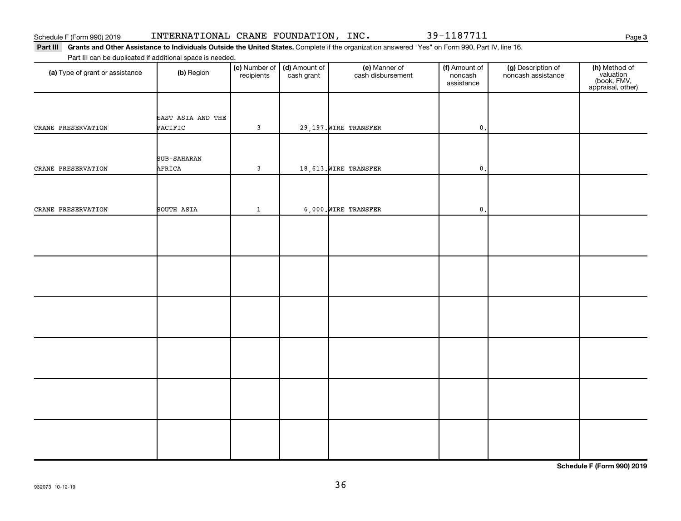932073 10-12-19

36

| (a) Type of grant or assistance | (b) Region                   | (c) Number of   (d) Amount of<br>recipients | cash grant | (e) Manner of<br>cash disbursement | (f) Amount of<br>noncash<br>assistance | (g) Description of<br>noncash assistance | (h) Method of<br>valuation<br>(book, FMV,<br>appraisal, other) |
|---------------------------------|------------------------------|---------------------------------------------|------------|------------------------------------|----------------------------------------|------------------------------------------|----------------------------------------------------------------|
| CRANE PRESERVATION              | EAST ASIA AND THE<br>PACIFIC | $\mathbf{3}$                                |            | 29,197. WIRE TRANSFER              | $\mathbf{0}$                           |                                          |                                                                |
| CRANE PRESERVATION              | SUB-SAHARAN<br>AFRICA        | $\mathsf 3$                                 |            | 18,613. WIRE TRANSFER              | $\mathfrak o$ .                        |                                          |                                                                |
| CRANE PRESERVATION              | SOUTH ASIA                   | $\mathbf{1}$                                |            | 6,000. WIRE TRANSFER               | $\mathbf 0$ .                          |                                          |                                                                |
|                                 |                              |                                             |            |                                    |                                        |                                          |                                                                |
|                                 |                              |                                             |            |                                    |                                        |                                          |                                                                |
|                                 |                              |                                             |            |                                    |                                        |                                          |                                                                |
|                                 |                              |                                             |            |                                    |                                        |                                          |                                                                |
|                                 |                              |                                             |            |                                    |                                        |                                          |                                                                |
|                                 |                              |                                             |            |                                    |                                        |                                          |                                                                |

#### Part III Grants and Other Assistance to Individuals Outside the United States. Complete if the organization answered "Yes" on Form 990, Part IV, line 16. Schedule F (Form 990) 2019 INTERNATIONAL CRANE FOUNDATION, INC.  $39-1187711$

Part III can be duplicated if additional space is needed.

**Schedule F (Form 990) 2019**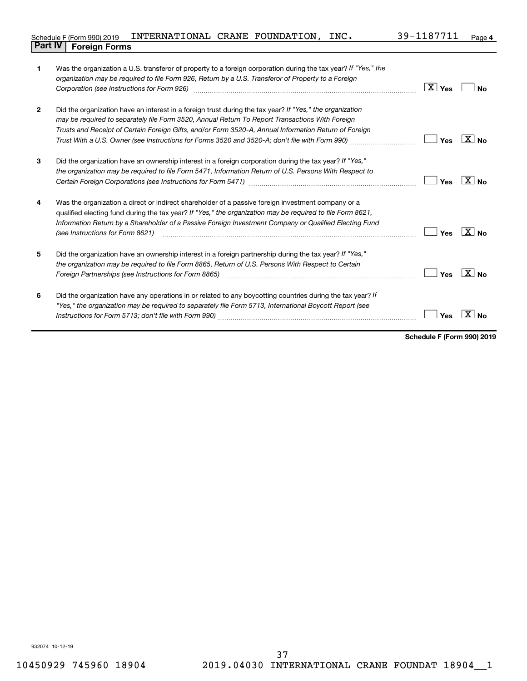| Schedule F (Form 990) 2019     | INTERNATIONAL CRANE FOUNDATION, |  | INC. | 39-1187711 | Page |
|--------------------------------|---------------------------------|--|------|------------|------|
| <b>Part IV   Foreign Forms</b> |                                 |  |      |            |      |

|                | Was the organization a U.S. transferor of property to a foreign corporation during the tax year? If "Yes," the<br>organization may be required to file Form 926, Return by a U.S. Transferor of Property to a Foreign<br>Corporation (see Instructions for Form 926)                                                                                                                                                   | $\boxed{\text{X}}$ Yes | No                    |
|----------------|------------------------------------------------------------------------------------------------------------------------------------------------------------------------------------------------------------------------------------------------------------------------------------------------------------------------------------------------------------------------------------------------------------------------|------------------------|-----------------------|
| $\overline{2}$ | Did the organization have an interest in a foreign trust during the tax year? If "Yes," the organization<br>may be required to separately file Form 3520, Annual Return To Report Transactions With Foreign<br>Trusts and Receipt of Certain Foreign Gifts, and/or Form 3520-A, Annual Information Return of Foreign<br>Trust With a U.S. Owner (see Instructions for Forms 3520 and 3520-A; don't file with Form 990) | Yes                    | $X $ No               |
| 3              | Did the organization have an ownership interest in a foreign corporation during the tax year? If "Yes,"<br>the organization may be required to file Form 5471, Information Return of U.S. Persons With Respect to                                                                                                                                                                                                      | Yes                    | $ X $ No.             |
| 4              | Was the organization a direct or indirect shareholder of a passive foreign investment company or a<br>qualified electing fund during the tax year? If "Yes," the organization may be required to file Form 8621,<br>Information Return by a Shareholder of a Passive Foreign Investment Company or Qualified Electing Fund<br>(see Instructions for Form 8621)                                                         | Yes                    | $\overline{X}$ No     |
| 5              | Did the organization have an ownership interest in a foreign partnership during the tax year? If "Yes,"<br>the organization may be required to file Form 8865, Return of U.S. Persons With Respect to Certain                                                                                                                                                                                                          | Yes                    | $\boxed{\text{X}}$ No |
| 6              | Did the organization have any operations in or related to any boycotting countries during the tax year? If<br>"Yes," the organization may be required to separately file Form 5713, International Boycott Report (see                                                                                                                                                                                                  | Yes                    |                       |

**Schedule F (Form 990) 2019**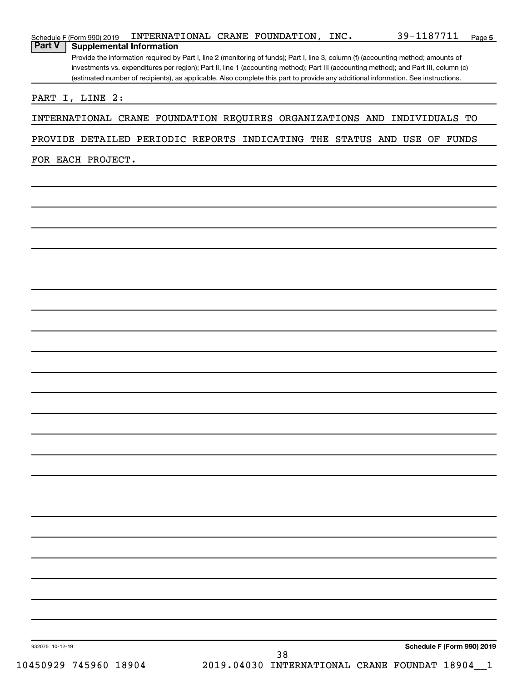| PROVIDE DETAILED PERIODIC REPORTS INDICATING THE STATUS AND USE OF FUNDS |                                                |  |                            |
|--------------------------------------------------------------------------|------------------------------------------------|--|----------------------------|
| FOR EACH PROJECT.                                                        |                                                |  |                            |
|                                                                          |                                                |  |                            |
|                                                                          |                                                |  |                            |
|                                                                          |                                                |  |                            |
|                                                                          |                                                |  |                            |
|                                                                          |                                                |  |                            |
|                                                                          |                                                |  |                            |
|                                                                          |                                                |  |                            |
|                                                                          |                                                |  |                            |
|                                                                          |                                                |  |                            |
|                                                                          |                                                |  |                            |
|                                                                          |                                                |  |                            |
|                                                                          |                                                |  |                            |
|                                                                          |                                                |  |                            |
|                                                                          |                                                |  |                            |
|                                                                          |                                                |  |                            |
|                                                                          |                                                |  |                            |
|                                                                          |                                                |  |                            |
|                                                                          |                                                |  |                            |
|                                                                          |                                                |  |                            |
|                                                                          |                                                |  |                            |
|                                                                          |                                                |  |                            |
|                                                                          |                                                |  |                            |
|                                                                          |                                                |  |                            |
|                                                                          |                                                |  |                            |
|                                                                          |                                                |  |                            |
|                                                                          |                                                |  |                            |
| 932075 10-12-19                                                          | 38                                             |  | Schedule F (Form 990) 2019 |
| 10450929 745960 18904                                                    | 2019.04030 INTERNATIONAL CRANE FOUNDAT 18904_1 |  |                            |

Schedule F (Form 990) 2019  $\:$  <code>INTERNATIONAL CRANE FOUNDATION</code> , <code>INC</code> .  $\qquad \qquad 39-1187711$  <code>Page</code>

**Schedule F (Form 990) 2019 INTERNAT**<br>**Part V** | **Supplemental Information** 

Provide the information required by Part I, line 2 (monitoring of funds); Part I, line 3, column (f) (accounting method; amounts of investments vs. expenditures per region); Part II, line 1 (accounting method); Part III (accounting method); and Part III, column (c) (estimated number of recipients), as applicable. Also complete this part to provide any additional information. See instructions.

**5**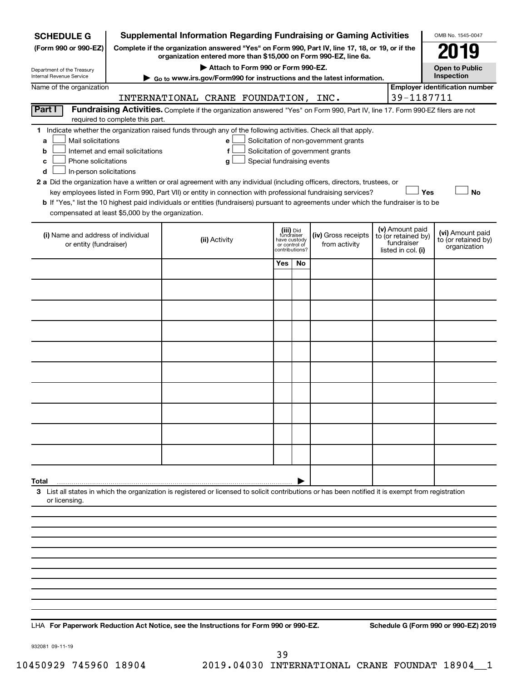| <b>SCHEDULE G</b>                                                                        |                                  | <b>Supplemental Information Regarding Fundraising or Gaming Activities</b>                                                                                                                                                                                                                 |                                                          |                |                                                                            |                                                                            | OMB No. 1545-0047                                       |
|------------------------------------------------------------------------------------------|----------------------------------|--------------------------------------------------------------------------------------------------------------------------------------------------------------------------------------------------------------------------------------------------------------------------------------------|----------------------------------------------------------|----------------|----------------------------------------------------------------------------|----------------------------------------------------------------------------|---------------------------------------------------------|
| (Form 990 or 990-EZ)                                                                     |                                  | Complete if the organization answered "Yes" on Form 990, Part IV, line 17, 18, or 19, or if the                                                                                                                                                                                            |                                                          |                |                                                                            |                                                                            | 079                                                     |
| Department of the Treasury                                                               |                                  | organization entered more than \$15,000 on Form 990-EZ, line 6a.<br>Attach to Form 990 or Form 990-EZ.                                                                                                                                                                                     |                                                          |                |                                                                            |                                                                            | Open to Public                                          |
| Internal Revenue Service                                                                 |                                  | Go to www.irs.gov/Form990 for instructions and the latest information.                                                                                                                                                                                                                     |                                                          |                |                                                                            |                                                                            | Inspection                                              |
| Name of the organization                                                                 |                                  | INTERNATIONAL CRANE FOUNDATION, INC.                                                                                                                                                                                                                                                       |                                                          |                |                                                                            | 39-1187711                                                                 | <b>Employer identification number</b>                   |
| Part I                                                                                   |                                  | Fundraising Activities. Complete if the organization answered "Yes" on Form 990, Part IV, line 17. Form 990-EZ filers are not                                                                                                                                                              |                                                          |                |                                                                            |                                                                            |                                                         |
|                                                                                          | required to complete this part.  |                                                                                                                                                                                                                                                                                            |                                                          |                |                                                                            |                                                                            |                                                         |
| Mail solicitations<br>a<br>b<br>Phone solicitations<br>с<br>In-person solicitations<br>d | Internet and email solicitations | 1 Indicate whether the organization raised funds through any of the following activities. Check all that apply.<br>е<br>f<br>Special fundraising events<br>g<br>2 a Did the organization have a written or oral agreement with any individual (including officers, directors, trustees, or |                                                          |                | Solicitation of non-government grants<br>Solicitation of government grants |                                                                            |                                                         |
|                                                                                          |                                  | key employees listed in Form 990, Part VII) or entity in connection with professional fundraising services?                                                                                                                                                                                |                                                          |                |                                                                            | Yes                                                                        | <b>No</b>                                               |
| compensated at least \$5,000 by the organization.                                        |                                  | b If "Yes," list the 10 highest paid individuals or entities (fundraisers) pursuant to agreements under which the fundraiser is to be                                                                                                                                                      |                                                          |                |                                                                            |                                                                            |                                                         |
| (i) Name and address of individual<br>or entity (fundraiser)                             |                                  | (ii) Activity                                                                                                                                                                                                                                                                              | (iii) Did<br>fundraiser<br>have custody<br>or control of | contributions? | (iv) Gross receipts<br>from activity                                       | (v) Amount paid<br>to (or retained by)<br>fundraiser<br>listed in col. (i) | (vi) Amount paid<br>to (or retained by)<br>organization |
|                                                                                          |                                  |                                                                                                                                                                                                                                                                                            | Yes                                                      | No             |                                                                            |                                                                            |                                                         |
|                                                                                          |                                  |                                                                                                                                                                                                                                                                                            |                                                          |                |                                                                            |                                                                            |                                                         |
|                                                                                          |                                  |                                                                                                                                                                                                                                                                                            |                                                          |                |                                                                            |                                                                            |                                                         |
|                                                                                          |                                  |                                                                                                                                                                                                                                                                                            |                                                          |                |                                                                            |                                                                            |                                                         |
|                                                                                          |                                  |                                                                                                                                                                                                                                                                                            |                                                          |                |                                                                            |                                                                            |                                                         |
|                                                                                          |                                  |                                                                                                                                                                                                                                                                                            |                                                          |                |                                                                            |                                                                            |                                                         |
|                                                                                          |                                  |                                                                                                                                                                                                                                                                                            |                                                          |                |                                                                            |                                                                            |                                                         |
|                                                                                          |                                  |                                                                                                                                                                                                                                                                                            |                                                          |                |                                                                            |                                                                            |                                                         |
|                                                                                          |                                  |                                                                                                                                                                                                                                                                                            |                                                          |                |                                                                            |                                                                            |                                                         |
|                                                                                          |                                  |                                                                                                                                                                                                                                                                                            |                                                          |                |                                                                            |                                                                            |                                                         |
|                                                                                          |                                  |                                                                                                                                                                                                                                                                                            |                                                          |                |                                                                            |                                                                            |                                                         |
|                                                                                          |                                  |                                                                                                                                                                                                                                                                                            |                                                          |                |                                                                            |                                                                            |                                                         |
| Total                                                                                    |                                  |                                                                                                                                                                                                                                                                                            |                                                          |                |                                                                            |                                                                            |                                                         |
| or licensing.                                                                            |                                  | 3 List all states in which the organization is registered or licensed to solicit contributions or has been notified it is exempt from registration                                                                                                                                         |                                                          |                |                                                                            |                                                                            |                                                         |
|                                                                                          |                                  |                                                                                                                                                                                                                                                                                            |                                                          |                |                                                                            |                                                                            |                                                         |
|                                                                                          |                                  |                                                                                                                                                                                                                                                                                            |                                                          |                |                                                                            |                                                                            |                                                         |
|                                                                                          |                                  |                                                                                                                                                                                                                                                                                            |                                                          |                |                                                                            |                                                                            |                                                         |
|                                                                                          |                                  |                                                                                                                                                                                                                                                                                            |                                                          |                |                                                                            |                                                                            |                                                         |
|                                                                                          |                                  |                                                                                                                                                                                                                                                                                            |                                                          |                |                                                                            |                                                                            |                                                         |
|                                                                                          |                                  |                                                                                                                                                                                                                                                                                            |                                                          |                |                                                                            |                                                                            |                                                         |
|                                                                                          |                                  |                                                                                                                                                                                                                                                                                            |                                                          |                |                                                                            |                                                                            |                                                         |

**For Paperwork Reduction Act Notice, see the Instructions for Form 990 or 990-EZ. Schedule G (Form 990 or 990-EZ) 2019** LHA

932081 09-11-19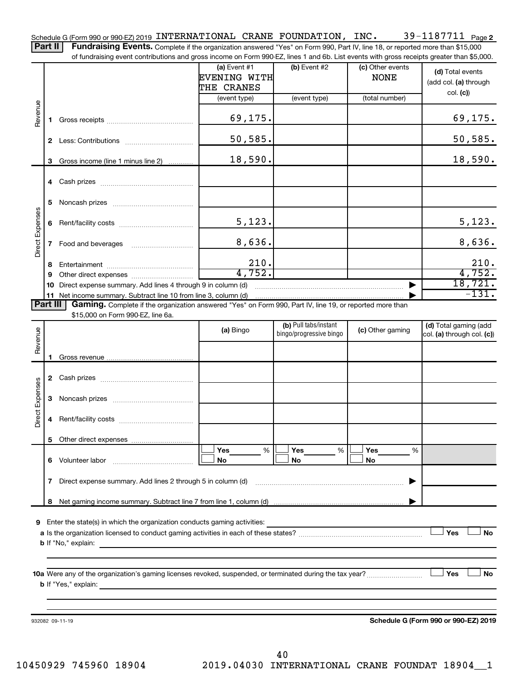39-1187711 Page 2 Schedule G (Form 990 or 990-EZ) 2019 <code>INTERNATIONAL CRANE FOUNDATION</code> , <code>INC</code> .  $39\text{--}1187711$  <code>Page</code> Part II | Fundraising Events. Complete if the organization answered "Yes" on Form 990, Part IV, line 18, or reported more than \$15,000

of fundraising event contributions and gross income on Form 990-EZ, lines 1 and 6b. List events with gross receipts greater than \$5,000.

|                        |              | OF RINGLASHIY CVENT CONTINUATIONS AND GIVES INCOME ON FOND 330°CZ, IINCS T AND OD. EIST CVCHIS WILL GIVSS TECCIPIS GREEK THAN \$0,000.                                                                                                    |                                              |                                                  |                                 |                                                     |
|------------------------|--------------|-------------------------------------------------------------------------------------------------------------------------------------------------------------------------------------------------------------------------------------------|----------------------------------------------|--------------------------------------------------|---------------------------------|-----------------------------------------------------|
|                        |              |                                                                                                                                                                                                                                           | (a) Event $#1$<br>EVENING WITH<br>THE CRANES | (b) Event $#2$                                   | (c) Other events<br><b>NONE</b> | (d) Total events<br>(add col. (a) through           |
|                        |              |                                                                                                                                                                                                                                           | (event type)                                 | (event type)                                     | (total number)                  | col. (c)                                            |
| Revenue                | 1.           |                                                                                                                                                                                                                                           | 69,175.                                      |                                                  |                                 | 69, 175.                                            |
|                        |              |                                                                                                                                                                                                                                           | 50,585.                                      |                                                  |                                 | 50, 585.                                            |
|                        | 3            | Gross income (line 1 minus line 2)                                                                                                                                                                                                        | 18,590.                                      |                                                  |                                 | 18,590.                                             |
|                        |              |                                                                                                                                                                                                                                           |                                              |                                                  |                                 |                                                     |
|                        | 5            |                                                                                                                                                                                                                                           |                                              |                                                  |                                 |                                                     |
|                        | 6            |                                                                                                                                                                                                                                           | 5,123.                                       |                                                  |                                 | 5,123.                                              |
| <b>Direct Expenses</b> | $\mathbf{7}$ |                                                                                                                                                                                                                                           | 8,636.                                       |                                                  |                                 | 8,636.                                              |
|                        | 8            |                                                                                                                                                                                                                                           | 210.                                         |                                                  |                                 | 210.                                                |
|                        | 9            |                                                                                                                                                                                                                                           | 4,752.                                       |                                                  |                                 | 4,752.                                              |
|                        |              | 10 Direct expense summary. Add lines 4 through 9 in column (d)                                                                                                                                                                            |                                              |                                                  |                                 | 18,721.<br>$-131.$                                  |
| Part III               |              | Gaming. Complete if the organization answered "Yes" on Form 990, Part IV, line 19, or reported more than                                                                                                                                  |                                              |                                                  |                                 |                                                     |
|                        |              | \$15,000 on Form 990-EZ, line 6a.                                                                                                                                                                                                         |                                              |                                                  |                                 |                                                     |
| Revenue                |              |                                                                                                                                                                                                                                           | (a) Bingo                                    | (b) Pull tabs/instant<br>bingo/progressive bingo | (c) Other gaming                | (d) Total gaming (add<br>col. (a) through col. (c)) |
|                        | 1.           |                                                                                                                                                                                                                                           |                                              |                                                  |                                 |                                                     |
|                        |              |                                                                                                                                                                                                                                           |                                              |                                                  |                                 |                                                     |
| <b>Direct Expenses</b> | 3            |                                                                                                                                                                                                                                           |                                              |                                                  |                                 |                                                     |
|                        | 4            |                                                                                                                                                                                                                                           |                                              |                                                  |                                 |                                                     |
|                        |              |                                                                                                                                                                                                                                           | <b>Yes</b><br>%                              | Yes<br>%                                         | Yes<br>%                        |                                                     |
|                        | 6            | Volunteer labor                                                                                                                                                                                                                           | No                                           | No                                               | No                              |                                                     |
|                        | 7            | Direct expense summary. Add lines 2 through 5 in column (d)                                                                                                                                                                               |                                              |                                                  |                                 |                                                     |
|                        | 8            |                                                                                                                                                                                                                                           |                                              |                                                  |                                 |                                                     |
|                        |              |                                                                                                                                                                                                                                           |                                              |                                                  |                                 |                                                     |
| 9                      |              | Enter the state(s) in which the organization conducts gaming activities:                                                                                                                                                                  |                                              |                                                  |                                 | Yes<br><b>No</b>                                    |
|                        |              | <b>b</b> If "No," explain:<br><u> 1980 - Jan Stein Stein, amerikansk politiker (</u>                                                                                                                                                      |                                              |                                                  |                                 |                                                     |
|                        |              | <b>b</b> If "Yes," explain: <u>And If the Secondary Contract of the Secondary Contract of the Secondary Contract of the Secondary Contract of the Secondary Contract of the Secondary Contract of the Secondary Contract of the Secon</u> |                                              |                                                  |                                 | ∣ Yes<br>No                                         |
|                        |              |                                                                                                                                                                                                                                           |                                              |                                                  |                                 |                                                     |
|                        |              | 932082 09-11-19                                                                                                                                                                                                                           |                                              |                                                  |                                 | Schedule G (Form 990 or 990-EZ) 2019                |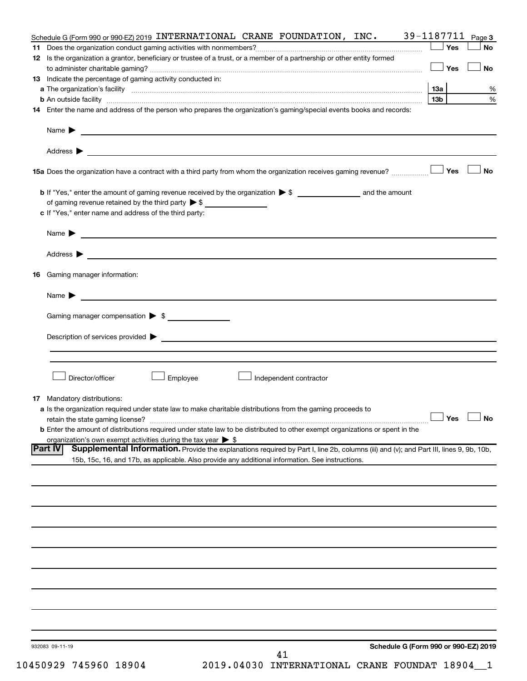| Schedule G (Form 990 or 990-EZ) 2019 INTERNATIONAL CRANE FOUNDATION, INC.                                                                                | 39-1187711 Page 3    |           |
|----------------------------------------------------------------------------------------------------------------------------------------------------------|----------------------|-----------|
|                                                                                                                                                          | Yes                  | <b>No</b> |
| 12 Is the organization a grantor, beneficiary or trustee of a trust, or a member of a partnership or other entity formed                                 | │Yes                 | <b>No</b> |
| 13 Indicate the percentage of gaming activity conducted in:                                                                                              |                      |           |
|                                                                                                                                                          |                      | %         |
|                                                                                                                                                          | 13 <sub>b</sub>      | $\%$      |
| 14 Enter the name and address of the person who prepares the organization's gaming/special events books and records:                                     |                      |           |
| Name $\blacktriangleright$<br><u> 1980 - John Barnett, fransk politiker (d. 1980)</u>                                                                    |                      |           |
|                                                                                                                                                          |                      |           |
|                                                                                                                                                          |                      | No        |
|                                                                                                                                                          |                      |           |
|                                                                                                                                                          |                      |           |
| c If "Yes," enter name and address of the third party:                                                                                                   |                      |           |
|                                                                                                                                                          |                      |           |
|                                                                                                                                                          |                      |           |
| <b>16</b> Gaming manager information:                                                                                                                    |                      |           |
|                                                                                                                                                          |                      |           |
|                                                                                                                                                          |                      |           |
| Gaming manager compensation > \$                                                                                                                         |                      |           |
|                                                                                                                                                          |                      |           |
|                                                                                                                                                          |                      |           |
| Director/officer<br>Employee<br>Independent contractor                                                                                                   |                      |           |
|                                                                                                                                                          |                      |           |
| <b>17</b> Mandatory distributions:                                                                                                                       |                      |           |
| a Is the organization required under state law to make charitable distributions from the gaming proceeds to                                              | $\Box$ Yes $\Box$ No |           |
| <b>b</b> Enter the amount of distributions required under state law to be distributed to other exempt organizations or spent in the                      |                      |           |
| organization's own exempt activities during the tax year $\triangleright$ \$                                                                             |                      |           |
| Supplemental Information. Provide the explanations required by Part I, line 2b, columns (iii) and (v); and Part III, lines 9, 9b, 10b,<br><b>Part IV</b> |                      |           |
| 15b, 15c, 16, and 17b, as applicable. Also provide any additional information. See instructions.                                                         |                      |           |
|                                                                                                                                                          |                      |           |
|                                                                                                                                                          |                      |           |
|                                                                                                                                                          |                      |           |
|                                                                                                                                                          |                      |           |
|                                                                                                                                                          |                      |           |
|                                                                                                                                                          |                      |           |
|                                                                                                                                                          |                      |           |
|                                                                                                                                                          |                      |           |
|                                                                                                                                                          |                      |           |
|                                                                                                                                                          |                      |           |
| Schedule G (Form 990 or 990-EZ) 2019<br>932083 09-11-19                                                                                                  |                      |           |
| 41                                                                                                                                                       |                      |           |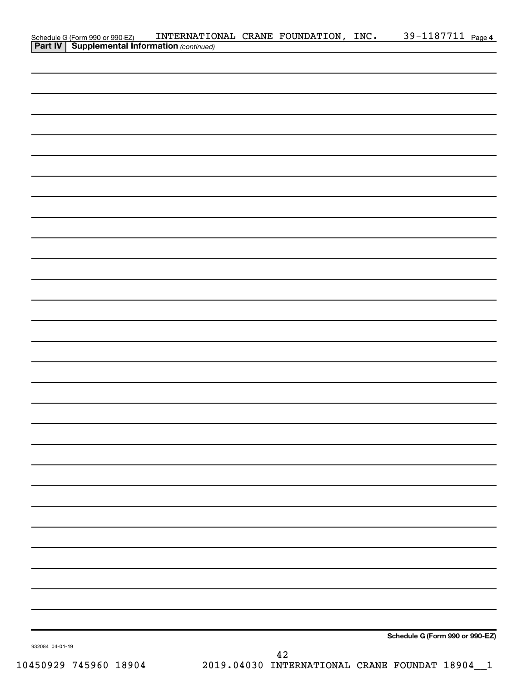|                 |                                                                                                     | INTERNATIONAL CRANE FOUNDATION, INC. 39-1187711 Page 4 |           |                                 |  |
|-----------------|-----------------------------------------------------------------------------------------------------|--------------------------------------------------------|-----------|---------------------------------|--|
|                 | Schedule G (Form 990 or 990-EZ) INTERNATIO<br><b>Part IV   Supplemental Information</b> (continued) |                                                        |           |                                 |  |
|                 |                                                                                                     |                                                        |           |                                 |  |
|                 |                                                                                                     |                                                        |           |                                 |  |
|                 |                                                                                                     |                                                        |           |                                 |  |
|                 |                                                                                                     |                                                        |           |                                 |  |
|                 |                                                                                                     |                                                        |           |                                 |  |
|                 |                                                                                                     |                                                        |           |                                 |  |
|                 |                                                                                                     |                                                        |           |                                 |  |
|                 |                                                                                                     |                                                        |           |                                 |  |
|                 |                                                                                                     |                                                        |           |                                 |  |
|                 |                                                                                                     |                                                        |           |                                 |  |
|                 |                                                                                                     |                                                        |           |                                 |  |
|                 |                                                                                                     |                                                        |           |                                 |  |
|                 |                                                                                                     |                                                        |           |                                 |  |
|                 |                                                                                                     |                                                        |           |                                 |  |
|                 |                                                                                                     |                                                        |           |                                 |  |
|                 |                                                                                                     |                                                        |           |                                 |  |
|                 |                                                                                                     |                                                        |           |                                 |  |
|                 |                                                                                                     |                                                        |           |                                 |  |
|                 |                                                                                                     |                                                        |           |                                 |  |
|                 |                                                                                                     |                                                        |           |                                 |  |
|                 |                                                                                                     |                                                        |           |                                 |  |
|                 |                                                                                                     |                                                        |           |                                 |  |
|                 |                                                                                                     |                                                        |           |                                 |  |
|                 |                                                                                                     |                                                        |           |                                 |  |
|                 |                                                                                                     |                                                        |           |                                 |  |
|                 |                                                                                                     |                                                        |           |                                 |  |
|                 |                                                                                                     |                                                        |           |                                 |  |
|                 |                                                                                                     |                                                        |           |                                 |  |
|                 |                                                                                                     |                                                        |           |                                 |  |
|                 |                                                                                                     |                                                        |           |                                 |  |
|                 |                                                                                                     |                                                        |           |                                 |  |
|                 |                                                                                                     |                                                        |           |                                 |  |
|                 |                                                                                                     |                                                        |           |                                 |  |
|                 |                                                                                                     |                                                        |           |                                 |  |
|                 |                                                                                                     |                                                        |           |                                 |  |
|                 |                                                                                                     |                                                        |           |                                 |  |
|                 |                                                                                                     |                                                        |           |                                 |  |
|                 |                                                                                                     |                                                        |           |                                 |  |
|                 |                                                                                                     |                                                        |           |                                 |  |
| 932084 04-01-19 |                                                                                                     |                                                        |           | Schedule G (Form 990 or 990-EZ) |  |
|                 |                                                                                                     |                                                        | $\Lambda$ |                                 |  |

10450929 745960 18904 2019.04030 INTERNATIONAL CRANE FOUNDAT 18904\_\_1 42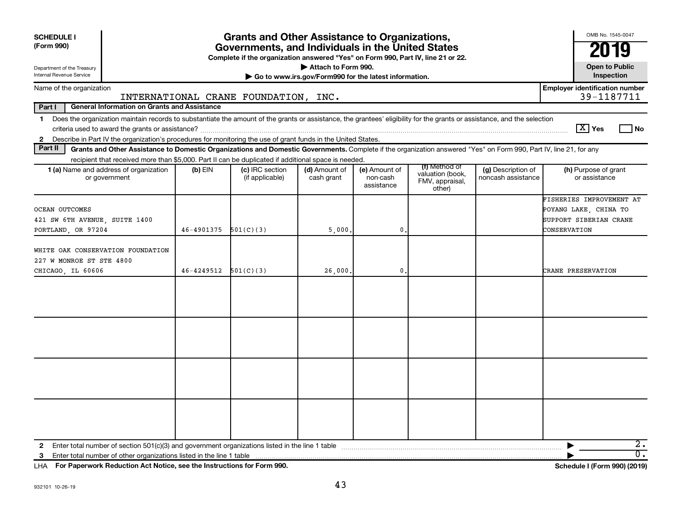| <b>SCHEDULE I</b><br>(Form 990)                                                                                                                                                                                                                                                                                          |            | <b>Grants and Other Assistance to Organizations,</b><br>Governments, and Individuals in the United States<br>Complete if the organization answered "Yes" on Form 990, Part IV, line 21 or 22. |                                                                              |                                         |                                                                |                                          | OMB No. 1545-0047<br>2019                                                                   |
|--------------------------------------------------------------------------------------------------------------------------------------------------------------------------------------------------------------------------------------------------------------------------------------------------------------------------|------------|-----------------------------------------------------------------------------------------------------------------------------------------------------------------------------------------------|------------------------------------------------------------------------------|-----------------------------------------|----------------------------------------------------------------|------------------------------------------|---------------------------------------------------------------------------------------------|
| Department of the Treasury<br>Internal Revenue Service                                                                                                                                                                                                                                                                   |            |                                                                                                                                                                                               | Attach to Form 990.<br>Go to www.irs.gov/Form990 for the latest information. |                                         |                                                                |                                          | <b>Open to Public</b><br>Inspection                                                         |
| Name of the organization                                                                                                                                                                                                                                                                                                 |            | INTERNATIONAL CRANE FOUNDATION, INC.                                                                                                                                                          |                                                                              |                                         |                                                                |                                          | <b>Employer identification number</b><br>39-1187711                                         |
| Part I<br><b>General Information on Grants and Assistance</b>                                                                                                                                                                                                                                                            |            |                                                                                                                                                                                               |                                                                              |                                         |                                                                |                                          |                                                                                             |
| Does the organization maintain records to substantiate the amount of the grants or assistance, the grantees' eligibility for the grants or assistance, and the selection<br>$\mathbf 1$<br>Describe in Part IV the organization's procedures for monitoring the use of grant funds in the United States.<br>$\mathbf{2}$ |            |                                                                                                                                                                                               |                                                                              |                                         |                                                                |                                          | $\lceil \text{X} \rceil$ Yes<br>l No                                                        |
| Part II<br>Grants and Other Assistance to Domestic Organizations and Domestic Governments. Complete if the organization answered "Yes" on Form 990, Part IV, line 21, for any                                                                                                                                            |            |                                                                                                                                                                                               |                                                                              |                                         |                                                                |                                          |                                                                                             |
| recipient that received more than \$5,000. Part II can be duplicated if additional space is needed.<br>1 (a) Name and address of organization<br>or government                                                                                                                                                           | $(b)$ EIN  | (c) IRC section<br>(if applicable)                                                                                                                                                            | (d) Amount of<br>cash grant                                                  | (e) Amount of<br>non-cash<br>assistance | (f) Method of<br>valuation (book,<br>FMV, appraisal,<br>other) | (g) Description of<br>noncash assistance | (h) Purpose of grant<br>or assistance                                                       |
| OCEAN OUTCOMES<br>421 SW 6TH AVENUE, SUITE 1400<br>PORTLAND, OR 97204                                                                                                                                                                                                                                                    | 46-4901375 | 501(C)(3)                                                                                                                                                                                     | 5,000                                                                        | 0                                       |                                                                |                                          | FISHERIES IMPROVEMENT AT<br>POYANG LAKE, CHINA TO<br>SUPPORT SIBERIAN CRANE<br>CONSERVATION |
| WHITE OAK CONSERVATION FOUNDATION<br>227 W MONROE ST STE 4800<br>CHICAGO, IL 60606                                                                                                                                                                                                                                       | 46-4249512 | 501(C)(3)                                                                                                                                                                                     | 26,000.                                                                      | 0                                       |                                                                |                                          | CRANE PRESERVATION                                                                          |
|                                                                                                                                                                                                                                                                                                                          |            |                                                                                                                                                                                               |                                                                              |                                         |                                                                |                                          |                                                                                             |
|                                                                                                                                                                                                                                                                                                                          |            |                                                                                                                                                                                               |                                                                              |                                         |                                                                |                                          |                                                                                             |
|                                                                                                                                                                                                                                                                                                                          |            |                                                                                                                                                                                               |                                                                              |                                         |                                                                |                                          |                                                                                             |
|                                                                                                                                                                                                                                                                                                                          |            |                                                                                                                                                                                               |                                                                              |                                         |                                                                |                                          |                                                                                             |
| Enter total number of other organizations listed in the line 1 table<br>3                                                                                                                                                                                                                                                |            |                                                                                                                                                                                               |                                                                              |                                         |                                                                |                                          | $\overline{2}$ .<br>$\overline{0}$ .                                                        |

**For Paperwork Reduction Act Notice, see the Instructions for Form 990. Schedule I (Form 990) (2019)** LHA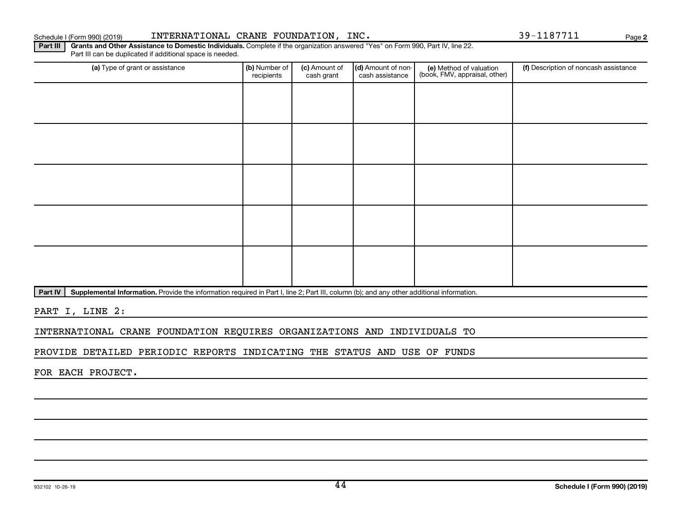#### Schedule I (Form 990) (2019) INTERNATIONAL CRANE FOUNDATION,INC. 39-1187711 Page

Part III | Grants and Other Assistance to Domestic Individuals. Complete if the organization answered "Yes" on Form 990, Part IV, line 22. (a) Type of grant or assistance **(b)** Number of  $|$  **(c)** Amount of  $|$  **(d)** Amount of non- $|$  **(e)** Method of valuation  $|$  **(f)** Part III can be duplicated if additional space is needed. (e) Method of valuation (book, FMV, appraisal, other) recipients (c) Amount of cash grant (d) Amount of noncash assistance (f) Description of noncash assistance

Part IV | Supplemental Information. Provide the information required in Part I, line 2; Part III, column (b); and any other additional information.

PART I, LINE 2:

INTERNATIONAL CRANE FOUNDATION REQUIRES ORGANIZATIONS AND INDIVIDUALS TO

PROVIDE DETAILED PERIODIC REPORTS INDICATING THE STATUS AND USE OF FUNDS

FOR EACH PROJECT.

**2**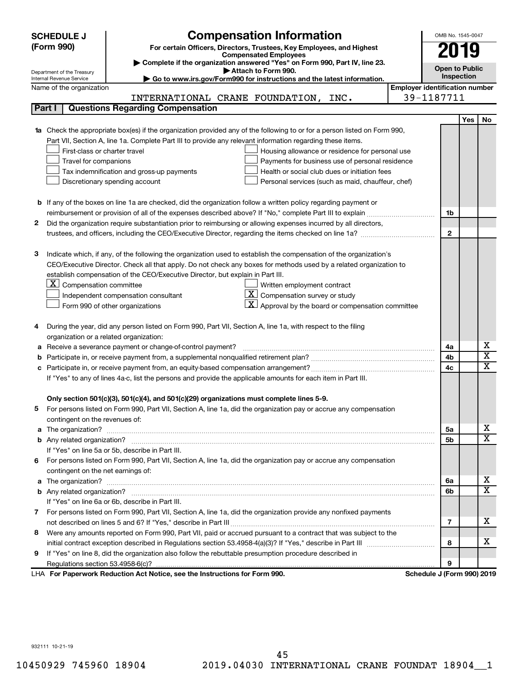| <b>SCHEDULE J</b>                                                                                             | <b>Compensation Information</b>                                                                                                                                                                                                      |                                       | OMB No. 1545-0047          |            |                         |  |  |
|---------------------------------------------------------------------------------------------------------------|--------------------------------------------------------------------------------------------------------------------------------------------------------------------------------------------------------------------------------------|---------------------------------------|----------------------------|------------|-------------------------|--|--|
| (Form 990)                                                                                                    | For certain Officers, Directors, Trustees, Key Employees, and Highest                                                                                                                                                                |                                       |                            |            |                         |  |  |
|                                                                                                               | <b>Compensated Employees</b>                                                                                                                                                                                                         |                                       | 2019                       |            |                         |  |  |
|                                                                                                               | Complete if the organization answered "Yes" on Form 990, Part IV, line 23.<br><b>Open to Public</b><br>Attach to Form 990.                                                                                                           |                                       |                            |            |                         |  |  |
| Internal Revenue Service                                                                                      | Department of the Treasury<br>Go to www.irs.gov/Form990 for instructions and the latest information.                                                                                                                                 |                                       |                            |            |                         |  |  |
| Name of the organization                                                                                      |                                                                                                                                                                                                                                      | <b>Employer identification number</b> |                            |            |                         |  |  |
|                                                                                                               | INTERNATIONAL CRANE FOUNDATION, INC.                                                                                                                                                                                                 |                                       | 39-1187711                 |            |                         |  |  |
| Part I                                                                                                        | <b>Questions Regarding Compensation</b>                                                                                                                                                                                              |                                       |                            |            |                         |  |  |
|                                                                                                               |                                                                                                                                                                                                                                      |                                       |                            | <b>Yes</b> | No                      |  |  |
|                                                                                                               | Check the appropriate box(es) if the organization provided any of the following to or for a person listed on Form 990,                                                                                                               |                                       |                            |            |                         |  |  |
|                                                                                                               | Part VII, Section A, line 1a. Complete Part III to provide any relevant information regarding these items.                                                                                                                           |                                       |                            |            |                         |  |  |
| First-class or charter travel                                                                                 | Housing allowance or residence for personal use                                                                                                                                                                                      |                                       |                            |            |                         |  |  |
| Travel for companions                                                                                         | Payments for business use of personal residence                                                                                                                                                                                      |                                       |                            |            |                         |  |  |
|                                                                                                               | Health or social club dues or initiation fees<br>Tax indemnification and gross-up payments                                                                                                                                           |                                       |                            |            |                         |  |  |
|                                                                                                               | Discretionary spending account<br>Personal services (such as maid, chauffeur, chef)                                                                                                                                                  |                                       |                            |            |                         |  |  |
|                                                                                                               |                                                                                                                                                                                                                                      |                                       |                            |            |                         |  |  |
|                                                                                                               | <b>b</b> If any of the boxes on line 1a are checked, did the organization follow a written policy regarding payment or                                                                                                               |                                       |                            |            |                         |  |  |
|                                                                                                               |                                                                                                                                                                                                                                      |                                       | 1b                         |            |                         |  |  |
| 2                                                                                                             | Did the organization require substantiation prior to reimbursing or allowing expenses incurred by all directors,                                                                                                                     |                                       |                            |            |                         |  |  |
|                                                                                                               |                                                                                                                                                                                                                                      |                                       | $\mathbf{2}$               |            |                         |  |  |
|                                                                                                               |                                                                                                                                                                                                                                      |                                       |                            |            |                         |  |  |
| 3                                                                                                             | Indicate which, if any, of the following the organization used to establish the compensation of the organization's                                                                                                                   |                                       |                            |            |                         |  |  |
|                                                                                                               | CEO/Executive Director. Check all that apply. Do not check any boxes for methods used by a related organization to<br>establish compensation of the CEO/Executive Director, but explain in Part III.                                 |                                       |                            |            |                         |  |  |
| $X$ Compensation committee                                                                                    | Written employment contract                                                                                                                                                                                                          |                                       |                            |            |                         |  |  |
|                                                                                                               | -X I<br>Compensation survey or study<br>Independent compensation consultant                                                                                                                                                          |                                       |                            |            |                         |  |  |
|                                                                                                               | Approval by the board or compensation committee                                                                                                                                                                                      |                                       |                            |            |                         |  |  |
|                                                                                                               | Form 990 of other organizations                                                                                                                                                                                                      |                                       |                            |            |                         |  |  |
|                                                                                                               | During the year, did any person listed on Form 990, Part VII, Section A, line 1a, with respect to the filing                                                                                                                         |                                       |                            |            |                         |  |  |
|                                                                                                               | organization or a related organization:                                                                                                                                                                                              |                                       |                            |            |                         |  |  |
| а                                                                                                             | Receive a severance payment or change-of-control payment?                                                                                                                                                                            |                                       | 4a                         |            | х                       |  |  |
| b                                                                                                             |                                                                                                                                                                                                                                      |                                       | 4b                         |            | $\overline{\textbf{x}}$ |  |  |
| с                                                                                                             |                                                                                                                                                                                                                                      |                                       | 4c                         |            | $\mathbf x$             |  |  |
| If "Yes" to any of lines 4a-c, list the persons and provide the applicable amounts for each item in Part III. |                                                                                                                                                                                                                                      |                                       |                            |            |                         |  |  |
|                                                                                                               |                                                                                                                                                                                                                                      |                                       |                            |            |                         |  |  |
|                                                                                                               | Only section 501(c)(3), 501(c)(4), and 501(c)(29) organizations must complete lines 5-9.                                                                                                                                             |                                       |                            |            |                         |  |  |
|                                                                                                               | For persons listed on Form 990, Part VII, Section A, line 1a, did the organization pay or accrue any compensation                                                                                                                    |                                       |                            |            |                         |  |  |
| contingent on the revenues of:                                                                                |                                                                                                                                                                                                                                      |                                       |                            |            |                         |  |  |
| a                                                                                                             |                                                                                                                                                                                                                                      |                                       | 5a                         |            | х                       |  |  |
|                                                                                                               |                                                                                                                                                                                                                                      |                                       | 5b                         |            | X                       |  |  |
|                                                                                                               | If "Yes" on line 5a or 5b, describe in Part III.                                                                                                                                                                                     |                                       |                            |            |                         |  |  |
|                                                                                                               | 6 For persons listed on Form 990, Part VII, Section A, line 1a, did the organization pay or accrue any compensation                                                                                                                  |                                       |                            |            |                         |  |  |
| contingent on the net earnings of:                                                                            |                                                                                                                                                                                                                                      |                                       |                            |            |                         |  |  |
| a                                                                                                             | The organization? <b>With the contract of the contract of the contract of the contract of the contract of the contract of the contract of the contract of the contract of the contract of the contract of the contract of the co</b> |                                       | 6а                         |            | х                       |  |  |
|                                                                                                               |                                                                                                                                                                                                                                      |                                       | 6b                         |            | X                       |  |  |
|                                                                                                               | If "Yes" on line 6a or 6b, describe in Part III.                                                                                                                                                                                     |                                       |                            |            |                         |  |  |
|                                                                                                               | 7 For persons listed on Form 990, Part VII, Section A, line 1a, did the organization provide any nonfixed payments                                                                                                                   |                                       |                            |            |                         |  |  |
|                                                                                                               |                                                                                                                                                                                                                                      |                                       | 7                          |            | x                       |  |  |
| 8                                                                                                             | Were any amounts reported on Form 990, Part VII, paid or accrued pursuant to a contract that was subject to the                                                                                                                      |                                       |                            |            |                         |  |  |
|                                                                                                               |                                                                                                                                                                                                                                      |                                       | 8                          |            | x                       |  |  |
| 9                                                                                                             | If "Yes" on line 8, did the organization also follow the rebuttable presumption procedure described in                                                                                                                               |                                       |                            |            |                         |  |  |
|                                                                                                               |                                                                                                                                                                                                                                      |                                       | 9                          |            |                         |  |  |
|                                                                                                               | LHA For Paperwork Reduction Act Notice, see the Instructions for Form 990.                                                                                                                                                           |                                       | Schedule J (Form 990) 2019 |            |                         |  |  |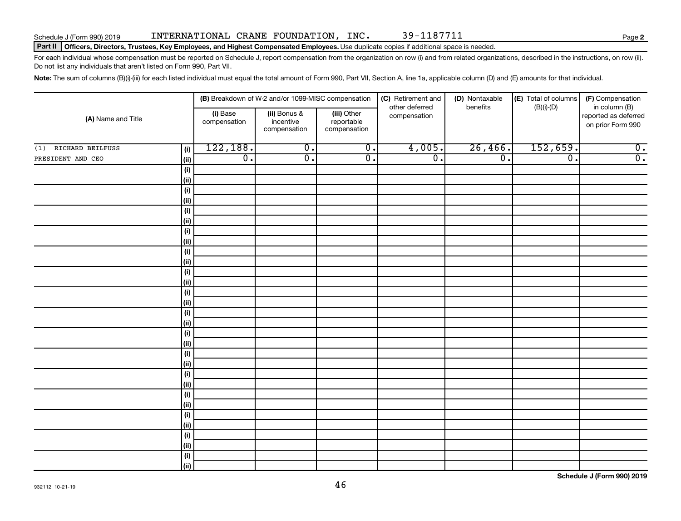#### Schedule J (Form 990) 2019 INTERNATIONAL CRANE FOUNDATION,INC 39-1187711 Page

#### Part II | Officers, Directors, Trustees, Key Employees, and Highest Compensated Employees. Use duplicate copies if additional space is needed.

For each individual whose compensation must be reported on Schedule J, report compensation from the organization on row (i) and from related organizations, described in the instructions, on row (ii). Do not list any individuals that aren't listed on Form 990, Part VII.

Note: The sum of columns (B)(i)-(iii) for each listed individual must equal the total amount of Form 990, Part VII, Section A, line 1a, applicable column (D) and (E) amounts for that individual.

| (A) Name and Title      |                              |                          | (B) Breakdown of W-2 and/or 1099-MISC compensation |                                           | (C) Retirement and             | (D) Nontaxable   | (E) Total of columns | (F) Compensation                                           |
|-------------------------|------------------------------|--------------------------|----------------------------------------------------|-------------------------------------------|--------------------------------|------------------|----------------------|------------------------------------------------------------|
|                         |                              | (i) Base<br>compensation | (ii) Bonus &<br>incentive<br>compensation          | (iii) Other<br>reportable<br>compensation | other deferred<br>compensation | benefits         | $(B)(i)-(D)$         | in column (B)<br>reported as deferred<br>on prior Form 990 |
| RICHARD BEILFUSS<br>(1) | (i)                          | 122, 188.                | $\overline{0}$ .                                   | $\overline{0}$ .                          | 4,005.                         | 26,466.          | 152,659.             | $\overline{0}$ .                                           |
| PRESIDENT AND CEO       | (ii)                         | $\overline{0}$ .         | $\overline{\mathfrak{o}}$ .                        | $\overline{0}$ .                          | $\overline{0}$ .               | $\overline{0}$ . | $\overline{0}$ .     | $\overline{0}$ .                                           |
|                         | (i)                          |                          |                                                    |                                           |                                |                  |                      |                                                            |
|                         | (ii)                         |                          |                                                    |                                           |                                |                  |                      |                                                            |
|                         | $(\sf{i})$                   |                          |                                                    |                                           |                                |                  |                      |                                                            |
|                         | (ii)                         |                          |                                                    |                                           |                                |                  |                      |                                                            |
|                         | $(\sf{i})$                   |                          |                                                    |                                           |                                |                  |                      |                                                            |
|                         | (ii)                         |                          |                                                    |                                           |                                |                  |                      |                                                            |
|                         | $(\sf{i})$                   |                          |                                                    |                                           |                                |                  |                      |                                                            |
|                         | (ii)                         |                          |                                                    |                                           |                                |                  |                      |                                                            |
|                         | $(\sf{i})$                   |                          |                                                    |                                           |                                |                  |                      |                                                            |
|                         | (ii)                         |                          |                                                    |                                           |                                |                  |                      |                                                            |
|                         | $(\sf{i})$                   |                          |                                                    |                                           |                                |                  |                      |                                                            |
|                         | (ii)                         |                          |                                                    |                                           |                                |                  |                      |                                                            |
|                         | (i)<br>(ii)                  |                          |                                                    |                                           |                                |                  |                      |                                                            |
|                         |                              |                          |                                                    |                                           |                                |                  |                      |                                                            |
|                         | (i)<br>(ii)                  |                          |                                                    |                                           |                                |                  |                      |                                                            |
|                         | (i)                          |                          |                                                    |                                           |                                |                  |                      |                                                            |
|                         | (ii)                         |                          |                                                    |                                           |                                |                  |                      |                                                            |
|                         | $(\sf{i})$                   |                          |                                                    |                                           |                                |                  |                      |                                                            |
|                         | (ii)                         |                          |                                                    |                                           |                                |                  |                      |                                                            |
|                         | $(\sf{i})$                   |                          |                                                    |                                           |                                |                  |                      |                                                            |
|                         | (ii)                         |                          |                                                    |                                           |                                |                  |                      |                                                            |
|                         | $(\sf{i})$                   |                          |                                                    |                                           |                                |                  |                      |                                                            |
|                         | (ii)                         |                          |                                                    |                                           |                                |                  |                      |                                                            |
|                         | $\qquad \qquad \textbf{(i)}$ |                          |                                                    |                                           |                                |                  |                      |                                                            |
|                         | (ii)                         |                          |                                                    |                                           |                                |                  |                      |                                                            |
|                         | $\qquad \qquad \textbf{(i)}$ |                          |                                                    |                                           |                                |                  |                      |                                                            |
|                         | (ii)                         |                          |                                                    |                                           |                                |                  |                      |                                                            |
|                         | $(\sf{i})$                   |                          |                                                    |                                           |                                |                  |                      |                                                            |
|                         | (ii)                         |                          |                                                    |                                           |                                |                  |                      |                                                            |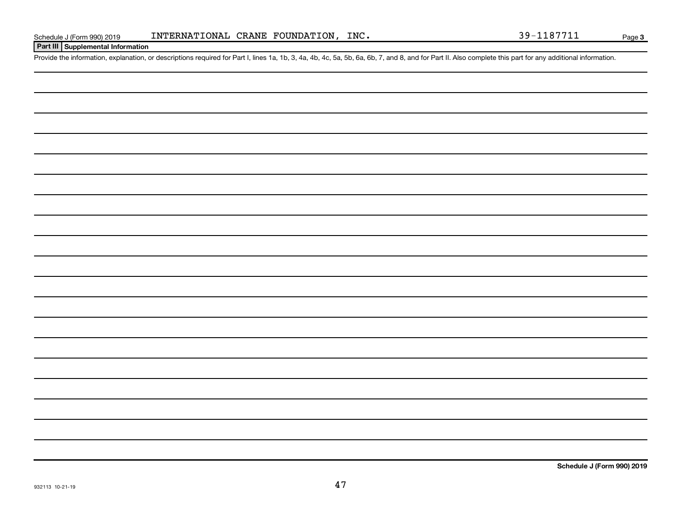**Part III Supplemental Information**

Provide the information, explanation, or descriptions required for Part I, lines 1a, 1b, 3, 4a, 4b, 4c, 5a, 5b, 6a, 6b, 7, and 8, and for Part II. Also complete this part for any additional information.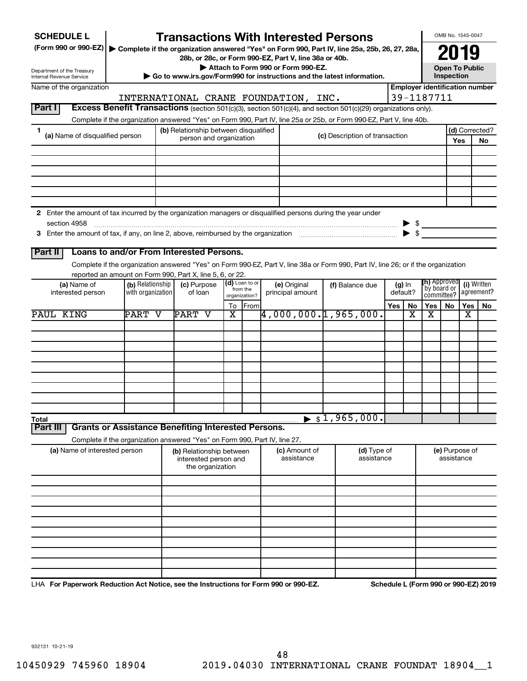| <b>SCHEDULE L</b><br>(Form 990 or 990-EZ)   Complete if the organization answered "Yes" on Form 990, Part IV, line 25a, 25b, 26, 27, 28a, |                   | <b>Transactions With Interested Persons</b>                                |                                                               |                | 28b, or 28c, or Form 990-EZ, Part V, line 38a or 40b. |  |                                                                                                                                    |     |                          |                                       | OMB No. 1545-0047<br>2019           |     |                |
|-------------------------------------------------------------------------------------------------------------------------------------------|-------------------|----------------------------------------------------------------------------|---------------------------------------------------------------|----------------|-------------------------------------------------------|--|------------------------------------------------------------------------------------------------------------------------------------|-----|--------------------------|---------------------------------------|-------------------------------------|-----|----------------|
| Department of the Treasury                                                                                                                |                   |                                                                            |                                                               |                | Attach to Form 990 or Form 990-EZ.                    |  | Go to www.irs.gov/Form990 for instructions and the latest information.                                                             |     |                          |                                       | <b>Open To Public</b><br>Inspection |     |                |
| Internal Revenue Service<br>Name of the organization                                                                                      |                   |                                                                            |                                                               |                |                                                       |  |                                                                                                                                    |     |                          | <b>Employer identification number</b> |                                     |     |                |
|                                                                                                                                           |                   | INTERNATIONAL CRANE FOUNDATION, INC.                                       |                                                               |                |                                                       |  |                                                                                                                                    |     |                          | 39-1187711                            |                                     |     |                |
| Part I                                                                                                                                    |                   |                                                                            |                                                               |                |                                                       |  | Excess Benefit Transactions (section 501(c)(3), section 501(c)(4), and section 501(c)(29) organizations only).                     |     |                          |                                       |                                     |     |                |
|                                                                                                                                           |                   |                                                                            |                                                               |                |                                                       |  | Complete if the organization answered "Yes" on Form 990, Part IV, line 25a or 25b, or Form 990-EZ, Part V, line 40b.               |     |                          |                                       |                                     |     |                |
| 1<br>(a) Name of disqualified person                                                                                                      |                   | (b) Relationship between disqualified                                      |                                                               |                |                                                       |  | (c) Description of transaction                                                                                                     |     |                          |                                       |                                     |     | (d) Corrected? |
|                                                                                                                                           |                   | person and organization                                                    |                                                               |                |                                                       |  |                                                                                                                                    |     |                          |                                       |                                     | Yes | <b>No</b>      |
|                                                                                                                                           |                   |                                                                            |                                                               |                |                                                       |  |                                                                                                                                    |     |                          |                                       |                                     |     |                |
|                                                                                                                                           |                   |                                                                            |                                                               |                |                                                       |  |                                                                                                                                    |     |                          |                                       |                                     |     |                |
|                                                                                                                                           |                   |                                                                            |                                                               |                |                                                       |  |                                                                                                                                    |     |                          |                                       |                                     |     |                |
|                                                                                                                                           |                   |                                                                            |                                                               |                |                                                       |  |                                                                                                                                    |     |                          |                                       |                                     |     |                |
|                                                                                                                                           |                   |                                                                            |                                                               |                |                                                       |  |                                                                                                                                    |     |                          |                                       |                                     |     |                |
| 2 Enter the amount of tax incurred by the organization managers or disqualified persons during the year under                             |                   |                                                                            |                                                               |                |                                                       |  |                                                                                                                                    |     |                          |                                       |                                     |     |                |
| section 4958                                                                                                                              |                   |                                                                            |                                                               |                |                                                       |  |                                                                                                                                    |     |                          | $\triangleright$ \$                   |                                     |     |                |
|                                                                                                                                           |                   |                                                                            |                                                               |                |                                                       |  |                                                                                                                                    |     | $\blacktriangleright$ \$ |                                       |                                     |     |                |
|                                                                                                                                           |                   |                                                                            |                                                               |                |                                                       |  |                                                                                                                                    |     |                          |                                       |                                     |     |                |
| Part II                                                                                                                                   |                   | Loans to and/or From Interested Persons.                                   |                                                               |                |                                                       |  |                                                                                                                                    |     |                          |                                       |                                     |     |                |
|                                                                                                                                           |                   |                                                                            |                                                               |                |                                                       |  | Complete if the organization answered "Yes" on Form 990-EZ, Part V, line 38a or Form 990, Part IV, line 26; or if the organization |     |                          |                                       |                                     |     |                |
|                                                                                                                                           | (b) Relationship  | reported an amount on Form 990, Part X, line 5, 6, or 22.                  |                                                               | (d) Loan to or |                                                       |  |                                                                                                                                    |     |                          | <b>(h)</b> Approved                   |                                     |     | (i) Written    |
| (a) Name of<br>interested person                                                                                                          | with organization | (c) Purpose<br>of loan                                                     | (e) Original<br>from the<br>principal amount<br>organization? |                | (f) Balance due<br>$(g)$ In<br>default?               |  | `by board or<br>committee?                                                                                                         |     |                          | agreement?                            |                                     |     |                |
|                                                                                                                                           |                   |                                                                            |                                                               | To From        |                                                       |  |                                                                                                                                    | Yes | No                       | Yes                                   | No                                  | Yes | No             |
| PAUL KING                                                                                                                                 | PART V            | PART V                                                                     | X                                                             |                |                                                       |  | $\overline{4,000,000.}$ 1,965,000.                                                                                                 |     | x                        | X                                     |                                     | x   |                |
|                                                                                                                                           |                   |                                                                            |                                                               |                |                                                       |  |                                                                                                                                    |     |                          |                                       |                                     |     |                |
|                                                                                                                                           |                   |                                                                            |                                                               |                |                                                       |  |                                                                                                                                    |     |                          |                                       |                                     |     |                |
|                                                                                                                                           |                   |                                                                            |                                                               |                |                                                       |  |                                                                                                                                    |     |                          |                                       |                                     |     |                |
|                                                                                                                                           |                   |                                                                            |                                                               |                |                                                       |  |                                                                                                                                    |     |                          |                                       |                                     |     |                |
|                                                                                                                                           |                   |                                                                            |                                                               |                |                                                       |  |                                                                                                                                    |     |                          |                                       |                                     |     |                |
|                                                                                                                                           |                   |                                                                            |                                                               |                |                                                       |  |                                                                                                                                    |     |                          |                                       |                                     |     |                |
|                                                                                                                                           |                   |                                                                            |                                                               |                |                                                       |  |                                                                                                                                    |     |                          |                                       |                                     |     |                |
|                                                                                                                                           |                   |                                                                            |                                                               |                |                                                       |  |                                                                                                                                    |     |                          |                                       |                                     |     |                |
| Total                                                                                                                                     |                   |                                                                            |                                                               |                |                                                       |  | \$1,965,000.                                                                                                                       |     |                          |                                       |                                     |     |                |
| Part II                                                                                                                                   |                   | <b>Grants or Assistance Benefiting Interested Persons.</b>                 |                                                               |                |                                                       |  |                                                                                                                                    |     |                          |                                       |                                     |     |                |
|                                                                                                                                           |                   | Complete if the organization answered "Yes" on Form 990, Part IV, line 27. |                                                               |                |                                                       |  |                                                                                                                                    |     |                          |                                       |                                     |     |                |
| (a) Name of interested person                                                                                                             |                   | (b) Relationship between                                                   |                                                               |                | (c) Amount of                                         |  | (d) Type of                                                                                                                        |     |                          |                                       | (e) Purpose of                      |     |                |
|                                                                                                                                           |                   | interested person and                                                      |                                                               |                | assistance                                            |  | assistance                                                                                                                         |     |                          |                                       | assistance                          |     |                |
|                                                                                                                                           |                   | the organization                                                           |                                                               |                |                                                       |  |                                                                                                                                    |     |                          |                                       |                                     |     |                |
|                                                                                                                                           |                   |                                                                            |                                                               |                |                                                       |  |                                                                                                                                    |     |                          |                                       |                                     |     |                |
|                                                                                                                                           |                   |                                                                            |                                                               |                |                                                       |  |                                                                                                                                    |     |                          |                                       |                                     |     |                |
|                                                                                                                                           |                   |                                                                            |                                                               |                |                                                       |  |                                                                                                                                    |     |                          |                                       |                                     |     |                |
|                                                                                                                                           |                   |                                                                            |                                                               |                |                                                       |  |                                                                                                                                    |     |                          |                                       |                                     |     |                |
|                                                                                                                                           |                   |                                                                            |                                                               |                |                                                       |  |                                                                                                                                    |     |                          |                                       |                                     |     |                |
|                                                                                                                                           |                   |                                                                            |                                                               |                |                                                       |  |                                                                                                                                    |     |                          |                                       |                                     |     |                |
|                                                                                                                                           |                   |                                                                            |                                                               |                |                                                       |  |                                                                                                                                    |     |                          |                                       |                                     |     |                |
|                                                                                                                                           |                   |                                                                            |                                                               |                |                                                       |  |                                                                                                                                    |     |                          |                                       |                                     |     |                |
|                                                                                                                                           |                   |                                                                            |                                                               |                |                                                       |  |                                                                                                                                    |     |                          |                                       |                                     |     |                |
| LHA For Paperwork Reduction Act Notice, see the Instructions for Form 990 or 990-EZ.                                                      |                   |                                                                            |                                                               |                |                                                       |  |                                                                                                                                    |     |                          | Schedule L (Form 990 or 990-EZ) 2019  |                                     |     |                |

932131 10-21-19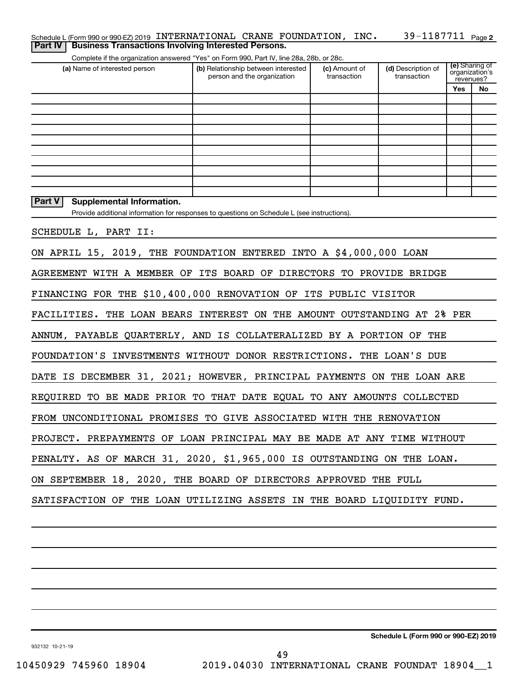|  | Schedule L (Form 990 or 990-EZ) 2019 INTERNATIONAL CRANE FOUNDATION, INC. |  | 39-1187711 <sub>Page 2</sub> |  |
|--|---------------------------------------------------------------------------|--|------------------------------|--|
|  | <b>Part IV   Business Transactions Involving Interested Persons.</b>      |  |                              |  |

Complete if the organization answered "Yes" on Form 990, Part IV, line 28a, 28b, or 28c.

| (a) Name of interested person                                           | (b) Relationship between interested<br>person and the organization                          | (c) Amount of<br>transaction | (d) Description of<br>transaction | (e) Sharing of<br>organization's<br>revenues? |    |
|-------------------------------------------------------------------------|---------------------------------------------------------------------------------------------|------------------------------|-----------------------------------|-----------------------------------------------|----|
|                                                                         |                                                                                             |                              |                                   | Yes                                           | No |
|                                                                         |                                                                                             |                              |                                   |                                               |    |
|                                                                         |                                                                                             |                              |                                   |                                               |    |
|                                                                         |                                                                                             |                              |                                   |                                               |    |
|                                                                         |                                                                                             |                              |                                   |                                               |    |
|                                                                         |                                                                                             |                              |                                   |                                               |    |
|                                                                         |                                                                                             |                              |                                   |                                               |    |
|                                                                         |                                                                                             |                              |                                   |                                               |    |
|                                                                         |                                                                                             |                              |                                   |                                               |    |
| <b>Part V</b><br>Supplemental Information.                              | Provide additional information for responses to questions on Schedule L (see instructions). |                              |                                   |                                               |    |
| SCHEDULE L, PART II:                                                    |                                                                                             |                              |                                   |                                               |    |
| ON APRIL 15, 2019, THE FOUNDATION ENTERED INTO A \$4,000,000 LOAN       |                                                                                             |                              |                                   |                                               |    |
|                                                                         |                                                                                             |                              |                                   |                                               |    |
| AGREEMENT WITH A MEMBER OF ITS BOARD OF DIRECTORS TO PROVIDE BRIDGE     |                                                                                             |                              |                                   |                                               |    |
| FINANCING FOR THE \$10,400,000 RENOVATION OF ITS PUBLIC VISITOR         |                                                                                             |                              |                                   |                                               |    |
| FACILITIES. THE LOAN BEARS INTEREST ON THE AMOUNT OUTSTANDING AT 2% PER |                                                                                             |                              |                                   |                                               |    |
| ANNUM, PAYABLE QUARTERLY, AND IS COLLATERALIZED BY A PORTION OF THE     |                                                                                             |                              |                                   |                                               |    |
| FOUNDATION'S INVESTMENTS WITHOUT DONOR RESTRICTIONS. THE LOAN'S DUE     |                                                                                             |                              |                                   |                                               |    |
| DATE IS DECEMBER 31, 2021; HOWEVER, PRINCIPAL PAYMENTS ON THE LOAN ARE  |                                                                                             |                              |                                   |                                               |    |
| REQUIRED TO BE MADE PRIOR TO THAT DATE EQUAL TO ANY AMOUNTS COLLECTED   |                                                                                             |                              |                                   |                                               |    |
| FROM UNCONDITIONAL PROMISES TO GIVE ASSOCIATED WITH THE RENOVATION      |                                                                                             |                              |                                   |                                               |    |
| PROJECT. PREPAYMENTS OF LOAN PRINCIPAL MAY BE MADE AT ANY TIME WITHOUT  |                                                                                             |                              |                                   |                                               |    |
| PENALTY. AS OF MARCH 31, 2020, \$1,965,000 IS OUTSTANDING ON THE LOAN.  |                                                                                             |                              |                                   |                                               |    |
| ON SEPTEMBER 18, 2020, THE BOARD OF DIRECTORS APPROVED THE FULL         |                                                                                             |                              |                                   |                                               |    |
| SATISFACTION OF THE LOAN UTILIZING ASSETS IN THE BOARD LIQUIDITY FUND.  |                                                                                             |                              |                                   |                                               |    |
|                                                                         |                                                                                             |                              |                                   |                                               |    |
|                                                                         |                                                                                             |                              |                                   |                                               |    |

**Schedule L (Form 990 or 990-EZ) 2019**

932132 10-21-19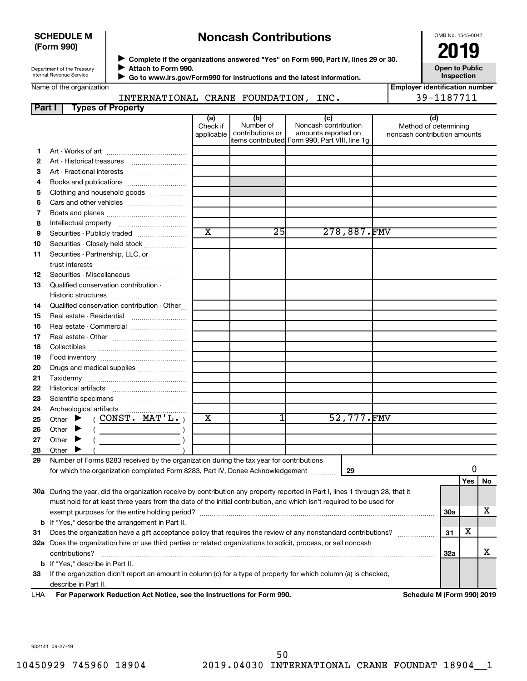#### **SCHEDULE M (Form 990)**

# **Noncash Contributions**

OMB No. 1545-0047

| Department of the Treasury      |
|---------------------------------|
|                                 |
| <b>Internal Revenue Service</b> |
|                                 |

Name of the organization

◆ Complete if the organizations answered "Yes" on Form 990, Part IV, lines 29 or 30.<br>▶ Complete if the organizations answered "Yes" on Form 990, Part IV, lines 29 or 30. **Attach to Form 990.** J

 **Go to www.irs.gov/Form990 for instructions and the latest information.** J

**Inspection Employer identification number**

**Open to Public**

| INTERNATIONAL         | <b>CRANE</b> | FOUNDATION | INC. |  |
|-----------------------|--------------|------------|------|--|
| <br>Eunaa af Dranarhu |              |            |      |  |

| <b>Part I</b> | Types of Property                                                                                                                                                                                                                                                                                                                                                      |                               |                                                                                        |                                                    |             |                                                              |            |     |    |
|---------------|------------------------------------------------------------------------------------------------------------------------------------------------------------------------------------------------------------------------------------------------------------------------------------------------------------------------------------------------------------------------|-------------------------------|----------------------------------------------------------------------------------------|----------------------------------------------------|-------------|--------------------------------------------------------------|------------|-----|----|
|               |                                                                                                                                                                                                                                                                                                                                                                        | (a)<br>Check if<br>applicable | (b)<br>Number of<br>contributions or<br>items contributed Form 990, Part VIII, line 1g | (c)<br>Noncash contribution<br>amounts reported on |             | (d)<br>Method of determining<br>noncash contribution amounts |            |     |    |
| 1.            |                                                                                                                                                                                                                                                                                                                                                                        |                               |                                                                                        |                                                    |             |                                                              |            |     |    |
| 2             |                                                                                                                                                                                                                                                                                                                                                                        |                               |                                                                                        |                                                    |             |                                                              |            |     |    |
| З             | Art - Fractional interests                                                                                                                                                                                                                                                                                                                                             |                               |                                                                                        |                                                    |             |                                                              |            |     |    |
| 4             | Books and publications                                                                                                                                                                                                                                                                                                                                                 |                               |                                                                                        |                                                    |             |                                                              |            |     |    |
| 5             | Clothing and household goods                                                                                                                                                                                                                                                                                                                                           |                               |                                                                                        |                                                    |             |                                                              |            |     |    |
| 6             |                                                                                                                                                                                                                                                                                                                                                                        |                               |                                                                                        |                                                    |             |                                                              |            |     |    |
| 7             |                                                                                                                                                                                                                                                                                                                                                                        |                               |                                                                                        |                                                    |             |                                                              |            |     |    |
|               |                                                                                                                                                                                                                                                                                                                                                                        |                               |                                                                                        |                                                    |             |                                                              |            |     |    |
| 8             |                                                                                                                                                                                                                                                                                                                                                                        | $\overline{\text{x}}$         | 25                                                                                     |                                                    | 278,887.FMV |                                                              |            |     |    |
| 9             | Securities - Publicly traded                                                                                                                                                                                                                                                                                                                                           |                               |                                                                                        |                                                    |             |                                                              |            |     |    |
| 10            | Securities - Closely held stock                                                                                                                                                                                                                                                                                                                                        |                               |                                                                                        |                                                    |             |                                                              |            |     |    |
| 11            | Securities - Partnership, LLC, or                                                                                                                                                                                                                                                                                                                                      |                               |                                                                                        |                                                    |             |                                                              |            |     |    |
| 12            | Securities - Miscellaneous                                                                                                                                                                                                                                                                                                                                             |                               |                                                                                        |                                                    |             |                                                              |            |     |    |
| 13            | Qualified conservation contribution -                                                                                                                                                                                                                                                                                                                                  |                               |                                                                                        |                                                    |             |                                                              |            |     |    |
| 14            | Qualified conservation contribution - Other                                                                                                                                                                                                                                                                                                                            |                               |                                                                                        |                                                    |             |                                                              |            |     |    |
| 15            | Real estate - Residential                                                                                                                                                                                                                                                                                                                                              |                               |                                                                                        |                                                    |             |                                                              |            |     |    |
| 16            |                                                                                                                                                                                                                                                                                                                                                                        |                               |                                                                                        |                                                    |             |                                                              |            |     |    |
| 17            |                                                                                                                                                                                                                                                                                                                                                                        |                               |                                                                                        |                                                    |             |                                                              |            |     |    |
| 18            |                                                                                                                                                                                                                                                                                                                                                                        |                               |                                                                                        |                                                    |             |                                                              |            |     |    |
| 19            |                                                                                                                                                                                                                                                                                                                                                                        |                               |                                                                                        |                                                    |             |                                                              |            |     |    |
| 20            | Drugs and medical supplies                                                                                                                                                                                                                                                                                                                                             |                               |                                                                                        |                                                    |             |                                                              |            |     |    |
| 21            |                                                                                                                                                                                                                                                                                                                                                                        |                               |                                                                                        |                                                    |             |                                                              |            |     |    |
| 22            |                                                                                                                                                                                                                                                                                                                                                                        |                               |                                                                                        |                                                    |             |                                                              |            |     |    |
| 23            |                                                                                                                                                                                                                                                                                                                                                                        |                               |                                                                                        |                                                    |             |                                                              |            |     |    |
| 24            |                                                                                                                                                                                                                                                                                                                                                                        |                               |                                                                                        |                                                    |             |                                                              |            |     |    |
| 25            | $($ CONST. MAT'L. $)$<br>Other $\blacktriangleright$                                                                                                                                                                                                                                                                                                                   | $\overline{\textbf{x}}$       | 1                                                                                      |                                                    | 52,777.FMV  |                                                              |            |     |    |
| 26            | $\left(\begin{array}{ccc} 0 & 0 & 0 \\ 0 & 0 & 0 \\ 0 & 0 & 0 \\ 0 & 0 & 0 \\ 0 & 0 & 0 \\ 0 & 0 & 0 \\ 0 & 0 & 0 \\ 0 & 0 & 0 \\ 0 & 0 & 0 \\ 0 & 0 & 0 \\ 0 & 0 & 0 \\ 0 & 0 & 0 \\ 0 & 0 & 0 \\ 0 & 0 & 0 & 0 \\ 0 & 0 & 0 & 0 \\ 0 & 0 & 0 & 0 \\ 0 & 0 & 0 & 0 \\ 0 & 0 & 0 & 0 & 0 \\ 0 & 0 & 0 & 0 & 0 \\ 0 & 0 & 0 & 0 & 0 \\ $<br>Other $\blacktriangleright$ |                               |                                                                                        |                                                    |             |                                                              |            |     |    |
| 27            | Other $\blacktriangleright$                                                                                                                                                                                                                                                                                                                                            |                               |                                                                                        |                                                    |             |                                                              |            |     |    |
|               |                                                                                                                                                                                                                                                                                                                                                                        |                               |                                                                                        |                                                    |             |                                                              |            |     |    |
| 28            | Other                                                                                                                                                                                                                                                                                                                                                                  |                               |                                                                                        |                                                    |             |                                                              |            |     |    |
| 29            | Number of Forms 8283 received by the organization during the tax year for contributions                                                                                                                                                                                                                                                                                |                               |                                                                                        |                                                    |             |                                                              |            | 0   |    |
|               | for which the organization completed Form 8283, Part IV, Donee Acknowledgement                                                                                                                                                                                                                                                                                         |                               |                                                                                        |                                                    | 29          |                                                              |            |     |    |
|               |                                                                                                                                                                                                                                                                                                                                                                        |                               |                                                                                        |                                                    |             |                                                              |            | Yes | No |
|               | 30a During the year, did the organization receive by contribution any property reported in Part I, lines 1 through 28, that it                                                                                                                                                                                                                                         |                               |                                                                                        |                                                    |             |                                                              |            |     |    |
|               | must hold for at least three years from the date of the initial contribution, and which isn't required to be used for                                                                                                                                                                                                                                                  |                               |                                                                                        |                                                    |             |                                                              |            |     |    |
|               |                                                                                                                                                                                                                                                                                                                                                                        |                               |                                                                                        |                                                    |             |                                                              | <b>30a</b> |     | х  |
|               | <b>b</b> If "Yes," describe the arrangement in Part II.                                                                                                                                                                                                                                                                                                                |                               |                                                                                        |                                                    |             |                                                              |            |     |    |
| 31            | Does the organization have a gift acceptance policy that requires the review of any nonstandard contributions?                                                                                                                                                                                                                                                         |                               |                                                                                        |                                                    |             | .                                                            | 31         | х   |    |
|               | 32a Does the organization hire or use third parties or related organizations to solicit, process, or sell noncash                                                                                                                                                                                                                                                      |                               |                                                                                        |                                                    |             |                                                              |            |     |    |
|               | contributions?                                                                                                                                                                                                                                                                                                                                                         |                               |                                                                                        |                                                    |             |                                                              | 32a        |     | x  |
|               | <b>b</b> If "Yes," describe in Part II.                                                                                                                                                                                                                                                                                                                                |                               |                                                                                        |                                                    |             |                                                              |            |     |    |
| 33            | If the organization didn't report an amount in column (c) for a type of property for which column (a) is checked,                                                                                                                                                                                                                                                      |                               |                                                                                        |                                                    |             |                                                              |            |     |    |
|               | describe in Part II.                                                                                                                                                                                                                                                                                                                                                   |                               |                                                                                        |                                                    |             |                                                              |            |     |    |
| LHA           | For Paperwork Reduction Act Notice, see the Instructions for Form 990.                                                                                                                                                                                                                                                                                                 |                               |                                                                                        |                                                    |             | Schedule M (Form 990) 2019                                   |            |     |    |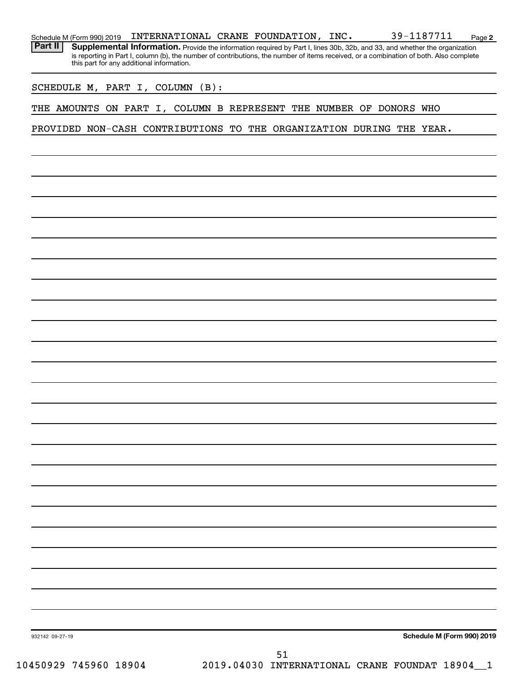| Schedule M (Form 990) 2019 | INTERNATIONAL CRANE FOUNDATION,           |  | INC. | 39-1187711                                                                                                                                                                                                                                                           | Page 2 |
|----------------------------|-------------------------------------------|--|------|----------------------------------------------------------------------------------------------------------------------------------------------------------------------------------------------------------------------------------------------------------------------|--------|
| Part II                    | this part for any additional information. |  |      | Supplemental Information. Provide the information required by Part I, lines 30b, 32b, and 33, and whether the organization<br>is reporting in Part I, column (b), the number of contributions, the number of items received, or a combination of both. Also complete |        |

SCHEDULE M, PART I, COLUMN (B):

THE AMOUNTS ON PART I, COLUMN B REPRESENT THE NUMBER OF DONORS WHO

PROVIDED NON-CASH CONTRIBUTIONS TO THE ORGANIZATION DURING THE YEAR.

**Schedule M (Form 990) 2019**

932142 09-27-19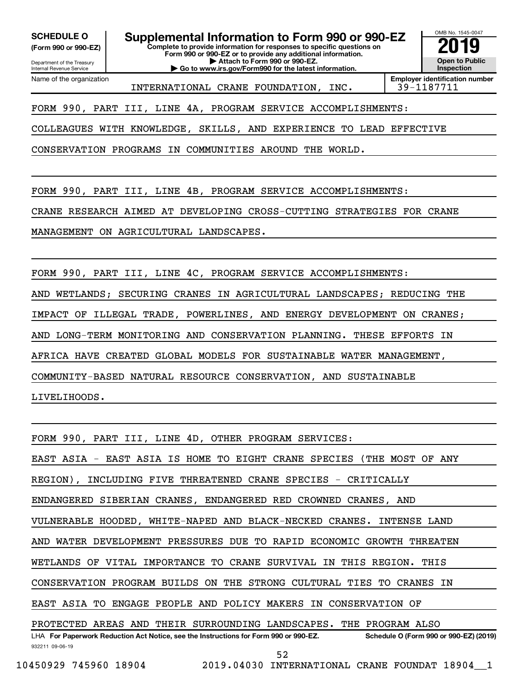Department of the Treasury **(Form 990 or 990-EZ)**

Name of the organization

Internal Revenue Service

**SCHEDULE O Supplemental Information to Form 990 or 990-EZ 2019** 

**Complete to provide information for responses to specific questions on Form 990 or 990-EZ or to provide any additional information. | Attach to Form 990 or 990-EZ.**

**| Go to www.irs.gov/Form990 for the latest information.**



INTERNATIONAL CRANE FOUNDATION, INC. 39-1187711

**Employer identification number**

FORM 990, PART III, LINE 4A, PROGRAM SERVICE ACCOMPLISHMENTS:

COLLEAGUES WITH KNOWLEDGE, SKILLS, AND EXPERIENCE TO LEAD EFFECTIVE

CONSERVATION PROGRAMS IN COMMUNITIES AROUND THE WORLD.

FORM 990, PART III, LINE 4B, PROGRAM SERVICE ACCOMPLISHMENTS:

CRANE RESEARCH AIMED AT DEVELOPING CROSS-CUTTING STRATEGIES FOR CRANE

MANAGEMENT ON AGRICULTURAL LANDSCAPES.

FORM 990, PART III, LINE 4C, PROGRAM SERVICE ACCOMPLISHMENTS:

AND WETLANDS; SECURING CRANES IN AGRICULTURAL LANDSCAPES; REDUCING THE

IMPACT OF ILLEGAL TRADE, POWERLINES, AND ENERGY DEVELOPMENT ON CRANES;

AND LONG-TERM MONITORING AND CONSERVATION PLANNING. THESE EFFORTS IN

AFRICA HAVE CREATED GLOBAL MODELS FOR SUSTAINABLE WATER MANAGEMENT,

COMMUNITY-BASED NATURAL RESOURCE CONSERVATION, AND SUSTAINABLE

LIVELIHOODS.

FORM 990, PART III, LINE 4D, OTHER PROGRAM SERVICES:

EAST ASIA - EAST ASIA IS HOME TO EIGHT CRANE SPECIES (THE MOST OF ANY

REGION), INCLUDING FIVE THREATENED CRANE SPECIES - CRITICALLY

ENDANGERED SIBERIAN CRANES, ENDANGERED RED CROWNED CRANES, AND

VULNERABLE HOODED, WHITE-NAPED AND BLACK-NECKED CRANES. INTENSE LAND

AND WATER DEVELOPMENT PRESSURES DUE TO RAPID ECONOMIC GROWTH THREATEN

WETLANDS OF VITAL IMPORTANCE TO CRANE SURVIVAL IN THIS REGION. THIS

CONSERVATION PROGRAM BUILDS ON THE STRONG CULTURAL TIES TO CRANES IN

EAST ASIA TO ENGAGE PEOPLE AND POLICY MAKERS IN CONSERVATION OF

PROTECTED AREAS AND THEIR SURROUNDING LANDSCAPES. THE PROGRAM ALSO

932211 09-06-19 LHA For Paperwork Reduction Act Notice, see the Instructions for Form 990 or 990-EZ. Schedule O (Form 990 or 990-EZ) (2019) 52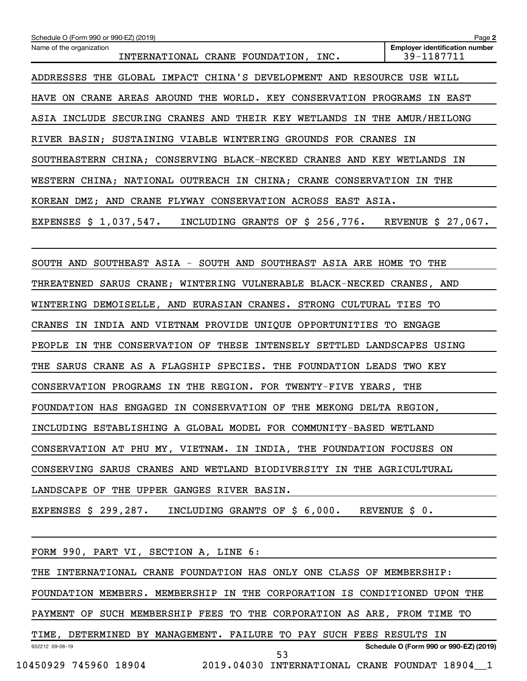| Schedule O (Form 990 or 990-EZ) (2019)                                       | Page 2                                              |
|------------------------------------------------------------------------------|-----------------------------------------------------|
| Name of the organization<br>INTERNATIONAL CRANE FOUNDATION, INC.             | <b>Employer identification number</b><br>39-1187711 |
| ADDRESSES THE GLOBAL IMPACT CHINA'S DEVELOPMENT AND RESOURCE USE WILL        |                                                     |
| HAVE ON CRANE AREAS AROUND THE WORLD. KEY CONSERVATION PROGRAMS IN EAST      |                                                     |
| ASIA INCLUDE SECURING CRANES AND THEIR KEY WETLANDS IN THE AMUR/HEILONG      |                                                     |
| RIVER BASIN; SUSTAINING VIABLE WINTERING GROUNDS FOR CRANES IN               |                                                     |
| SOUTHEASTERN CHINA; CONSERVING BLACK-NECKED CRANES AND KEY WETLANDS IN       |                                                     |
| WESTERN CHINA; NATIONAL OUTREACH IN CHINA; CRANE CONSERVATION IN THE         |                                                     |
| KOREAN DMZ; AND CRANE FLYWAY CONSERVATION ACROSS EAST ASIA.                  |                                                     |
| EXPENSES $$1,037,547$ . INCLUDING GRANTS OF $$256,776$ . REVENUE $$27,067$ . |                                                     |
|                                                                              |                                                     |
| SOUTH AND SOUTHEAST ASIA - SOUTH AND SOUTHEAST ASIA ARE HOME TO THE          |                                                     |
| THREATENED SARUS CRANE; WINTERING VULNERABLE BLACK-NECKED CRANES, AND        |                                                     |
| WINTERING DEMOISELLE, AND EURASIAN CRANES. STRONG CULTURAL TIES TO           |                                                     |
| CRANES IN INDIA AND VIETNAM PROVIDE UNIQUE OPPORTUNITIES TO ENGAGE           |                                                     |
| PEOPLE IN THE CONSERVATION OF THESE INTENSELY SETTLED LANDSCAPES USING       |                                                     |
| THE SARUS CRANE AS A FLAGSHIP SPECIES. THE FOUNDATION LEADS TWO KEY          |                                                     |
| CONSERVATION PROGRAMS IN THE REGION. FOR TWENTY-FIVE YEARS, THE              |                                                     |
| FOUNDATION HAS ENGAGED IN CONSERVATION OF THE MEKONG DELTA REGION,           |                                                     |
| INCLUDING ESTABLISHING A GLOBAL MODEL FOR COMMUNITY-BASED WETLAND            |                                                     |
| CONSERVATION AT PHU MY, VIETNAM. IN INDIA, THE FOUNDATION FOCUSES ON         |                                                     |
| CONSERVING SARUS CRANES AND WETLAND BIODIVERSITY IN THE AGRICULTURAL         |                                                     |
| LANDSCAPE OF THE UPPER GANGES RIVER BASIN.                                   |                                                     |
| EXPENSES \$ 299,287.<br>INCLUDING GRANTS OF \$ 6,000. REVENUE \$ 0.          |                                                     |
|                                                                              |                                                     |
| FORM 990, PART VI, SECTION A, LINE 6:                                        |                                                     |
| THE INTERNATIONAL CRANE FOUNDATION HAS ONLY ONE CLASS OF MEMBERSHIP:         |                                                     |
| FOUNDATION MEMBERS. MEMBERSHIP IN THE CORPORATION IS CONDITIONED UPON THE    |                                                     |
| PAYMENT OF SUCH MEMBERSHIP FEES TO THE CORPORATION AS ARE, FROM TIME TO      |                                                     |
| TIME, DETERMINED BY MANAGEMENT. FAILURE TO PAY SUCH FEES RESULTS IN          |                                                     |
| 932212 09-06-19<br>53                                                        | Schedule O (Form 990 or 990-EZ) (2019)              |
| 10450929 745960 18904<br>2019.04030 INTERNATIONAL CRANE FOUNDAT 18904 1      |                                                     |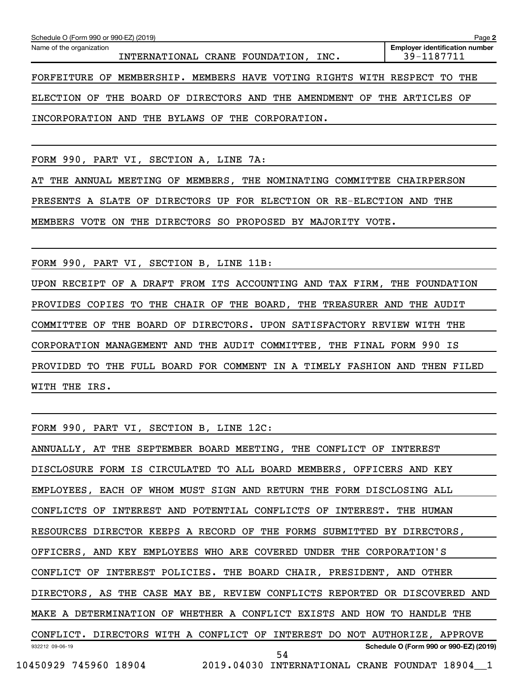| Schedule O (Form 990 or 990-EZ) (2019)                                  | Page 2                                |
|-------------------------------------------------------------------------|---------------------------------------|
| Name of the organization                                                | <b>Employer identification number</b> |
| INTERNATIONAL CRANE FOUNDATION,<br>INC.                                 | 39-1187711                            |
|                                                                         |                                       |
| FORFEITURE OF MEMBERSHIP. MEMBERS HAVE VOTING RIGHTS WITH RESPECT TO    | THE                                   |
|                                                                         |                                       |
| ELECTION OF THE BOARD OF DIRECTORS AND THE AMENDMENT OF THE ARTICLES OF |                                       |
|                                                                         |                                       |
| INCORPORATION AND THE BYLAWS OF THE CORPORATION.                        |                                       |
|                                                                         |                                       |
|                                                                         |                                       |
|                                                                         |                                       |
| FORM 990,<br>PART VI, SECTION A,<br>LINE 7A:                            |                                       |

AT THE ANNUAL MEETING OF MEMBERS, THE NOMINATING COMMITTEE CHAIRPERSON PRESENTS A SLATE OF DIRECTORS UP FOR ELECTION OR RE-ELECTION AND THE MEMBERS VOTE ON THE DIRECTORS SO PROPOSED BY MAJORITY VOTE.

FORM 990, PART VI, SECTION B, LINE 11B:

UPON RECEIPT OF A DRAFT FROM ITS ACCOUNTING AND TAX FIRM, THE FOUNDATION PROVIDES COPIES TO THE CHAIR OF THE BOARD, THE TREASURER AND THE AUDIT COMMITTEE OF THE BOARD OF DIRECTORS. UPON SATISFACTORY REVIEW WITH THE CORPORATION MANAGEMENT AND THE AUDIT COMMITTEE, THE FINAL FORM 990 IS PROVIDED TO THE FULL BOARD FOR COMMENT IN A TIMELY FASHION AND THEN FILED WITH THE IRS.

FORM 990, PART VI, SECTION B, LINE 12C:

932212 09-06-19 **Schedule O (Form 990 or 990-EZ) (2019)** ANNUALLY, AT THE SEPTEMBER BOARD MEETING, THE CONFLICT OF INTEREST DISCLOSURE FORM IS CIRCULATED TO ALL BOARD MEMBERS, OFFICERS AND KEY EMPLOYEES, EACH OF WHOM MUST SIGN AND RETURN THE FORM DISCLOSING ALL CONFLICTS OF INTEREST AND POTENTIAL CONFLICTS OF INTEREST. THE HUMAN RESOURCES DIRECTOR KEEPS A RECORD OF THE FORMS SUBMITTED BY DIRECTORS, OFFICERS, AND KEY EMPLOYEES WHO ARE COVERED UNDER THE CORPORATION'S CONFLICT OF INTEREST POLICIES. THE BOARD CHAIR, PRESIDENT, AND OTHER DIRECTORS, AS THE CASE MAY BE, REVIEW CONFLICTS REPORTED OR DISCOVERED AND MAKE A DETERMINATION OF WHETHER A CONFLICT EXISTS AND HOW TO HANDLE THE CONFLICT. DIRECTORS WITH A CONFLICT OF INTEREST DO NOT AUTHORIZE, APPROVE 10450929 745960 18904 2019.04030 INTERNATIONAL CRANE FOUNDAT 18904\_\_1 54